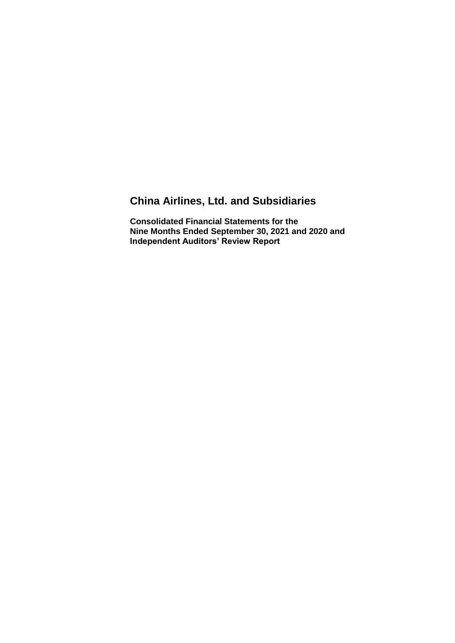# **China Airlines, Ltd. and Subsidiaries**

**Consolidated Financial Statements for the Nine Months Ended September 30, 2021 and 2020 and Independent Auditors' Review Report**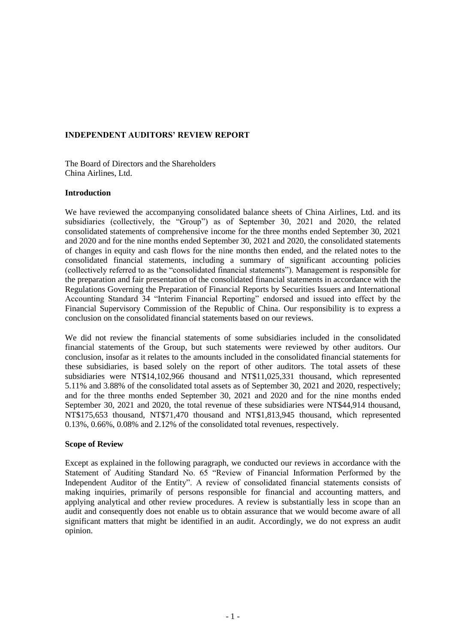## **INDEPENDENT AUDITORS' REVIEW REPORT**

The Board of Directors and the Shareholders China Airlines, Ltd.

### **Introduction**

We have reviewed the accompanying consolidated balance sheets of China Airlines, Ltd. and its subsidiaries (collectively, the "Group") as of September 30, 2021 and 2020, the related consolidated statements of comprehensive income for the three months ended September 30, 2021 and 2020 and for the nine months ended September 30, 2021 and 2020, the consolidated statements of changes in equity and cash flows for the nine months then ended, and the related notes to the consolidated financial statements, including a summary of significant accounting policies (collectively referred to as the "consolidated financial statements"). Management is responsible for the preparation and fair presentation of the consolidated financial statements in accordance with the Regulations Governing the Preparation of Financial Reports by Securities Issuers and International Accounting Standard 34 "Interim Financial Reporting" endorsed and issued into effect by the Financial Supervisory Commission of the Republic of China. Our responsibility is to express a conclusion on the consolidated financial statements based on our reviews.

We did not review the financial statements of some subsidiaries included in the consolidated financial statements of the Group, but such statements were reviewed by other auditors. Our conclusion, insofar as it relates to the amounts included in the consolidated financial statements for these subsidiaries, is based solely on the report of other auditors. The total assets of these subsidiaries were NT\$14,102,966 thousand and NT\$11,025,331 thousand, which represented 5.11% and 3.88% of the consolidated total assets as of September 30, 2021 and 2020, respectively; and for the three months ended September 30, 2021 and 2020 and for the nine months ended September 30, 2021 and 2020, the total revenue of these subsidiaries were NT\$44,914 thousand, NT\$175,653 thousand, NT\$71,470 thousand and NT\$1,813,945 thousand, which represented 0.13%, 0.66%, 0.08% and 2.12% of the consolidated total revenues, respectively.

#### **Scope of Review**

Except as explained in the following paragraph, we conducted our reviews in accordance with the Statement of Auditing Standard No. 65 "Review of Financial Information Performed by the Independent Auditor of the Entity". A review of consolidated financial statements consists of making inquiries, primarily of persons responsible for financial and accounting matters, and applying analytical and other review procedures. A review is substantially less in scope than an audit and consequently does not enable us to obtain assurance that we would become aware of all significant matters that might be identified in an audit. Accordingly, we do not express an audit opinion.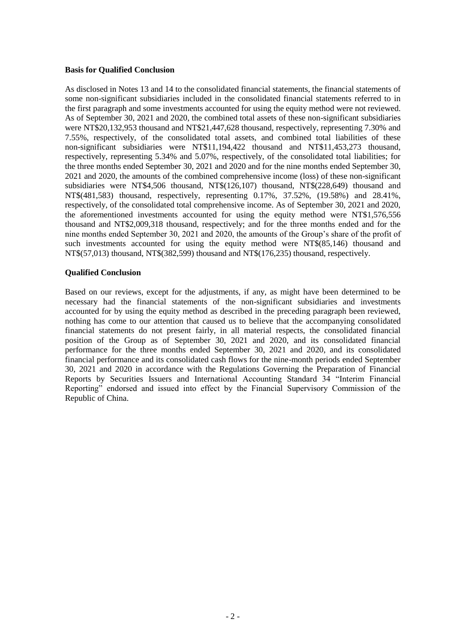#### **Basis for Qualified Conclusion**

As disclosed in Notes 13 and 14 to the consolidated financial statements, the financial statements of some non-significant subsidiaries included in the consolidated financial statements referred to in the first paragraph and some investments accounted for using the equity method were not reviewed. As of September 30, 2021 and 2020, the combined total assets of these non-significant subsidiaries were NT\$20,132,953 thousand and NT\$21,447,628 thousand, respectively, representing 7.30% and 7.55%, respectively, of the consolidated total assets, and combined total liabilities of these non-significant subsidiaries were NT\$11,194,422 thousand and NT\$11,453,273 thousand, respectively, representing 5.34% and 5.07%, respectively, of the consolidated total liabilities; for the three months ended September 30, 2021 and 2020 and for the nine months ended September 30, 2021 and 2020, the amounts of the combined comprehensive income (loss) of these non-significant subsidiaries were NT\$4,506 thousand, NT\$(126,107) thousand, NT\$(228,649) thousand and NT\$(481,583) thousand, respectively, representing 0.17%, 37.52%, (19.58%) and 28.41%, respectively, of the consolidated total comprehensive income. As of September 30, 2021 and 2020, the aforementioned investments accounted for using the equity method were NT\$1,576,556 thousand and NT\$2,009,318 thousand, respectively; and for the three months ended and for the nine months ended September 30, 2021 and 2020, the amounts of the Group's share of the profit of such investments accounted for using the equity method were NT\$(85,146) thousand and NT\$(57,013) thousand, NT\$(382,599) thousand and NT\$(176,235) thousand, respectively.

#### **Qualified Conclusion**

Based on our reviews, except for the adjustments, if any, as might have been determined to be necessary had the financial statements of the non-significant subsidiaries and investments accounted for by using the equity method as described in the preceding paragraph been reviewed, nothing has come to our attention that caused us to believe that the accompanying consolidated financial statements do not present fairly, in all material respects, the consolidated financial position of the Group as of September 30, 2021 and 2020, and its consolidated financial performance for the three months ended September 30, 2021 and 2020, and its consolidated financial performance and its consolidated cash flows for the nine-month periods ended September 30, 2021 and 2020 in accordance with the Regulations Governing the Preparation of Financial Reports by Securities Issuers and International Accounting Standard 34 "Interim Financial Reporting" endorsed and issued into effect by the Financial Supervisory Commission of the Republic of China.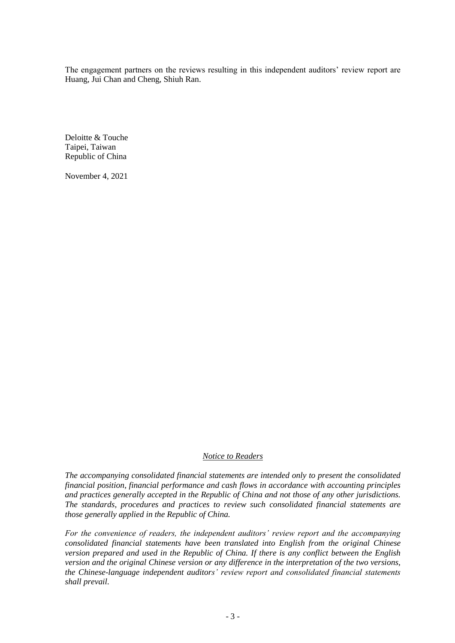The engagement partners on the reviews resulting in this independent auditors' review report are Huang, Jui Chan and Cheng, Shiuh Ran.

Deloitte & Touche Taipei, Taiwan Republic of China

November 4, 2021

### *Notice to Readers*

*The accompanying consolidated financial statements are intended only to present the consolidated financial position, financial performance and cash flows in accordance with accounting principles and practices generally accepted in the Republic of China and not those of any other jurisdictions. The standards, procedures and practices to review such consolidated financial statements are those generally applied in the Republic of China.*

*For the convenience of readers, the independent auditors' review report and the accompanying consolidated financial statements have been translated into English from the original Chinese version prepared and used in the Republic of China. If there is any conflict between the English version and the original Chinese version or any difference in the interpretation of the two versions, the Chinese-language independent auditors' review report and consolidated financial statements shall prevail.*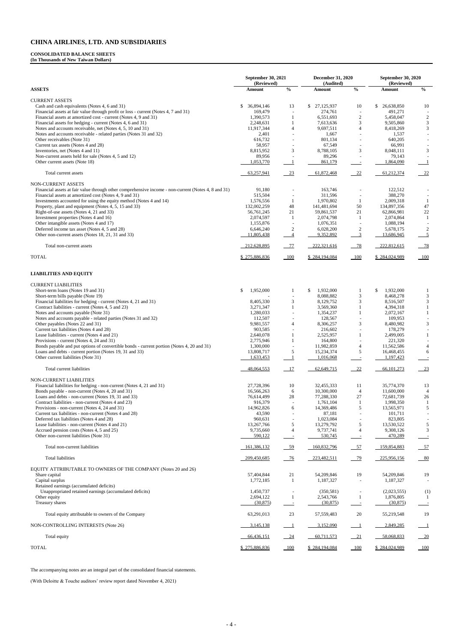#### **CONSOLIDATED BALANCE SHEETS**

**(In Thousands of New Taiwan Dollars)**

|                                                                                                                                | September 30, 2021<br>(Reviewed) |                                           | <b>December 31, 2020</b><br>(Audited) |                                           | September 30, 2020<br>(Reviewed) |                                           |
|--------------------------------------------------------------------------------------------------------------------------------|----------------------------------|-------------------------------------------|---------------------------------------|-------------------------------------------|----------------------------------|-------------------------------------------|
| <b>ASSETS</b>                                                                                                                  | Amount                           | $\frac{1}{2}$                             | Amount                                | $\frac{0}{0}$                             | Amount                           | $\frac{0}{0}$                             |
| <b>CURRENT ASSETS</b>                                                                                                          |                                  |                                           |                                       |                                           |                                  |                                           |
| Cash and cash equivalents (Notes 4, 6 and 31)                                                                                  | 36,894,146<br>\$                 | 13                                        | 27,125,937<br>\$                      | 10                                        | 26,638,850<br>\$                 | 10                                        |
| Financial assets at fair value through profit or loss - current (Notes 4, 7 and 31)                                            | 169,479                          |                                           | 274,761                               | $\overline{\phantom{a}}$                  | 491,271                          |                                           |
| Financial assets at amortized cost - current (Notes 4, 9 and 31)<br>Financial assets for hedging - current (Notes 4, 6 and 31) | 1,390,573<br>2,248,631           | -1<br>$\mathbf{1}$                        | 6,551,693<br>7,613,636                | $\sqrt{2}$<br>3                           | 5,458,047<br>9,505,860           | $\overline{c}$<br>$\sqrt{3}$              |
| Notes and accounts receivable, net (Notes 4, 5, 10 and 31)                                                                     | 11,917,344                       | $\overline{4}$                            | 9,697,511                             | $\overline{4}$                            | 8,418,269                        | $\mathfrak{Z}$                            |
| Notes and accounts receivable - related parties (Notes 31 and 32)                                                              | 2,401                            |                                           | 1,667                                 |                                           | 1,537                            |                                           |
| Other receivables (Note 31)                                                                                                    | 616,732                          |                                           | 801,134                               |                                           | 640,205                          |                                           |
| Current tax assets (Notes 4 and 28)                                                                                            | 58,957                           |                                           | 67,549                                |                                           | 66,991                           |                                           |
| Inventories, net (Notes 4 and 11)                                                                                              | 8,815,952                        | 3                                         | 8,788,105                             | 3                                         | 8,048,111                        | 3                                         |
| Non-current assets held for sale (Notes 4, 5 and 12)<br>Other current assets (Note 18)                                         | 89,956<br>1,053,770              | -1                                        | 89,296<br>861,179                     | $\sim$                                    | 79,143<br>1,864,090              | - 1                                       |
| Total current assets                                                                                                           | 63,257,941                       | $-23$                                     | 61,872,468                            | $-22$                                     | 61,212,374                       | $\frac{22}{2}$                            |
|                                                                                                                                |                                  |                                           |                                       |                                           |                                  |                                           |
| NON-CURRENT ASSETS<br>Financial assets at fair value through other comprehensive income - non-current (Notes 4, 8 and 31)      | 91,180                           |                                           | 163,746                               |                                           | 122,512                          |                                           |
| Financial assets at amortized cost (Notes 4, 9 and 31)                                                                         | 515,504                          |                                           | 311,596                               |                                           | 388,270                          |                                           |
| Investments accounted for using the equity method (Notes 4 and 14)                                                             | 1,576,556                        | $\mathbf{1}$                              | 1,970,802                             | -1                                        | 2,009,318                        | -1                                        |
| Property, plant and equipment (Notes 4, 5, 15 and 33)                                                                          | 132,002,259                      | 48                                        | 141,481,694                           | 50                                        | 134,897,356                      | 47                                        |
| Right-of-use assets (Notes 4, 21 and 33)                                                                                       | 56,761,245                       | 21                                        | 59,861,537                            | 21                                        | 62,866,981                       | $22\,$                                    |
| Investment properties (Notes 4 and 16)                                                                                         | 2,074,597                        | -1                                        | 2,074,798                             | -1                                        | 2,074,864                        | -1                                        |
| Other intangible assets (Notes 4 and 17)                                                                                       | 1,155,876                        | $\overline{\phantom{a}}$                  | 1,076,351                             | $\overline{\phantom{a}}$                  | 1,088,194                        |                                           |
| Deferred income tax asset (Notes 4, 5 and 28)<br>Other non-current assets (Notes 18, 21, 31 and 33)                            | 6,646,240<br>11,805,438          | 2<br>$\overline{4}$                       | 6,028,200<br>9,352,892                | $\overline{2}$<br>$\overline{3}$          | 5,678,175<br>13,686,945          | 2<br>$\overline{5}$                       |
| Total non-current assets                                                                                                       | 212,628,895                      | $-77$                                     | 222,321,616                           | $-78$                                     | 222,812,615                      | 78                                        |
| <b>TOTAL</b>                                                                                                                   | \$275,886,836                    | $\underline{\underline{\hspace{1cm}100}}$ | \$284,194,084                         | $\frac{100}{2}$                           | \$284,024,989                    | $\underline{\underline{\hspace{1cm}}100}$ |
| <b>LIABILITIES AND EQUITY</b>                                                                                                  |                                  |                                           |                                       |                                           |                                  |                                           |
| <b>CURRENT LIABILITIES</b>                                                                                                     |                                  |                                           |                                       |                                           |                                  |                                           |
| Short-term loans (Notes 19 and 31)                                                                                             | \$<br>1,952,000                  | -1                                        | 1,932,000<br>\$                       |                                           | 1,932,000<br>\$                  |                                           |
| Short-term bills payable (Note 19)                                                                                             |                                  |                                           | 8,088,882                             | 3                                         | 8,468,278                        | $\mathfrak{Z}$                            |
| Financial liabilities for hedging - current (Notes 4, 21 and 31)                                                               | 8,405,330                        | 3                                         | 8,129,752                             | 3                                         | 8,516,507                        | $\sqrt{3}$                                |
| Contract liabilities - current (Notes 4, 5 and 23)                                                                             | 3,271,347                        | -1                                        | 3,569,360                             |                                           | 4,394,318                        | -1                                        |
| Notes and accounts payable (Note 31)                                                                                           | 1,280,033                        |                                           | 1,354,237                             | 1                                         | 2,072,167                        | $\mathbf{1}$                              |
| Notes and accounts payable - related parties (Notes 31 and 32)                                                                 | 112,507                          |                                           | 128,567                               | $\sim$                                    | 109,953                          |                                           |
| Other payables (Notes 22 and 31)                                                                                               | 9,981,557                        | $\overline{4}$                            | 8,306,257                             | 3                                         | 8,480,982                        | 3                                         |
| Current tax liabilities (Notes 4 and 28)                                                                                       | 903,585                          |                                           | 216,602                               |                                           | 178,279                          |                                           |
| Lease liabilities - current (Notes 4 and 21)<br>Provisions - current (Notes 4, 24 and 31)                                      | 2,640,078<br>2,775,946           | -1<br>$\mathbf{1}$                        | 2,525,957<br>164,800                  | 1                                         | 2,499,005<br>221,320             | -1                                        |
| Bonds payable and put options of convertible bonds - current portion (Notes 4, 20 and 31)                                      | 1,300,000                        | $\overline{\phantom{a}}$                  | 11,982,859                            | $\overline{4}$                            | 11,562,586                       | 4                                         |
| Loans and debts - current portion (Notes 19, 31 and 33)                                                                        | 13,808,717                       | $\sqrt{5}$                                | 15,234,374                            | 5                                         | 16,468,455                       | 6                                         |
| Other current liabilities (Note 31)                                                                                            | 1,633,453                        | $\overline{\phantom{0}}$                  | 1,016,068                             | $\overline{\phantom{a}}$                  | 1,197,423                        |                                           |
| Total current liabilities                                                                                                      | 48,064,553                       | $\frac{17}{2}$                            | 62,649,715                            | $-22$                                     | 66, 101, 273                     | $\overline{23}$                           |
| <b>NON-CURRENT LIABILITIES</b>                                                                                                 |                                  |                                           |                                       |                                           |                                  |                                           |
| Financial liabilities for hedging - non-current (Notes 4, 21 and 31)                                                           | 27,728,396                       | 10                                        | 32,455,333                            | 11                                        | 35,774,370                       | 13                                        |
| Bonds payable - non-current (Notes 4, 20 and 31)<br>Loans and debts - non-current (Notes 19, 31 and 33)                        | 16,566,263<br>76,614,499         | 6<br>$28\,$                               | 10,300,000<br>77,288,330              | $\overline{4}$<br>27                      | 11,600,000<br>72,681,739         | 4<br>26                                   |
| Contract liabilities - non-current (Notes 4 and 23)                                                                            | 916,379                          |                                           | 1,761,104                             | -1                                        | 1,998,350                        | -1                                        |
| Provisions - non-current (Notes 4, 24 and 31)                                                                                  | 14,962,826                       | 6                                         | 14,369,486                            | 5                                         | 13,565,971                       | 5                                         |
| Current tax liabilities - non-current (Notes 4 and 28)                                                                         | 43,590                           |                                           | 87,181                                |                                           | 101,711                          |                                           |
| Deferred tax liabilities (Notes 4 and 28)                                                                                      | 960,631                          |                                           | 1,023,084                             |                                           | 823,805                          |                                           |
| Lease liabilities - non-current (Notes 4 and 21)                                                                               | 13,267,766                       | 5                                         | 13,279,792                            | 5                                         | 13,530,522                       | $\mathfrak{S}$                            |
| Accrued pension costs (Notes 4, 5 and 25)<br>Other non-current liabilities (Note 31)                                           | 9,735,660<br>590,122             | $\overline{4}$<br>$\equiv$                | 9,737,741<br>530,745                  | $\overline{4}$                            | 9,308,126<br>470,289             | $\mathfrak{Z}$                            |
| Total non-current liabilities                                                                                                  | 161,386,132                      | $-59$                                     | 160,832,796                           | $-57$                                     | 159,854,883                      | 57                                        |
| Total liabilities                                                                                                              | 209,450,685                      | 76                                        | 223,482,511                           | 79                                        | 225,956,156                      | 80                                        |
| EQUITY ATTRIBUTABLE TO OWNERS OF THE COMPANY (Notes 20 and 26)                                                                 |                                  |                                           |                                       |                                           |                                  |                                           |
| Share capital<br>Capital surplus                                                                                               | 57,404,844<br>1,772,185          | 21<br>-1                                  | 54,209,846<br>1,187,327               | 19<br>$\overline{\phantom{a}}$            | 54,209,846<br>1,187,327          | 19                                        |
| Retained earnings (accumulated deficits)                                                                                       |                                  |                                           |                                       |                                           |                                  |                                           |
| Unappropriated retained earnings (accumulated deficits)<br>Other equity                                                        | 1,450,737<br>2,694,122           | -1                                        | (350, 581)<br>2,543,766               | $\mathbf{1}$                              | (2,023,555)<br>1,876,805         | (1)<br>-1                                 |
| Treasury shares                                                                                                                | (30, 875)                        |                                           | (30, 875)                             |                                           | (30, 875)                        |                                           |
| Total equity attributable to owners of the Company                                                                             | 63,291,013                       | 23                                        | 57,559,483                            | 20                                        | 55,219,548                       | 19                                        |
| NON-CONTROLLING INTERESTS (Note 26)                                                                                            | 3,145,138                        | $\frac{1}{2}$                             | 3,152,090                             | $\overline{\phantom{a}}$                  | 2,849,285                        | $\overline{\phantom{0}}$                  |
| Total equity                                                                                                                   | 66,436,151                       | $-24$                                     | 60,711,573                            | $\sqrt{21}$                               | 58,068,833                       | 20                                        |
| <b>TOTAL</b>                                                                                                                   | \$275,886,836                    |                                           | \$284,194,084                         | $\underline{\underline{\hspace{1cm}}100}$ | \$284,024,989                    | $\overline{\phantom{0}100}$               |

The accompanying notes are an integral part of the consolidated financial statements.

(With Deloitte & Touche auditors' review report dated November 4, 2021)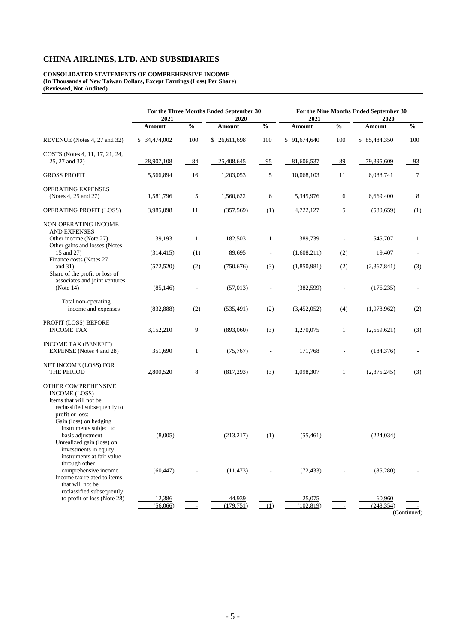**CONSOLIDATED STATEMENTS OF COMPREHENSIVE INCOME (In Thousands of New Taiwan Dollars, Except Earnings (Loss) Per Share) (Reviewed, Not Audited)**

|                                                                                                                                                    |                    | For the Three Months Ended September 30 | For the Nine Months Ended September 30 |                          |                      |                |                      |                          |
|----------------------------------------------------------------------------------------------------------------------------------------------------|--------------------|-----------------------------------------|----------------------------------------|--------------------------|----------------------|----------------|----------------------|--------------------------|
|                                                                                                                                                    | 2021               |                                         | 2020                                   |                          | 2021                 |                | 2020                 |                          |
|                                                                                                                                                    | <b>Amount</b>      | $\frac{0}{0}$                           | Amount                                 | $\frac{0}{0}$            | <b>Amount</b>        | $\frac{0}{0}$  | <b>Amount</b>        | $\%$                     |
| REVENUE (Notes 4, 27 and 32)                                                                                                                       | \$ 34,474,002      | 100                                     | \$26,611,698                           | 100                      | \$91,674,640         | 100            | \$85,484,350         | 100                      |
| COSTS (Notes 4, 11, 17, 21, 24,<br>25, 27 and 32)                                                                                                  | 28,907,108         | 84                                      | 25,408,645                             | 95                       | 81,606,537           | 89             | 79,395,609           | 93                       |
| <b>GROSS PROFIT</b>                                                                                                                                | 5,566,894          | 16                                      | 1,203,053                              | 5                        | 10,068,103           | 11             | 6,088,741            | 7                        |
| OPERATING EXPENSES<br>(Notes 4, 25 and 27)                                                                                                         | 1,581,796          | $\overline{5}$                          | 1,560,622                              | 6                        | 5,345,976            | 6              | 6,669,400            | <u>8</u>                 |
| OPERATING PROFIT (LOSS)                                                                                                                            | 3,985,098          | 11                                      | (357, 569)                             | (1)                      | 4,722,127            | $\overline{5}$ | (580, 659)           | (1)                      |
| NON-OPERATING INCOME<br><b>AND EXPENSES</b><br>Other income (Note 27)<br>Other gains and losses (Notes                                             | 139,193            | $\mathbf{1}$                            | 182,503                                | $\mathbf{1}$             | 389,739              |                | 545,707              | $\mathbf{1}$             |
| 15 and 27)<br>Finance costs (Notes 27                                                                                                              | (314, 415)         | (1)                                     | 89,695                                 | $\overline{\phantom{a}}$ | (1,608,211)          | (2)            | 19,407               | $\sim$                   |
| and $31$ )<br>Share of the profit or loss of                                                                                                       | (572, 520)         | (2)                                     | (750, 676)                             | (3)                      | (1,850,981)          | (2)            | (2,367,841)          | (3)                      |
| associates and joint ventures<br>(Note 14)                                                                                                         | (85, 146)          |                                         | (57, 013)                              |                          | (382, 599)           |                | (176, 235)           |                          |
| Total non-operating<br>income and expenses                                                                                                         | (832, 888)         | (2)                                     | (535, 491)                             | (2)                      | (3,452,052)          | (4)            | (1,978,962)          | (2)                      |
| PROFIT (LOSS) BEFORE<br><b>INCOME TAX</b>                                                                                                          | 3,152,210          | 9                                       | (893,060)                              | (3)                      | 1,270,075            | $\mathbf{1}$   | (2,559,621)          | (3)                      |
| <b>INCOME TAX (BENEFIT)</b><br>EXPENSE (Notes 4 and 28)                                                                                            | 351,690            | -1                                      | (75,767)                               |                          | 171,768              |                | (184, 376)           | $\overline{\phantom{a}}$ |
| NET INCOME (LOSS) FOR<br>THE PERIOD                                                                                                                | 2,800,520          | $\frac{8}{2}$                           | (817,293)                              | (3)                      | 1,098,307            | $\overline{1}$ | (2,375,245)          | (3)                      |
| OTHER COMPREHENSIVE<br><b>INCOME (LOSS)</b><br>Items that will not be<br>reclassified subsequently to<br>profit or loss:<br>Gain (loss) on hedging |                    |                                         |                                        |                          |                      |                |                      |                          |
| instruments subject to<br>basis adjustment<br>Unrealized gain (loss) on<br>investments in equity<br>instruments at fair value                      | (8,005)            |                                         | (213, 217)                             | (1)                      | (55, 461)            |                | (224, 034)           |                          |
| through other<br>comprehensive income<br>Income tax related to items<br>that will not be                                                           | (60, 447)          |                                         | (11, 473)                              |                          | (72, 433)            |                | (85,280)             |                          |
| reclassified subsequently<br>to profit or loss (Note 28)                                                                                           | 12,386<br>(56,066) |                                         | 44,939<br>(179, 751)                   | (1)                      | 25,075<br>(102, 819) |                | 60,960<br>(248, 354) |                          |

(Continued)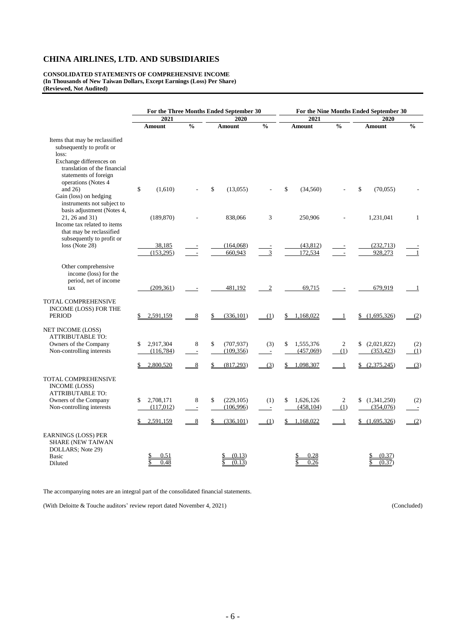**CONSOLIDATED STATEMENTS OF COMPREHENSIVE INCOME (In Thousands of New Taiwan Dollars, Except Earnings (Loss) Per Share) (Reviewed, Not Audited)**

|                                                                                                                                                          | For the Three Months Ended September 30   |                                    |                                                   | For the Nine Months Ended September 30 |                                                  |                |                                          |                      |  |
|----------------------------------------------------------------------------------------------------------------------------------------------------------|-------------------------------------------|------------------------------------|---------------------------------------------------|----------------------------------------|--------------------------------------------------|----------------|------------------------------------------|----------------------|--|
|                                                                                                                                                          | 2021                                      |                                    | 2020                                              |                                        | 2021                                             |                | 2020                                     |                      |  |
|                                                                                                                                                          | <b>Amount</b>                             | $\frac{0}{0}$                      | <b>Amount</b>                                     | $\frac{0}{0}$                          | <b>Amount</b>                                    | $\frac{0}{0}$  | Amount                                   | $\frac{0}{6}$        |  |
| Items that may be reclassified<br>subsequently to profit or<br>loss:<br>Exchange differences on<br>translation of the financial<br>statements of foreign |                                           |                                    |                                                   |                                        |                                                  |                |                                          |                      |  |
| operations (Notes 4<br>and $26$ )<br>Gain (loss) on hedging<br>instruments not subject to                                                                | \$<br>(1,610)                             |                                    | (13,055)<br>\$                                    |                                        | \$<br>(34, 560)                                  |                | \$<br>(70,055)                           |                      |  |
| basis adjustment (Notes 4,<br>21, 26 and 31)<br>Income tax related to items<br>that may be reclassified<br>subsequently to profit or                     | (189, 870)                                |                                    | 838,066                                           | 3                                      | 250,906                                          |                | 1,231,041                                | $\mathbf{1}$         |  |
| loss (Note 28)                                                                                                                                           | 38,185<br>(153, 295)                      |                                    | (164,068)<br>660,943                              | 3                                      | (43, 812)<br>172,534                             |                | (232,713)<br>928,273                     | 1                    |  |
| Other comprehensive<br>income (loss) for the<br>period, net of income<br>tax                                                                             | (209, 361)                                |                                    | 481,192                                           | $\boldsymbol{2}$                       | 69,715                                           |                | 679,919                                  | $\mathbf{1}$         |  |
| TOTAL COMPREHENSIVE<br>INCOME (LOSS) FOR THE<br><b>PERIOD</b>                                                                                            | 2,591,159                                 | 8                                  | (336, 101)                                        | (1)                                    | 1,168,022<br>\$                                  |                | (1,695,326)                              | (2)                  |  |
| NET INCOME (LOSS)<br><b>ATTRIBUTABLE TO:</b><br>Owners of the Company<br>Non-controlling interests                                                       | 2,917,304<br>\$<br>(116,784)<br>2,800,520 | 8<br>$\blacksquare$<br>8           | (707, 937)<br>\$<br>(109, 356)<br>(817,293)<br>\$ | (3)<br>$\sim$                          | 1,555,376<br>\$<br>(457,069)<br>1,098,307        | 2<br>(1)<br>-1 | (2,021,822)<br>(353, 423)<br>(2,375,245) | (2)<br>(1)           |  |
| <b>TOTAL COMPREHENSIVE</b><br><b>INCOME (LOSS)</b><br><b>ATTRIBUTABLE TO:</b>                                                                            |                                           |                                    |                                                   | (3)                                    |                                                  |                |                                          | (3)                  |  |
| Owners of the Company<br>Non-controlling interests                                                                                                       | 2,708,171<br>\$<br>(117,012)<br>2,591,159 | 8<br>$\overline{\phantom{a}}$<br>8 | \$<br>(229, 105)<br>(106,996)<br>(336,101)        | (1)<br>$\overline{a}$<br>(1)           | 1,626,126<br>\$<br>(458, 104)<br>1,168,022<br>\$ | 2<br>(1)<br>-1 | (1,341,250)<br>(354,076)<br>(1,695,326)  | (2)<br>$\sim$<br>(2) |  |
| <b>EARNINGS (LOSS) PER</b><br><b>SHARE (NEW TAIWAN</b><br>DOLLARS; Note 29)<br><b>Basic</b>                                                              | 0.51                                      |                                    | (0.13)                                            |                                        | 0.28                                             |                | (0.37)                                   |                      |  |
| Diluted                                                                                                                                                  | 0.48                                      |                                    | (0.13)                                            |                                        | 0.26                                             |                | (0.37)                                   |                      |  |

The accompanying notes are an integral part of the consolidated financial statements.

(With Deloitte & Touche auditors' review report dated November 4, 2021) (Concluded)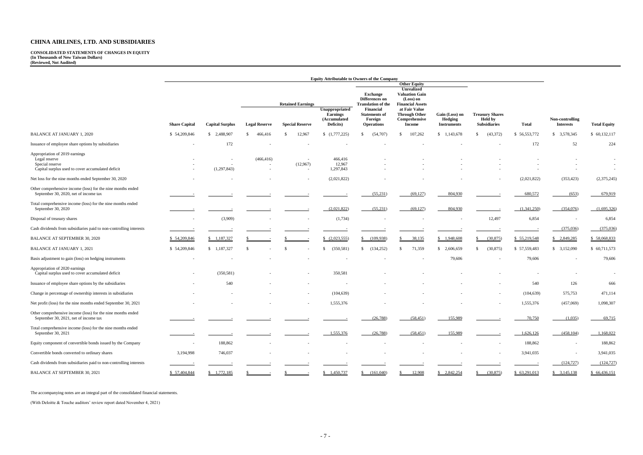**CONSOLIDATED STATEMENTS OF CHANGES IN EQUITY (In Thousands of New Taiwan Dollars) (Reviewed, Not Audited)**

|                                                                                                                         | <b>Equity Attributable to Owners of the Company</b> |                        |                      |                                                    |                                                                |                                                                                                       |                                                                                                    |                                                 |                                                                 |              |                                     |                          |
|-------------------------------------------------------------------------------------------------------------------------|-----------------------------------------------------|------------------------|----------------------|----------------------------------------------------|----------------------------------------------------------------|-------------------------------------------------------------------------------------------------------|----------------------------------------------------------------------------------------------------|-------------------------------------------------|-----------------------------------------------------------------|--------------|-------------------------------------|--------------------------|
|                                                                                                                         |                                                     |                        |                      | <b>Other Equity</b>                                |                                                                |                                                                                                       |                                                                                                    |                                                 |                                                                 |              |                                     |                          |
|                                                                                                                         |                                                     |                        |                      |                                                    |                                                                | <b>Exchange</b><br>Differences on                                                                     | <b>Unrealized</b><br><b>Valuation Gain</b><br>(Loss) on                                            |                                                 |                                                                 |              |                                     |                          |
|                                                                                                                         | <b>Share Capital</b>                                | <b>Capital Surplus</b> | <b>Legal Reserve</b> | <b>Retained Earnings</b><br><b>Special Reserve</b> | Unappropriated<br><b>Earnings</b><br>(Accumulated<br>Deficits) | <b>Translation of the</b><br><b>Financial</b><br><b>Statements of</b><br>Foreign<br><b>Operations</b> | <b>Financial Assets</b><br>at Fair Value<br><b>Through Other</b><br>Comprehensive<br><b>Income</b> | Gain (Loss) on<br>Hedging<br><b>Instruments</b> | <b>Treasury Shares</b><br><b>Held by</b><br><b>Subsidiaries</b> | Total        | Non-controlling<br><b>Interests</b> | <b>Total Equity</b>      |
| <b>BALANCE AT JANUARY 1, 2020</b>                                                                                       | \$54,209,846                                        | \$2,488,907            | 466,416<br>S.        | 12,967<br>-8                                       | (1,777,225)                                                    | (54,707)                                                                                              | 107,262<br>\$                                                                                      | \$1,143,678                                     | (43, 372)<br>\$                                                 | \$56,553,772 | \$3,578,345                         | \$60,132,117             |
| Issuance of employee share options by subsidiaries                                                                      |                                                     | 172                    |                      |                                                    |                                                                |                                                                                                       |                                                                                                    |                                                 |                                                                 | 172          | 52                                  | 224                      |
| Appropriation of 2019 earnings<br>Legal reserve<br>Special reserve<br>Capital surplus used to cover accumulated deficit |                                                     | (1,297,843)            | (466, 416)           | (12,967)<br>$\overline{\phantom{a}}$               | 466,416<br>12,967<br>1,297,843                                 |                                                                                                       |                                                                                                    |                                                 |                                                                 |              |                                     | $\overline{\phantom{a}}$ |
| Net loss for the nine months ended September 30, 2020                                                                   |                                                     |                        |                      |                                                    | (2,021,822)                                                    |                                                                                                       |                                                                                                    |                                                 |                                                                 | (2,021,822)  | (353, 423)                          | (2,375,245)              |
| Other comprehensive income (loss) for the nine months ended<br>September 30, 2020, net of income tax                    |                                                     |                        |                      |                                                    |                                                                | (55,231)                                                                                              | (69, 127)                                                                                          | 804,930                                         |                                                                 | 680,572      | (653)                               | 679,919                  |
| Total comprehensive income (loss) for the nine months ended<br>September 30, 2020                                       |                                                     |                        |                      |                                                    | (2,021,822)                                                    | (55,231)                                                                                              | (69,127)                                                                                           | 804,930                                         |                                                                 | (1,341,250)  | (354,076)                           | (1,695,326)              |
| Disposal of treasury shares                                                                                             |                                                     | (3,909)                |                      |                                                    | (1,734)                                                        |                                                                                                       |                                                                                                    |                                                 | 12,497                                                          | 6,854        |                                     | 6,854                    |
| Cash dividends from subsidiaries paid to non-controlling interests                                                      |                                                     |                        |                      |                                                    |                                                                |                                                                                                       |                                                                                                    |                                                 |                                                                 |              | (375,036)                           | (375,036)                |
| BALANCE AT SEPTEMBER 30, 2020                                                                                           | \$54,209,846                                        | \$1,187,327            |                      |                                                    | (2,023,555)                                                    | (109,938)                                                                                             | 38,135<br>\$.                                                                                      | \$1,948,608                                     | (30,875)<br>$\mathbb{S}$                                        | \$55,219,548 | \$2,849,285                         | \$58,068,833             |
| <b>BALANCE AT JANUARY 1, 2021</b>                                                                                       | \$54,209,846                                        | \$1,187,327            | -\$                  |                                                    | (350, 581)<br>\$                                               | (134, 252)                                                                                            | 71,359<br><sup>\$</sup>                                                                            | \$2,606,659                                     | $\mathbb{S}$<br>(30, 875)                                       | \$57,559,483 | \$3,152,090                         | \$60,711,573             |
| Basis adjustment to gain (loss) on hedging instruments                                                                  |                                                     |                        |                      |                                                    |                                                                |                                                                                                       |                                                                                                    | 79,606                                          |                                                                 | 79,606       |                                     | 79,606                   |
| Appropriation of 2020 earnings<br>Capital surplus used to cover accumulated deficit                                     |                                                     | (350, 581)             |                      |                                                    | 350,581                                                        |                                                                                                       |                                                                                                    |                                                 |                                                                 |              |                                     | $\sim$                   |
| Issuance of employee share options by the subsidiaries                                                                  |                                                     | 540                    |                      |                                                    |                                                                |                                                                                                       |                                                                                                    |                                                 |                                                                 | 540          | 126                                 | 666                      |
| Change in percentage of ownership interests in subsidiaries                                                             |                                                     |                        |                      |                                                    | (104, 639)                                                     |                                                                                                       |                                                                                                    |                                                 | $\sim$                                                          | (104, 639)   | 575,753                             | 471,114                  |
| Net profit (loss) for the nine months ended September 30, 2021                                                          |                                                     |                        |                      |                                                    | 1,555,376                                                      |                                                                                                       |                                                                                                    |                                                 |                                                                 | 1,555,376    | (457,069)                           | 1,098,307                |
| Other comprehensive income (loss) for the nine months ended<br>September 30, 2021, net of income tax                    |                                                     |                        |                      |                                                    |                                                                | (26, 788)                                                                                             | (58, 451)                                                                                          | 155,989                                         |                                                                 | 70,750       | (1,035)                             | 69,715                   |
| Total comprehensive income (loss) for the nine months ended<br>September 30, 2021                                       |                                                     |                        |                      |                                                    | 1,555,376                                                      | (26, 788)                                                                                             | (58, 451)                                                                                          | 155,989                                         |                                                                 | 1,626,126    | (458, 104)                          | 1,168,022                |
| Equity component of convertible bonds issued by the Company                                                             |                                                     | 188,862                |                      |                                                    |                                                                |                                                                                                       |                                                                                                    |                                                 |                                                                 | 188,862      |                                     | 188,862                  |
| Convertible bonds converted to ordinary shares                                                                          | 3,194,998                                           | 746,037                |                      |                                                    | $\overline{\phantom{a}}$                                       |                                                                                                       |                                                                                                    |                                                 | $\sim$                                                          | 3,941,035    |                                     | 3,941,035                |
| Cash dividends from subsidiaries paid to non-controlling interests                                                      |                                                     |                        |                      |                                                    |                                                                |                                                                                                       |                                                                                                    |                                                 |                                                                 |              | (124, 727)                          | (124, 727)               |
| BALANCE AT SEPTEMBER 30, 2021                                                                                           | \$57,404,844                                        | $\frac{$1,772,185}{}$  |                      |                                                    | \$1,450,737                                                    | (161,040)                                                                                             | 12,908                                                                                             | \$2,842,254                                     | (30,875)                                                        | \$63,291,013 | $\frac{$}{5}$ 3,145,138             | \$66,436,151             |

The accompanying notes are an integral part of the consolidated financial statements.

(With Deloitte & Touche auditors' review report dated November 4, 2021)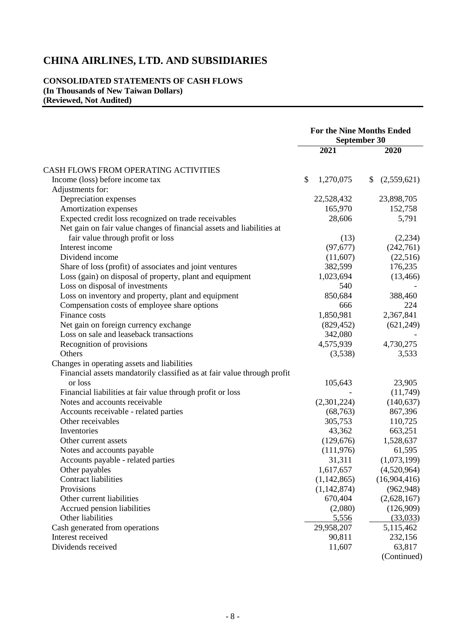# **CONSOLIDATED STATEMENTS OF CASH FLOWS (In Thousands of New Taiwan Dollars) (Reviewed, Not Audited)**

|                                                                         | <b>For the Nine Months Ended</b><br>September 30 |             |              |              |
|-------------------------------------------------------------------------|--------------------------------------------------|-------------|--------------|--------------|
|                                                                         |                                                  | 2021        |              | 2020         |
| CASH FLOWS FROM OPERATING ACTIVITIES                                    |                                                  |             |              |              |
| Income (loss) before income tax                                         | \$                                               | 1,270,075   | $\mathbb{S}$ | (2,559,621)  |
| Adjustments for:                                                        |                                                  |             |              |              |
| Depreciation expenses                                                   |                                                  | 22,528,432  |              | 23,898,705   |
| Amortization expenses                                                   |                                                  | 165,970     |              | 152,758      |
| Expected credit loss recognized on trade receivables                    |                                                  | 28,606      |              | 5,791        |
| Net gain on fair value changes of financial assets and liabilities at   |                                                  |             |              |              |
| fair value through profit or loss                                       |                                                  | (13)        |              | (2,234)      |
| Interest income                                                         |                                                  | (97, 677)   |              | (242,761)    |
| Dividend income                                                         |                                                  | (11,607)    |              | (22, 516)    |
| Share of loss (profit) of associates and joint ventures                 |                                                  | 382,599     |              | 176,235      |
| Loss (gain) on disposal of property, plant and equipment                |                                                  | 1,023,694   |              | (13, 466)    |
| Loss on disposal of investments                                         |                                                  | 540         |              |              |
| Loss on inventory and property, plant and equipment                     |                                                  | 850,684     |              | 388,460      |
| Compensation costs of employee share options                            |                                                  | 666         |              | 224          |
| Finance costs                                                           |                                                  | 1,850,981   |              | 2,367,841    |
| Net gain on foreign currency exchange                                   |                                                  | (829, 452)  |              | (621, 249)   |
| Loss on sale and leaseback transactions                                 |                                                  | 342,080     |              |              |
| Recognition of provisions                                               |                                                  | 4,575,939   |              | 4,730,275    |
| Others                                                                  |                                                  | (3,538)     |              | 3,533        |
| Changes in operating assets and liabilities                             |                                                  |             |              |              |
| Financial assets mandatorily classified as at fair value through profit |                                                  |             |              |              |
| or loss                                                                 |                                                  | 105,643     |              | 23,905       |
| Financial liabilities at fair value through profit or loss              |                                                  |             |              | (11,749)     |
| Notes and accounts receivable                                           |                                                  | (2,301,224) |              | (140, 637)   |
| Accounts receivable - related parties                                   |                                                  | (68, 763)   |              | 867,396      |
| Other receivables                                                       |                                                  | 305,753     |              | 110,725      |
| Inventories                                                             |                                                  | 43,362      |              | 663,251      |
| Other current assets                                                    |                                                  | (129, 676)  |              | 1,528,637    |
| Notes and accounts payable                                              |                                                  | (111, 976)  |              | 61,595       |
| Accounts payable - related parties                                      |                                                  | 31,311      |              | (1,073,199)  |
| Other payables                                                          |                                                  | 1,617,657   |              | (4,520,964)  |
| <b>Contract liabilities</b>                                             |                                                  | (1,142,865) |              | (16,904,416) |
| Provisions                                                              |                                                  | (1,142,874) |              | (962, 948)   |
| Other current liabilities                                               |                                                  | 670,404     |              | (2,628,167)  |
| Accrued pension liabilities                                             |                                                  | (2,080)     |              | (126,909)    |
| Other liabilities                                                       |                                                  | 5,556       |              | (33,033)     |
| Cash generated from operations                                          |                                                  | 29,958,207  |              | 5,115,462    |
| Interest received                                                       |                                                  | 90,811      |              | 232,156      |
| Dividends received                                                      |                                                  | 11,607      |              | 63,817       |
|                                                                         |                                                  |             |              | (Continued)  |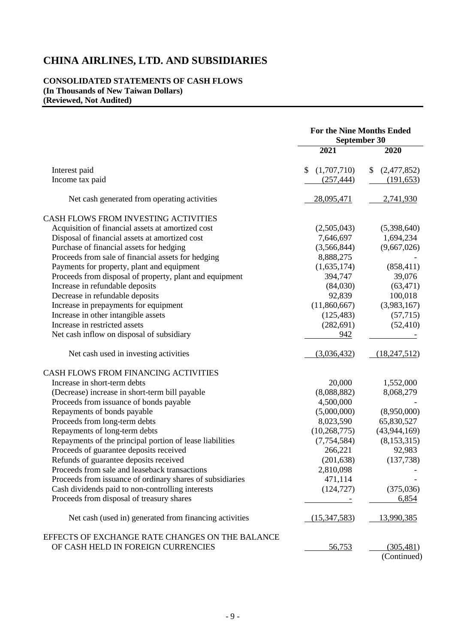# **CONSOLIDATED STATEMENTS OF CASH FLOWS (In Thousands of New Taiwan Dollars) (Reviewed, Not Audited)**

|                                                           | <b>For the Nine Months Ended</b><br>September 30 |                   |  |
|-----------------------------------------------------------|--------------------------------------------------|-------------------|--|
|                                                           | 2021                                             | 2020              |  |
| Interest paid                                             | (1,707,710)<br>\$                                | (2,477,852)<br>\$ |  |
| Income tax paid                                           | (257, 444)                                       | (191, 653)        |  |
| Net cash generated from operating activities              | 28,095,471                                       | 2,741,930         |  |
| CASH FLOWS FROM INVESTING ACTIVITIES                      |                                                  |                   |  |
| Acquisition of financial assets at amortized cost         | (2,505,043)                                      | (5,398,640)       |  |
| Disposal of financial assets at amortized cost            | 7,646,697                                        | 1,694,234         |  |
| Purchase of financial assets for hedging                  | (3,566,844)                                      | (9,667,026)       |  |
| Proceeds from sale of financial assets for hedging        | 8,888,275                                        |                   |  |
| Payments for property, plant and equipment                | (1,635,174)                                      | (858, 411)        |  |
| Proceeds from disposal of property, plant and equipment   | 394,747                                          | 39,076            |  |
| Increase in refundable deposits                           | (84,030)                                         | (63, 471)         |  |
| Decrease in refundable deposits                           | 92,839                                           | 100,018           |  |
| Increase in prepayments for equipment                     | (11,860,667)                                     | (3,983,167)       |  |
| Increase in other intangible assets                       | (125, 483)                                       | (57,715)          |  |
| Increase in restricted assets                             | (282, 691)                                       | (52, 410)         |  |
| Net cash inflow on disposal of subsidiary                 | 942                                              |                   |  |
| Net cash used in investing activities                     | (3,036,432)                                      | (18, 247, 512)    |  |
| CASH FLOWS FROM FINANCING ACTIVITIES                      |                                                  |                   |  |
| Increase in short-term debts                              | 20,000                                           | 1,552,000         |  |
| (Decrease) increase in short-term bill payable            | (8,088,882)                                      | 8,068,279         |  |
| Proceeds from issuance of bonds payable                   | 4,500,000                                        |                   |  |
| Repayments of bonds payable                               | (5,000,000)                                      | (8,950,000)       |  |
| Proceeds from long-term debts                             | 8,023,590                                        | 65,830,527        |  |
| Repayments of long-term debts                             | (10, 268, 775)                                   | (43, 944, 169)    |  |
| Repayments of the principal portion of lease liabilities  | (7,754,584)                                      | (8, 153, 315)     |  |
| Proceeds of guarantee deposits received                   | 266,221                                          | 92,983            |  |
| Refunds of guarantee deposits received                    | (201, 638)                                       | (137, 738)        |  |
| Proceeds from sale and leaseback transactions             | 2,810,098                                        |                   |  |
| Proceeds from issuance of ordinary shares of subsidiaries | 471,114                                          |                   |  |
| Cash dividends paid to non-controlling interests          | (124, 727)                                       | (375,036)         |  |
| Proceeds from disposal of treasury shares                 |                                                  | 6,854             |  |
| Net cash (used in) generated from financing activities    | (15,347,583)                                     | <u>13,990,385</u> |  |
| EFFECTS OF EXCHANGE RATE CHANGES ON THE BALANCE           |                                                  |                   |  |
| OF CASH HELD IN FOREIGN CURRENCIES                        | <u>56,753</u>                                    | (305, 481)        |  |
|                                                           |                                                  | (Continued)       |  |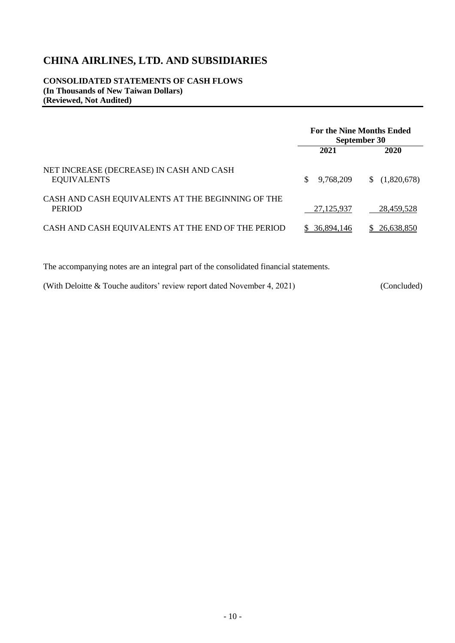**CONSOLIDATED STATEMENTS OF CASH FLOWS (In Thousands of New Taiwan Dollars) (Reviewed, Not Audited)**

|                                                                    | <b>For the Nine Months Ended</b><br>September 30 |                  |  |
|--------------------------------------------------------------------|--------------------------------------------------|------------------|--|
|                                                                    | 2021                                             | 2020             |  |
| NET INCREASE (DECREASE) IN CASH AND CASH<br><b>EQUIVALENTS</b>     | S<br>9,768,209                                   | (1,820,678)<br>S |  |
| CASH AND CASH EQUIVALENTS AT THE BEGINNING OF THE<br><b>PERIOD</b> | 27,125,937                                       | 28,459,528       |  |
| CASH AND CASH EQUIVALENTS AT THE END OF THE PERIOD                 | 36,894,146                                       | 26.638.850       |  |

The accompanying notes are an integral part of the consolidated financial statements.

(With Deloitte & Touche auditors' review report dated November 4, 2021) (Concluded)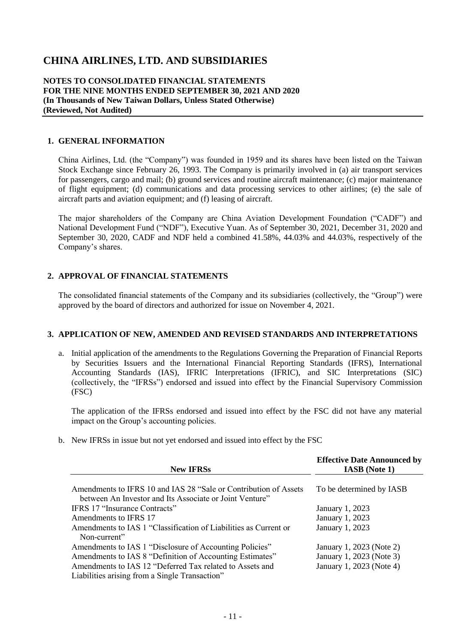#### **NOTES TO CONSOLIDATED FINANCIAL STATEMENTS FOR THE NINE MONTHS ENDED SEPTEMBER 30, 2021 AND 2020 (In Thousands of New Taiwan Dollars, Unless Stated Otherwise) (Reviewed, Not Audited)**

### **1. GENERAL INFORMATION**

China Airlines, Ltd. (the "Company") was founded in 1959 and its shares have been listed on the Taiwan Stock Exchange since February 26, 1993. The Company is primarily involved in (a) air transport services for passengers, cargo and mail; (b) ground services and routine aircraft maintenance; (c) major maintenance of flight equipment; (d) communications and data processing services to other airlines; (e) the sale of aircraft parts and aviation equipment; and (f) leasing of aircraft.

The major shareholders of the Company are China Aviation Development Foundation ("CADF") and National Development Fund ("NDF"), Executive Yuan. As of September 30, 2021, December 31, 2020 and September 30, 2020, CADF and NDF held a combined 41.58%, 44.03% and 44.03%, respectively of the Company's shares.

#### **2. APPROVAL OF FINANCIAL STATEMENTS**

The consolidated financial statements of the Company and its subsidiaries (collectively, the "Group") were approved by the board of directors and authorized for issue on November 4, 2021.

#### **3. APPLICATION OF NEW, AMENDED AND REVISED STANDARDS AND INTERPRETATIONS**

a. Initial application of the amendments to the Regulations Governing the Preparation of Financial Reports by Securities Issuers and the International Financial Reporting Standards (IFRS), International Accounting Standards (IAS), IFRIC Interpretations (IFRIC), and SIC Interpretations (SIC) (collectively, the "IFRSs") endorsed and issued into effect by the Financial Supervisory Commission (FSC)

The application of the IFRSs endorsed and issued into effect by the FSC did not have any material impact on the Group's accounting policies.

b. New IFRSs in issue but not yet endorsed and issued into effect by the FSC

| <b>New IFRSs</b>                                                                                                            | <b>Effective Date Announced by</b><br><b>IASB</b> (Note 1) |
|-----------------------------------------------------------------------------------------------------------------------------|------------------------------------------------------------|
| Amendments to IFRS 10 and IAS 28 "Sale or Contribution of Assets<br>between An Investor and Its Associate or Joint Venture" | To be determined by IASB                                   |
| <b>IFRS 17 "Insurance Contracts"</b>                                                                                        | January 1, 2023                                            |
| Amendments to IFRS 17                                                                                                       | January 1, 2023                                            |
| Amendments to IAS 1 "Classification of Liabilities as Current or<br>Non-current"                                            | January 1, 2023                                            |
| Amendments to IAS 1 "Disclosure of Accounting Policies"                                                                     | January 1, 2023 (Note 2)                                   |
| Amendments to IAS 8 "Definition of Accounting Estimates"                                                                    | January 1, 2023 (Note 3)                                   |
| Amendments to IAS 12 "Deferred Tax related to Assets and<br>Liabilities arising from a Single Transaction"                  | January 1, 2023 (Note 4)                                   |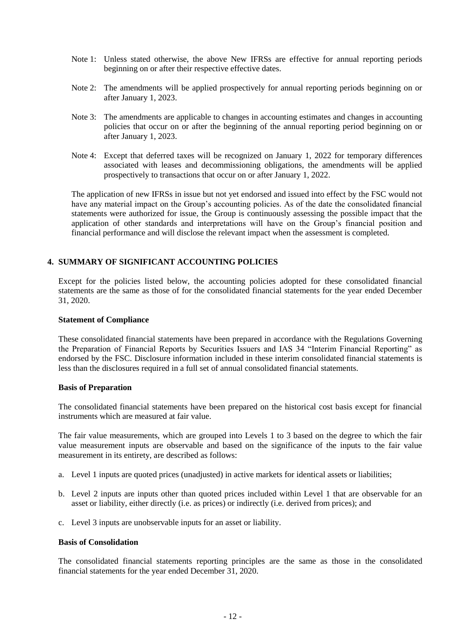- Note 1: Unless stated otherwise, the above New IFRSs are effective for annual reporting periods beginning on or after their respective effective dates.
- Note 2: The amendments will be applied prospectively for annual reporting periods beginning on or after January 1, 2023.
- Note 3: The amendments are applicable to changes in accounting estimates and changes in accounting policies that occur on or after the beginning of the annual reporting period beginning on or after January 1, 2023.
- Note 4: Except that deferred taxes will be recognized on January 1, 2022 for temporary differences associated with leases and decommissioning obligations, the amendments will be applied prospectively to transactions that occur on or after January 1, 2022.

The application of new IFRSs in issue but not yet endorsed and issued into effect by the FSC would not have any material impact on the Group's accounting policies. As of the date the consolidated financial statements were authorized for issue, the Group is continuously assessing the possible impact that the application of other standards and interpretations will have on the Group's financial position and financial performance and will disclose the relevant impact when the assessment is completed.

# **4. SUMMARY OF SIGNIFICANT ACCOUNTING POLICIES**

Except for the policies listed below, the accounting policies adopted for these consolidated financial statements are the same as those of for the consolidated financial statements for the year ended December 31, 2020.

#### **Statement of Compliance**

These consolidated financial statements have been prepared in accordance with the Regulations Governing the Preparation of Financial Reports by Securities Issuers and IAS 34 "Interim Financial Reporting" as endorsed by the FSC. Disclosure information included in these interim consolidated financial statements is less than the disclosures required in a full set of annual consolidated financial statements.

#### **Basis of Preparation**

The consolidated financial statements have been prepared on the historical cost basis except for financial instruments which are measured at fair value.

The fair value measurements, which are grouped into Levels 1 to 3 based on the degree to which the fair value measurement inputs are observable and based on the significance of the inputs to the fair value measurement in its entirety, are described as follows:

- a. Level 1 inputs are quoted prices (unadjusted) in active markets for identical assets or liabilities;
- b. Level 2 inputs are inputs other than quoted prices included within Level 1 that are observable for an asset or liability, either directly (i.e. as prices) or indirectly (i.e. derived from prices); and
- c. Level 3 inputs are unobservable inputs for an asset or liability.

#### **Basis of Consolidation**

The consolidated financial statements reporting principles are the same as those in the consolidated financial statements for the year ended December 31, 2020.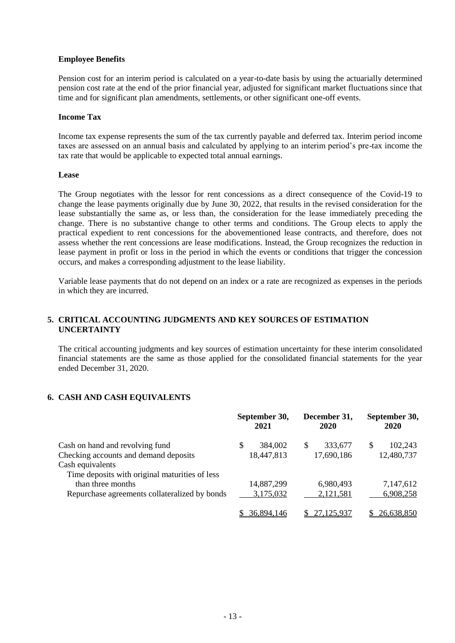## **Employee Benefits**

Pension cost for an interim period is calculated on a year-to-date basis by using the actuarially determined pension cost rate at the end of the prior financial year, adjusted for significant market fluctuations since that time and for significant plan amendments, settlements, or other significant one-off events.

## **Income Tax**

Income tax expense represents the sum of the tax currently payable and deferred tax. Interim period income taxes are assessed on an annual basis and calculated by applying to an interim period's pre-tax income the tax rate that would be applicable to expected total annual earnings.

#### **Lease**

The Group negotiates with the lessor for rent concessions as a direct consequence of the Covid-19 to change the lease payments originally due by June 30, 2022, that results in the revised consideration for the lease substantially the same as, or less than, the consideration for the lease immediately preceding the change. There is no substantive change to other terms and conditions. The Group elects to apply the practical expedient to rent concessions for the abovementioned lease contracts, and therefore, does not assess whether the rent concessions are lease modifications. Instead, the Group recognizes the reduction in lease payment in profit or loss in the period in which the events or conditions that trigger the concession occurs, and makes a corresponding adjustment to the lease liability.

Variable lease payments that do not depend on an index or a rate are recognized as expenses in the periods in which they are incurred.

# **5. CRITICAL ACCOUNTING JUDGMENTS AND KEY SOURCES OF ESTIMATION UNCERTAINTY**

The critical accounting judgments and key sources of estimation uncertainty for these interim consolidated financial statements are the same as those applied for the consolidated financial statements for the year ended December 31, 2020.

# **6. CASH AND CASH EQUIVALENTS**

|                                                | September 30,<br>2021 |            | December 31,<br><b>2020</b> |            | September 30,<br>2020 |            |
|------------------------------------------------|-----------------------|------------|-----------------------------|------------|-----------------------|------------|
| Cash on hand and revolving fund                | S                     | 384,002    | S                           | 333,677    | S                     | 102,243    |
| Checking accounts and demand deposits          |                       | 18,447,813 |                             | 17,690,186 |                       | 12,480,737 |
| Cash equivalents                               |                       |            |                             |            |                       |            |
| Time deposits with original maturities of less |                       |            |                             |            |                       |            |
| than three months                              |                       | 14,887,299 |                             | 6,980,493  |                       | 7,147,612  |
| Repurchase agreements collateralized by bonds  |                       | 3,175,032  |                             | 2,121,581  |                       | 6,908,258  |
|                                                |                       | 36,894,146 |                             | 27.125.937 |                       | 26,638,850 |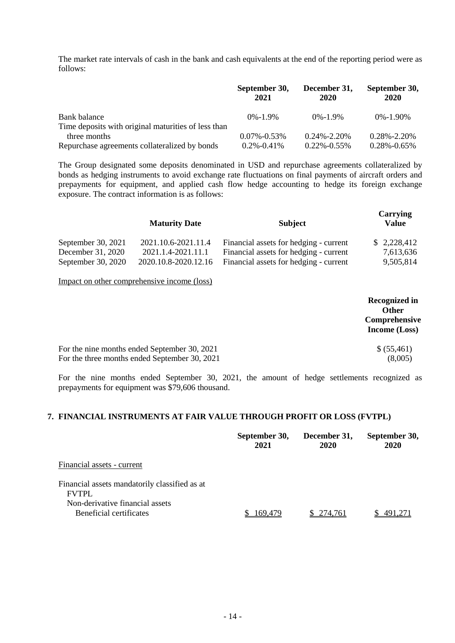The market rate intervals of cash in the bank and cash equivalents at the end of the reporting period were as follows:

|                                                                     | September 30,<br>2021 | December 31,<br>2020 | September 30,<br>2020 |
|---------------------------------------------------------------------|-----------------------|----------------------|-----------------------|
| Bank balance                                                        | $0\% - 1.9\%$         | $0\% - 1.9\%$        | $0\% - 1.90\%$        |
| Time deposits with original maturities of less than<br>three months | $0.07\% - 0.53\%$     | $0.24\% - 2.20\%$    | $0.28\% - 2.20\%$     |
| Repurchase agreements collateralized by bonds                       | $0.2\% - 0.41\%$      | $0.22\% -0.55\%$     | $0.28\% - 0.65\%$     |

The Group designated some deposits denominated in USD and repurchase agreements collateralized by bonds as hedging instruments to avoid exchange rate fluctuations on final payments of aircraft orders and prepayments for equipment, and applied cash flow hedge accounting to hedge its foreign exchange exposure. The contract information is as follows:

|                    | <b>Maturity Date</b> | <b>Subject</b>                         | Carrying<br><b>Value</b> |
|--------------------|----------------------|----------------------------------------|--------------------------|
| September 30, 2021 | 2021.10.6-2021.11.4  | Financial assets for hedging - current | \$2,228,412              |
| December 31, 2020  | 2021.1.4-2021.11.1   | Financial assets for hedging - current | 7,613,636                |
| September 30, 2020 | 2020.10.8-2020.12.16 | Financial assets for hedging - current | 9,505,814                |
|                    |                      |                                        |                          |

Impact on other comprehensive income (loss)

|                                               | <b>Recognized in</b><br><b>Other</b><br>Comprehensive<br>Income (Loss) |
|-----------------------------------------------|------------------------------------------------------------------------|
| For the nine months ended September 30, 2021  | \$ (55,461)                                                            |
| For the three months ended September 30, 2021 | (8,005)                                                                |

For the nine months ended September 30, 2021, the amount of hedge settlements recognized as prepayments for equipment was \$79,606 thousand.

# **7. FINANCIAL INSTRUMENTS AT FAIR VALUE THROUGH PROFIT OR LOSS (FVTPL)**

|                                                                                                  | September 30,<br>2021 | December 31,<br>2020 | September 30,<br>2020 |
|--------------------------------------------------------------------------------------------------|-----------------------|----------------------|-----------------------|
| Financial assets - current                                                                       |                       |                      |                       |
| Financial assets mandatorily classified as at<br><b>FVTPL</b><br>Non-derivative financial assets |                       |                      |                       |
| Beneficial certificates                                                                          | 69.479                | 274.761              |                       |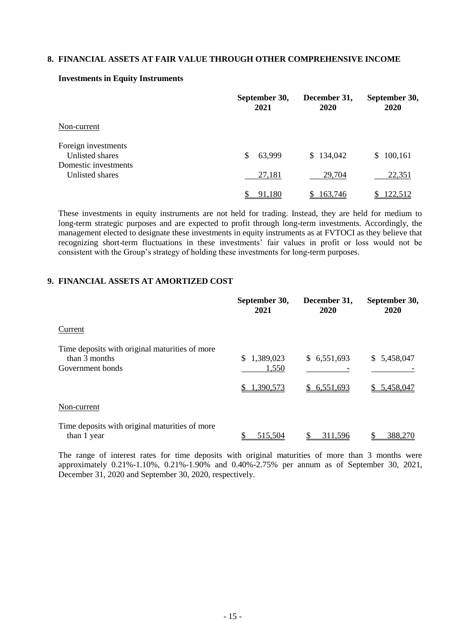# **8. FINANCIAL ASSETS AT FAIR VALUE THROUGH OTHER COMPREHENSIVE INCOME**

|                                         | September 30,<br>2021 | December 31,<br>2020 | September 30,<br>2020 |  |
|-----------------------------------------|-----------------------|----------------------|-----------------------|--|
| Non-current                             |                       |                      |                       |  |
| Foreign investments<br>Unlisted shares  | 63,999<br>S           | 134,042<br>\$.       | \$100,161             |  |
| Domestic investments<br>Unlisted shares | 27,181                | 29,704               | 22,351                |  |
|                                         | 91,180                | 163,746              | 122,512               |  |

#### **Investments in Equity Instruments**

These investments in equity instruments are not held for trading. Instead, they are held for medium to long-term strategic purposes and are expected to profit through long-term investments. Accordingly, the management elected to designate these investments in equity instruments as at FVTOCI as they believe that recognizing short-term fluctuations in these investments' fair values in profit or loss would not be consistent with the Group's strategy of holding these investments for long-term purposes.

# **9. FINANCIAL ASSETS AT AMORTIZED COST**

|                                                                                     | September 30,<br>2021                       | December 31,<br>2020       | September 30,<br>2020      |
|-------------------------------------------------------------------------------------|---------------------------------------------|----------------------------|----------------------------|
| Current                                                                             |                                             |                            |                            |
| Time deposits with original maturities of more<br>than 3 months<br>Government bonds | \$<br>1,389,023<br>1,550<br>1,390,573<br>S. | \$6,551,693<br>\$6,551,693 | \$5,458,047<br>\$5,458,047 |
| Non-current                                                                         |                                             |                            |                            |
| Time deposits with original maturities of more<br>than 1 year                       | 515.504                                     | 311.596                    | 388,270                    |

The range of interest rates for time deposits with original maturities of more than 3 months were approximately 0.21%-1.10%, 0.21%-1.90% and 0.40%-2.75% per annum as of September 30, 2021, December 31, 2020 and September 30, 2020, respectively.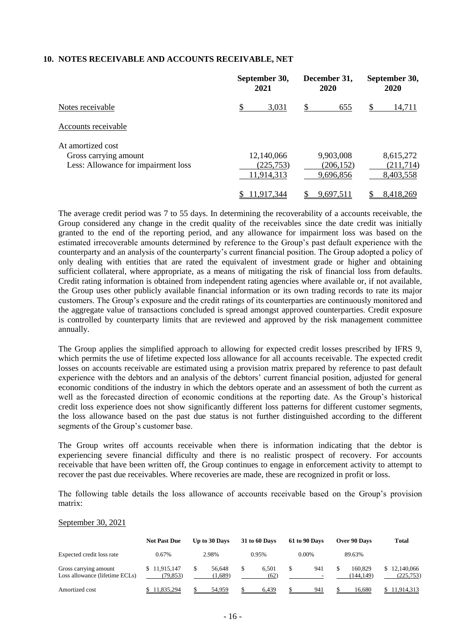#### **10. NOTES RECEIVABLE AND ACCOUNTS RECEIVABLE, NET**

|                                     | September 30,<br>2021 | December 31,<br>2020 | September 30,<br>2020 |  |
|-------------------------------------|-----------------------|----------------------|-----------------------|--|
| Notes receivable                    | \$<br>3,031           | 655<br>S             | 14,711<br>S           |  |
| Accounts receivable                 |                       |                      |                       |  |
| At amortized cost                   |                       |                      |                       |  |
| Gross carrying amount               | 12,140,066            | 9,903,008            | 8,615,272             |  |
| Less: Allowance for impairment loss | (225, 753)            | (206, 152)           | (211,714)             |  |
|                                     | 11,914,313            | 9,696,856            | 8,403,558             |  |
|                                     | 11.917.344            | 9,697,511            | 8,418,269             |  |

The average credit period was 7 to 55 days. In determining the recoverability of a accounts receivable, the Group considered any change in the credit quality of the receivables since the date credit was initially granted to the end of the reporting period, and any allowance for impairment loss was based on the estimated irrecoverable amounts determined by reference to the Group's past default experience with the counterparty and an analysis of the counterparty's current financial position. The Group adopted a policy of only dealing with entities that are rated the equivalent of investment grade or higher and obtaining sufficient collateral, where appropriate, as a means of mitigating the risk of financial loss from defaults. Credit rating information is obtained from independent rating agencies where available or, if not available, the Group uses other publicly available financial information or its own trading records to rate its major customers. The Group's exposure and the credit ratings of its counterparties are continuously monitored and the aggregate value of transactions concluded is spread amongst approved counterparties. Credit exposure is controlled by counterparty limits that are reviewed and approved by the risk management committee annually.

The Group applies the simplified approach to allowing for expected credit losses prescribed by IFRS 9, which permits the use of lifetime expected loss allowance for all accounts receivable. The expected credit losses on accounts receivable are estimated using a provision matrix prepared by reference to past default experience with the debtors and an analysis of the debtors' current financial position, adjusted for general economic conditions of the industry in which the debtors operate and an assessment of both the current as well as the forecasted direction of economic conditions at the reporting date. As the Group's historical credit loss experience does not show significantly different loss patterns for different customer segments, the loss allowance based on the past due status is not further distinguished according to the different segments of the Group's customer base.

The Group writes off accounts receivable when there is information indicating that the debtor is experiencing severe financial difficulty and there is no realistic prospect of recovery. For accounts receivable that have been written off, the Group continues to engage in enforcement activity to attempt to recover the past due receivables. Where recoveries are made, these are recognized in profit or loss.

The following table details the loss allowance of accounts receivable based on the Group's provision matrix:

#### September 30, 2021

|                                                         | <b>Not Past Due</b>      | Up to 30 Days     |   | 31 to 60 Days | 61 to 90 Days | Over 90 Days         | <b>Total</b>             |
|---------------------------------------------------------|--------------------------|-------------------|---|---------------|---------------|----------------------|--------------------------|
| Expected credit loss rate                               | 0.67%                    | 2.98%             |   | 0.95%         | $0.00\%$      | 89.63%               |                          |
| Gross carrying amount<br>Loss allowance (lifetime ECLs) | \$11,915,147<br>(79.853) | 56.648<br>(1,689) | S | 6.501<br>(62) | 941<br>-      | 160.829<br>(144.149) | 12,140,066<br>(225, 753) |
| Amortized cost                                          | 11,835,294               | 54.959            |   | 6.439         | 941           | 16.680               | 1.914.313                |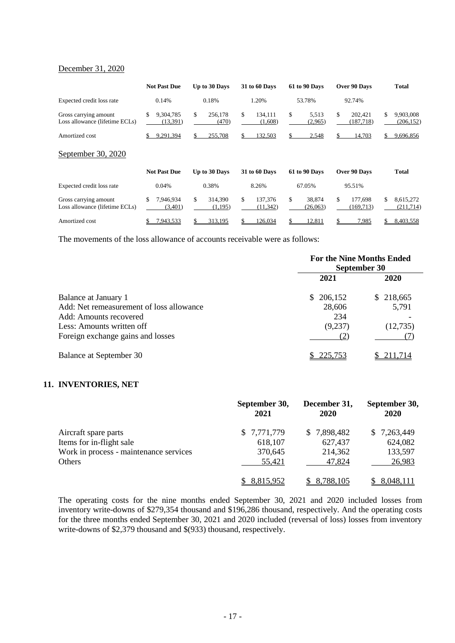# December 31, 2020

|                                                         | <b>Not Past Due</b>          | Up to 30 Days            | <b>31 to 60 Days</b>       | 61 to 90 Days            | Over 90 Days                | <b>Total</b>                   |
|---------------------------------------------------------|------------------------------|--------------------------|----------------------------|--------------------------|-----------------------------|--------------------------------|
| Expected credit loss rate                               | 0.14%                        | 0.18%                    | 1.20%                      | 53.78%                   | 92.74%                      |                                |
| Gross carrying amount<br>Loss allowance (lifetime ECLs) | \$<br>9,304,785<br>(13, 391) | \$<br>256,178<br>(470)   | \$<br>134.111<br>(1,608)   | \$<br>5,513<br>(2,965)   | \$<br>202.421<br>(187, 718) | \$.<br>9,903,008<br>(206, 152) |
| Amortized cost                                          | 9,291,394<br>\$              | \$<br>255,708            | 132,503<br>S.              | 2,548<br>\$              | 14,703                      | \$<br>9,696,856                |
| September 30, 2020                                      |                              |                          |                            |                          |                             |                                |
|                                                         | <b>Not Past Due</b>          | Up to 30 Days            | <b>31 to 60 Days</b>       | 61 to 90 Days            | Over 90 Days                | <b>Total</b>                   |
| Expected credit loss rate                               | 0.04%                        | 0.38%                    | 8.26%                      | 67.05%                   | 95.51%                      |                                |
| Gross carrying amount<br>Loss allowance (lifetime ECLs) | \$<br>7,946,934<br>(3,401)   | \$<br>314,390<br>(1,195) | \$<br>137,376<br>(11, 342) | \$<br>38.874<br>(26,063) | \$<br>177,698<br>(169, 713) | \$<br>8,615,272<br>(211,714)   |
| Amortized cost                                          | 7,943,533<br>\$              | 313,195                  | 126,034                    | 12,811                   | 7,985                       | 8.403,558                      |

The movements of the loss allowance of accounts receivable were as follows:

|                                          |           | <b>For the Nine Months Ended</b><br>September 30 |
|------------------------------------------|-----------|--------------------------------------------------|
|                                          | 2021      | 2020                                             |
| Balance at January 1                     | \$206,152 | \$218,665                                        |
| Add: Net remeasurement of loss allowance | 28,606    | 5,791                                            |
| Add: Amounts recovered                   | 234       |                                                  |
| Less: Amounts written off                | (9,237)   | (12,735)                                         |
| Foreign exchange gains and losses        |           |                                                  |
| Balance at September 30                  | 225.753   | 211.714                                          |

## **11. INVENTORIES, NET**

|                                        | September 30,<br>2021 | December 31,<br>2020 | September 30,<br>2020 |
|----------------------------------------|-----------------------|----------------------|-----------------------|
| Aircraft spare parts                   | \$7,771,779           | \$7,898,482          | \$7,263,449           |
| Items for in-flight sale               | 618,107               | 627,437              | 624,082               |
| Work in process - maintenance services | 370,645               | 214,362              | 133,597               |
| Others                                 | 55,421                | 47,824               | 26,983                |
|                                        | 8,815,952             | 8,788,105            | 8,048,111             |

The operating costs for the nine months ended September 30, 2021 and 2020 included losses from inventory write-downs of \$279,354 thousand and \$196,286 thousand, respectively. And the operating costs for the three months ended September 30, 2021 and 2020 included (reversal of loss) losses from inventory write-downs of \$2,379 thousand and \$(933) thousand, respectively.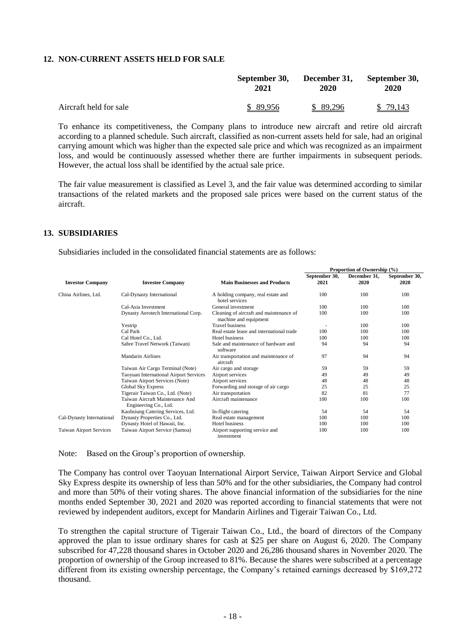### **12. NON-CURRENT ASSETS HELD FOR SALE**

|                        | September 30, | December 31, | September 30, |  |
|------------------------|---------------|--------------|---------------|--|
|                        | 2021          | 2020         | 2020          |  |
| Aircraft held for sale | \$ 89,956     | \$ 89,296    | \$79,143      |  |

To enhance its competitiveness, the Company plans to introduce new aircraft and retire old aircraft according to a planned schedule. Such aircraft, classified as non-current assets held for sale, had an original carrying amount which was higher than the expected sale price and which was recognized as an impairment loss, and would be continuously assessed whether there are further impairments in subsequent periods. However, the actual loss shall be identified by the actual sale price.

The fair value measurement is classified as Level 3, and the fair value was determined according to similar transactions of the related markets and the proposed sale prices were based on the current status of the aircraft.

### **13. SUBSIDIARIES**

Subsidiaries included in the consolidated financial statements are as follows:

| <b>Investor Company</b><br><b>Investee Company</b> |                                                          |                                                                  | Proportion of Ownership (%) |                      |                       |  |
|----------------------------------------------------|----------------------------------------------------------|------------------------------------------------------------------|-----------------------------|----------------------|-----------------------|--|
|                                                    |                                                          | <b>Main Businesses and Products</b>                              | September 30,<br>2021       | December 31,<br>2020 | September 30,<br>2020 |  |
| China Airlines, Ltd.                               | Cal-Dynasty International                                | A holding company, real estate and<br>hotel services             | 100                         | 100                  | 100                   |  |
|                                                    | Cal-Asia Investment                                      | General investment                                               | 100                         | 100                  | 100                   |  |
|                                                    | Dynasty Aerotech International Corp.                     | Cleaning of aircraft and maintenance of<br>machine and equipment | 100                         | 100                  | 100                   |  |
|                                                    | Yestrip                                                  | <b>Travel business</b>                                           |                             | 100                  | 100                   |  |
|                                                    | Cal Park                                                 | Real estate lease and international trade                        | 100                         | 100                  | 100                   |  |
|                                                    | Cal Hotel Co., Ltd.                                      | Hotel business                                                   | 100                         | 100                  | 100                   |  |
|                                                    | Sabre Travel Network (Taiwan)                            | Sale and maintenance of hardware and<br>software                 | 94                          | 94                   | 94                    |  |
|                                                    | Mandarin Airlines                                        | Air transportation and maintenance of<br>aircraft                | 97                          | 94                   | 94                    |  |
|                                                    | Taiwan Air Cargo Terminal (Note)                         | Air cargo and storage                                            | 59                          | 59                   | 59                    |  |
|                                                    | <b>Taoyuan International Airport Services</b>            | Airport services                                                 | 49                          | 49                   | 49                    |  |
|                                                    | Taiwan Airport Services (Note)                           | Airport services                                                 | 48                          | 48                   | 48                    |  |
|                                                    | <b>Global Sky Express</b>                                | Forwarding and storage of air cargo                              | 25                          | 25                   | 25                    |  |
|                                                    | Tigerair Taiwan Co., Ltd. (Note)                         | Air transportation                                               | 82                          | 81                   | 77                    |  |
|                                                    | Taiwan Aircraft Maintenance And<br>Engineering Co., Ltd. | Aircraft maintenance                                             | 100                         | 100                  | 100                   |  |
|                                                    | Kaohsiung Catering Services, Ltd.                        | In-flight catering                                               | 54                          | 54                   | 54                    |  |
| Cal-Dynasty International                          | Dynasty Properties Co., Ltd.                             | Real estate management                                           | 100                         | 100                  | 100                   |  |
|                                                    | Dynasty Hotel of Hawaii, Inc.                            | Hotel business                                                   | 100                         | 100                  | 100                   |  |
| <b>Taiwan Airport Services</b>                     | Taiwan Airport Service (Samoa)                           | Airport supporting service and<br>investment                     | 100                         | 100                  | 100                   |  |

Note: Based on the Group's proportion of ownership.

The Company has control over Taoyuan International Airport Service, Taiwan Airport Service and Global Sky Express despite its ownership of less than 50% and for the other subsidiaries, the Company had control and more than 50% of their voting shares. The above financial information of the subsidiaries for the nine months ended September 30, 2021 and 2020 was reported according to financial statements that were not reviewed by independent auditors, except for Mandarin Airlines and Tigerair Taiwan Co., Ltd.

To strengthen the capital structure of Tigerair Taiwan Co., Ltd., the board of directors of the Company approved the plan to issue ordinary shares for cash at \$25 per share on August 6, 2020. The Company subscribed for 47,228 thousand shares in October 2020 and 26,286 thousand shares in November 2020. The proportion of ownership of the Group increased to 81%. Because the shares were subscribed at a percentage different from its existing ownership percentage, the Company's retained earnings decreased by \$169,272 thousand.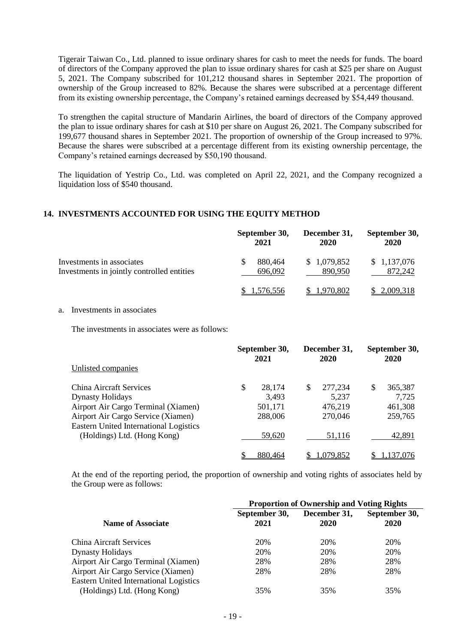Tigerair Taiwan Co., Ltd. planned to issue ordinary shares for cash to meet the needs for funds. The board of directors of the Company approved the plan to issue ordinary shares for cash at \$25 per share on August 5, 2021. The Company subscribed for 101,212 thousand shares in September 2021. The proportion of ownership of the Group increased to 82%. Because the shares were subscribed at a percentage different from its existing ownership percentage, the Company's retained earnings decreased by \$54,449 thousand.

To strengthen the capital structure of Mandarin Airlines, the board of directors of the Company approved the plan to issue ordinary shares for cash at \$10 per share on August 26, 2021. The Company subscribed for 199,677 thousand shares in September 2021. The proportion of ownership of the Group increased to 97%. Because the shares were subscribed at a percentage different from its existing ownership percentage, the Company's retained earnings decreased by \$50,190 thousand.

The liquidation of Yestrip Co., Ltd. was completed on April 22, 2021, and the Company recognized a liquidation loss of \$540 thousand.

# **14. INVESTMENTS ACCOUNTED FOR USING THE EQUITY METHOD**

|                                                                         | September 30,<br>2021   | December 31,<br>2020   | September 30,<br>2020  |  |
|-------------------------------------------------------------------------|-------------------------|------------------------|------------------------|--|
| Investments in associates<br>Investments in jointly controlled entities | S<br>880.464<br>696,092 | \$1,079,852<br>890.950 | \$1,137,076<br>872.242 |  |
|                                                                         | .576,556                | 1.970.802              | 2,009,318              |  |

a. Investments in associates

The investments in associates were as follows:

|                                                                              | September 30,<br>2021 |     | December 31,<br>2020 |   | September 30,<br>2020 |  |
|------------------------------------------------------------------------------|-----------------------|-----|----------------------|---|-----------------------|--|
| Unlisted companies                                                           |                       |     |                      |   |                       |  |
| China Aircraft Services                                                      | \$<br>28,174          | \$. | 277,234              | S | 365,387               |  |
| <b>Dynasty Holidays</b>                                                      | 3,493                 |     | 5,237                |   | 7,725                 |  |
| Airport Air Cargo Terminal (Xiamen)                                          | 501,171               |     | 476,219              |   | 461,308               |  |
| Airport Air Cargo Service (Xiamen)                                           | 288,006               |     | 270,046              |   | 259,765               |  |
| <b>Eastern United International Logistics</b><br>(Holdings) Ltd. (Hong Kong) | 59,620                |     | 51,116               |   | 42,891                |  |
|                                                                              | 880,464               |     | 1,079,852            |   | 1.137.076             |  |

At the end of the reporting period, the proportion of ownership and voting rights of associates held by the Group were as follows:

|                                                                              | <b>Proportion of Ownership and Voting Rights</b> |                      |                       |  |  |  |
|------------------------------------------------------------------------------|--------------------------------------------------|----------------------|-----------------------|--|--|--|
| <b>Name of Associate</b>                                                     | September 30,<br>2021                            | December 31,<br>2020 | September 30,<br>2020 |  |  |  |
| <b>China Aircraft Services</b>                                               | 20%                                              | 20%                  | 20%                   |  |  |  |
| <b>Dynasty Holidays</b>                                                      | 20%                                              | 20%                  | 20%                   |  |  |  |
| Airport Air Cargo Terminal (Xiamen)                                          | 28%                                              | 28%                  | 28%                   |  |  |  |
| Airport Air Cargo Service (Xiamen)                                           | 28%                                              | 28%                  | 28%                   |  |  |  |
| <b>Eastern United International Logistics</b><br>(Holdings) Ltd. (Hong Kong) | 35%                                              | 35%                  | 35%                   |  |  |  |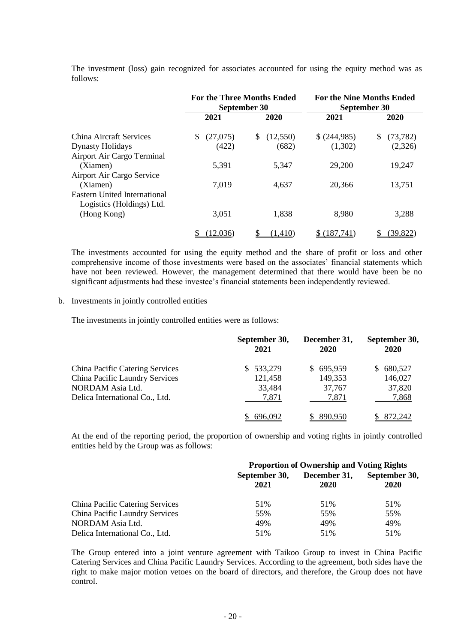The investment (loss) gain recognized for associates accounted for using the equity method was as follows:

|                                                                  | <b>For the Three Months Ended</b><br>September 30 |               | <b>For the Nine Months Ended</b><br>September 30 |                 |  |
|------------------------------------------------------------------|---------------------------------------------------|---------------|--------------------------------------------------|-----------------|--|
|                                                                  | 2021                                              | 2020          | 2021                                             | 2020            |  |
| China Aircraft Services                                          | (27,075)<br>\$.                                   | (12,550)<br>S | \$ (244,985)                                     | \$<br>(73, 782) |  |
| <b>Dynasty Holidays</b>                                          | (422)                                             | (682)         | (1,302)                                          | (2,326)         |  |
| Airport Air Cargo Terminal                                       |                                                   |               |                                                  |                 |  |
| (Xiamen)                                                         | 5,391                                             | 5,347         | 29,200                                           | 19,247          |  |
| Airport Air Cargo Service                                        |                                                   |               |                                                  |                 |  |
| (Xiamen)                                                         | 7,019                                             | 4,637         | 20,366                                           | 13,751          |  |
| <b>Eastern United International</b><br>Logistics (Holdings) Ltd. |                                                   |               |                                                  |                 |  |
| (Hong Kong)                                                      | 3,051                                             | 1,838         | 8,980                                            | 3,288           |  |
|                                                                  | 12,036)                                           | (1,410)       | (187,741)                                        | (39, 822)       |  |

The investments accounted for using the equity method and the share of profit or loss and other comprehensive income of those investments were based on the associates' financial statements which have not been reviewed. However, the management determined that there would have been be no significant adjustments had these investee's financial statements been independently reviewed.

#### b. Investments in jointly controlled entities

The investments in jointly controlled entities were as follows:

|                                 | September 30,<br>2021 | December 31,<br>2020 | September 30,<br><b>2020</b> |
|---------------------------------|-----------------------|----------------------|------------------------------|
| China Pacific Catering Services | \$533,279             | \$695,959            | 680,527<br>S.                |
| China Pacific Laundry Services  | 121,458               | 149,353              | 146,027                      |
| NORDAM Asia Ltd.                | 33,484                | 37,767               | 37,820                       |
| Delica International Co., Ltd.  | 7,871                 | 7,871                | 7,868                        |
|                                 | 696.092               | 890.950              | 872.242                      |

At the end of the reporting period, the proportion of ownership and voting rights in jointly controlled entities held by the Group was as follows:

|                                        | <b>Proportion of Ownership and Voting Rights</b> |                      |                       |  |  |
|----------------------------------------|--------------------------------------------------|----------------------|-----------------------|--|--|
|                                        | September 30,<br>2021                            | December 31,<br>2020 | September 30,<br>2020 |  |  |
| <b>China Pacific Catering Services</b> | 51%                                              | 51%                  | 51%                   |  |  |
| <b>China Pacific Laundry Services</b>  | 55%                                              | 55%                  | 55%                   |  |  |
| NORDAM Asia Ltd.                       | 49%                                              | 49%                  | 49%                   |  |  |
| Delica International Co., Ltd.         | 51%                                              | 51%                  | 51%                   |  |  |

The Group entered into a joint venture agreement with Taikoo Group to invest in China Pacific Catering Services and China Pacific Laundry Services. According to the agreement, both sides have the right to make major motion vetoes on the board of directors, and therefore, the Group does not have control.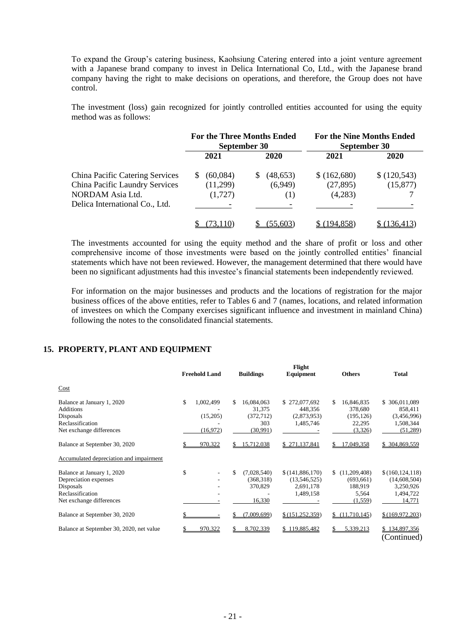To expand the Group's catering business, Kaohsiung Catering entered into a joint venture agreement with a Japanese brand company to invest in Delica International Co, Ltd., with the Japanese brand company having the right to make decisions on operations, and therefore, the Group does not have control.

The investment (loss) gain recognized for jointly controlled entities accounted for using the equity method was as follows:

|                                 | <b>For the Three Months Ended</b><br>September 30 |           | <b>For the Nine Months Ended</b><br>September 30 |            |  |
|---------------------------------|---------------------------------------------------|-----------|--------------------------------------------------|------------|--|
|                                 | 2021                                              | 2020      | 2021                                             | 2020       |  |
| China Pacific Catering Services | (60,084)<br>S.                                    | (48, 653) | \$ (162,680)                                     | (120, 543) |  |
| China Pacific Laundry Services  | (11,299)                                          | (6,949)   | (27, 895)                                        | (15, 877)  |  |
| NORDAM Asia Ltd.                | (1,727)                                           | (1)       | (4,283)                                          |            |  |
| Delica International Co., Ltd.  |                                                   |           |                                                  |            |  |
|                                 |                                                   | (55.603)  | 194.858)                                         | (136.413)  |  |

The investments accounted for using the equity method and the share of profit or loss and other comprehensive income of those investments were based on the jointly controlled entities' financial statements which have not been reviewed. However, the management determined that there would have been no significant adjustments had this investee's financial statements been independently reviewed.

For information on the major businesses and products and the locations of registration for the major business offices of the above entities, refer to Tables 6 and 7 (names, locations, and related information of investees on which the Company exercises significant influence and investment in mainland China) following the notes to the consolidated financial statements.

### **15. PROPERTY, PLANT AND EQUIPMENT**

|                                                                                                                  | <b>Freehold Land</b>                     |    | <b>Buildings</b>                                      | Flight<br>Equipment                                       |    | <b>Others</b>                                             | <b>Total</b>                                                          |
|------------------------------------------------------------------------------------------------------------------|------------------------------------------|----|-------------------------------------------------------|-----------------------------------------------------------|----|-----------------------------------------------------------|-----------------------------------------------------------------------|
| Cost                                                                                                             |                                          |    |                                                       |                                                           |    |                                                           |                                                                       |
| Balance at January 1, 2020<br><b>Additions</b><br>Disposals<br>Reclassification<br>Net exchange differences      | \$<br>1,002,499<br>(15,205)<br>(16, 972) | S. | 16,084,063<br>31,375<br>(372, 712)<br>303<br>(30,991) | \$272,077,692<br>448,356<br>(2,873,953)<br>1,485,746      | S. | 16,846,835<br>378,680<br>(195, 126)<br>22,295<br>(3,326)  | \$ 306,011,089<br>858,411<br>(3,456,996)<br>1,508,344<br>(51,289)     |
| Balance at September 30, 2020                                                                                    | 970,322                                  | S. | 15,712,038                                            | \$271,137,841                                             |    | 17,049,358                                                | \$ 304,869,559                                                        |
| Accumulated depreciation and impairment                                                                          |                                          |    |                                                       |                                                           |    |                                                           |                                                                       |
| Balance at January 1, 2020<br>Depreciation expenses<br>Disposals<br>Reclassification<br>Net exchange differences | \$                                       | \$ | (7,028,540)<br>(368,318)<br>370,829<br>16,330         | \$(141,886,170)<br>(13,546,525)<br>2,691,178<br>1,489,158 | S. | (11,209,408)<br>(693, 661)<br>188,919<br>5,564<br>(1,559) | \$(160, 124, 118)<br>(14,608,504)<br>3,250,926<br>1,494,722<br>14,771 |
| Balance at September 30, 2020                                                                                    |                                          |    | (7,009,699)                                           | \$(151, 252, 359)                                         | S. | (11,710,145)                                              | \$(169, 972, 203)                                                     |
| Balance at September 30, 2020, net value                                                                         | 970,322                                  | S  | 8,702,339                                             | \$119,885,482                                             | S. | 5,339,213                                                 | \$134,897,356<br>(Continued)                                          |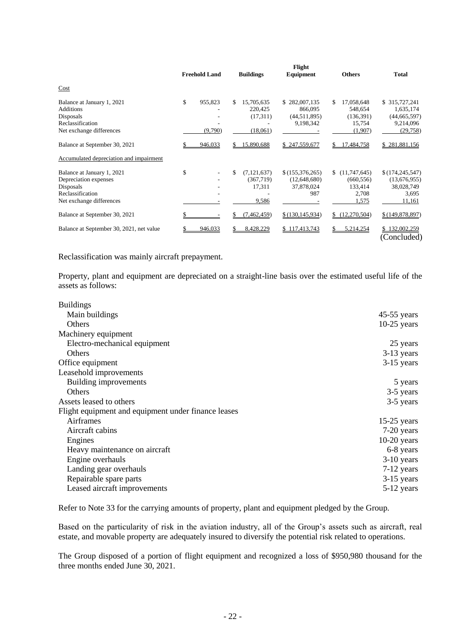|                                                                                                                  | <b>Freehold Land</b>     |    | <b>Buildings</b>                              | Flight<br>Equipment                                     |     | <b>Others</b>                                           | <b>Total</b>                                                           |
|------------------------------------------------------------------------------------------------------------------|--------------------------|----|-----------------------------------------------|---------------------------------------------------------|-----|---------------------------------------------------------|------------------------------------------------------------------------|
| Cost                                                                                                             |                          |    |                                               |                                                         |     |                                                         |                                                                        |
| Balance at January 1, 2021<br><b>Additions</b><br>Disposals<br>Reclassification<br>Net exchange differences      | \$<br>955,823<br>(9,790) | S. | 15,705,635<br>220,425<br>(17,311)<br>(18,061) | \$282,007,135<br>866,095<br>(44, 511, 895)<br>9,198,342 | \$  | 17,058,648<br>548,654<br>(136,391)<br>15,754<br>(1,907) | \$ 315,727,241<br>1,635,174<br>(44, 665, 597)<br>9,214,096<br>(29,758) |
| Balance at September 30, 2021                                                                                    | 946,033                  |    | 15,890,688                                    | \$247,559,677                                           | \$  | 17,484,758                                              | \$281,881,156                                                          |
| Accumulated depreciation and impairment                                                                          |                          |    |                                               |                                                         |     |                                                         |                                                                        |
| Balance at January 1, 2021<br>Depreciation expenses<br>Disposals<br>Reclassification<br>Net exchange differences | \$                       | \$ | (7, 121, 637)<br>(367,719)<br>17,311<br>9,586 | \$(155,376,265)<br>(12,648,680)<br>37,878,024<br>987    | \$. | (11,747,645)<br>(660, 556)<br>133,414<br>2,708<br>1,575 | \$(174, 245, 547)<br>(13,676,955)<br>38,028,749<br>3.695<br>11,161     |
| Balance at September 30, 2021                                                                                    |                          | S  | (7,462,459)                                   | \$(130, 145, 934)                                       |     | \$(12,270,504)                                          | \$(149,878,897)                                                        |
| Balance at September 30, 2021, net value                                                                         | 946,033                  | S  | 8,428,229                                     | \$117,413,743                                           | \$  | 5,214,254                                               | \$132,002,259<br>(Concluded)                                           |

Reclassification was mainly aircraft prepayment.

Property, plant and equipment are depreciated on a straight-line basis over the estimated useful life of the assets as follows:

| <b>Buildings</b>                                    |               |
|-----------------------------------------------------|---------------|
| Main buildings                                      | $45-55$ years |
| Others                                              | $10-25$ years |
| Machinery equipment                                 |               |
| Electro-mechanical equipment                        | 25 years      |
| <b>Others</b>                                       | $3-13$ years  |
| Office equipment                                    | $3-15$ years  |
| Leasehold improvements                              |               |
| Building improvements                               | 5 years       |
| Others                                              | 3-5 years     |
| Assets leased to others                             | 3-5 years     |
| Flight equipment and equipment under finance leases |               |
| Airframes                                           | $15-25$ years |
| Aircraft cabins                                     | 7-20 years    |
| Engines                                             | $10-20$ years |
| Heavy maintenance on aircraft                       | 6-8 years     |
| Engine overhauls                                    | $3-10$ years  |
| Landing gear overhauls                              | $7-12$ years  |
| Repairable spare parts                              | 3-15 years    |
| Leased aircraft improvements                        | 5-12 years    |

Refer to Note 33 for the carrying amounts of property, plant and equipment pledged by the Group.

Based on the particularity of risk in the aviation industry, all of the Group's assets such as aircraft, real estate, and movable property are adequately insured to diversify the potential risk related to operations.

The Group disposed of a portion of flight equipment and recognized a loss of \$950,980 thousand for the three months ended June 30, 2021.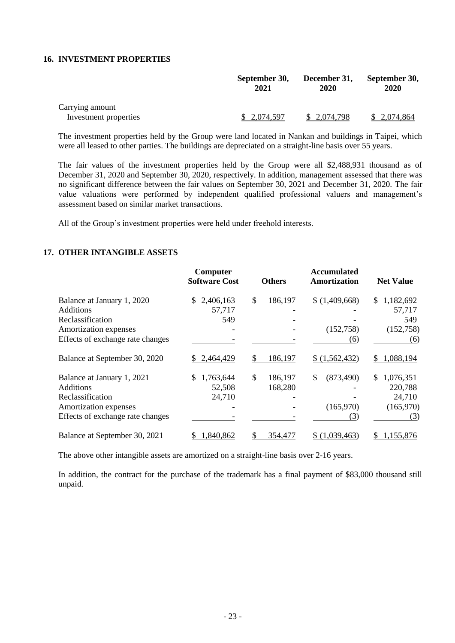#### **16. INVESTMENT PROPERTIES**

|                       | September 30,<br>2021 | December 31,<br>2020 | September 30,<br>2020 |
|-----------------------|-----------------------|----------------------|-----------------------|
| Carrying amount       |                       |                      |                       |
| Investment properties | \$ 2,074,597          | \$2,074,798          | \$2,074,864           |

The investment properties held by the Group were land located in Nankan and buildings in Taipei, which were all leased to other parties. The buildings are depreciated on a straight-line basis over 55 years.

The fair values of the investment properties held by the Group were all \$2,488,931 thousand as of December 31, 2020 and September 30, 2020, respectively. In addition, management assessed that there was no significant difference between the fair values on September 30, 2021 and December 31, 2020. The fair value valuations were performed by independent qualified professional valuers and management's assessment based on similar market transactions.

All of the Group's investment properties were held under freehold interests.

#### **17. OTHER INTANGIBLE ASSETS**

|                                  | Computer<br><b>Software Cost</b> | <b>Others</b> | <b>Accumulated</b><br><b>Amortization</b> | <b>Net Value</b> |
|----------------------------------|----------------------------------|---------------|-------------------------------------------|------------------|
| Balance at January 1, 2020       | 2,406,163<br>\$.                 | \$<br>186,197 | (1,409,668)                               | \$<br>1,182,692  |
| <b>Additions</b>                 | 57,717                           |               |                                           | 57,717           |
| Reclassification                 | 549                              |               |                                           | 549              |
| Amortization expenses            |                                  |               | (152,758)                                 | (152,758)        |
| Effects of exchange rate changes |                                  |               | (6)                                       | (6)              |
| Balance at September 30, 2020    | 2,464,429                        | S<br>186,197  | \$(1,562,432)                             | 1,088,194        |
| Balance at January 1, 2021       | 1,763,644                        | \$<br>186,197 | (873, 490)<br>\$                          | \$.<br>1,076,351 |
| <b>Additions</b>                 | 52,508                           | 168,280       |                                           | 220,788          |
| Reclassification                 | 24,710                           |               |                                           | 24,710           |
| Amortization expenses            |                                  |               | (165,970)                                 | (165,970)        |
| Effects of exchange rate changes |                                  |               | (3)                                       | (3)              |
| Balance at September 30, 2021    | 1,840,862                        | 354,477       | \$(1,039,463)                             | 1,155,876        |

The above other intangible assets are amortized on a straight-line basis over 2-16 years.

In addition, the contract for the purchase of the trademark has a final payment of \$83,000 thousand still unpaid.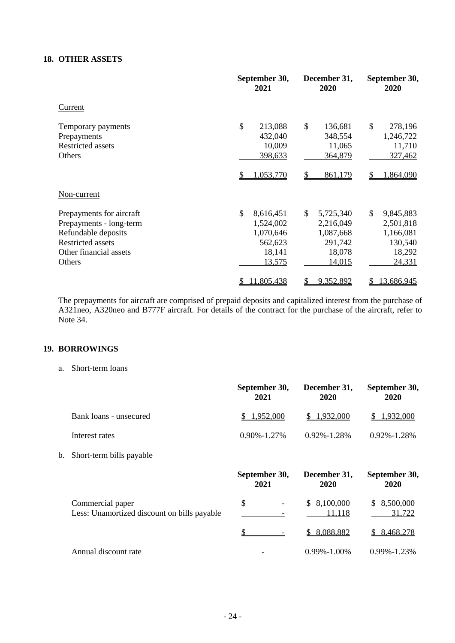# **18. OTHER ASSETS**

|                                                                                                                                            | September 30,<br>2021                                                    | December 31,<br>2020                                                               | September 30,<br>2020                                                    |  |
|--------------------------------------------------------------------------------------------------------------------------------------------|--------------------------------------------------------------------------|------------------------------------------------------------------------------------|--------------------------------------------------------------------------|--|
| Current                                                                                                                                    |                                                                          |                                                                                    |                                                                          |  |
| Temporary payments<br>Prepayments<br><b>Restricted assets</b><br>Others                                                                    | \$<br>213,088<br>432,040<br>10,009<br>398,633                            | \$<br>136,681<br>348,554<br>11,065<br>364,879                                      | \$<br>278,196<br>1,246,722<br>11,710<br>327,462                          |  |
|                                                                                                                                            | 1,053,770                                                                | 861,179                                                                            | .864,090                                                                 |  |
| Non-current                                                                                                                                |                                                                          |                                                                                    |                                                                          |  |
| Prepayments for aircraft<br>Prepayments - long-term<br>Refundable deposits<br><b>Restricted assets</b><br>Other financial assets<br>Others | \$<br>8,616,451<br>1,524,002<br>1,070,646<br>562,623<br>18,141<br>13,575 | $\mathbb{S}$<br>5,725,340<br>2,216,049<br>1,087,668<br>291,742<br>18,078<br>14,015 | \$<br>9,845,883<br>2,501,818<br>1,166,081<br>130,540<br>18,292<br>24,331 |  |
|                                                                                                                                            | 11,805,438                                                               | 9,352,892<br>\$                                                                    | 13,686,945<br>\$                                                         |  |

The prepayments for aircraft are comprised of prepaid deposits and capitalized interest from the purchase of A321neo, A320neo and B777F aircraft. For details of the contract for the purchase of the aircraft, refer to Note 34.

# **19. BORROWINGS**

a. Short-term loans

|    |                                                                 | September 30,<br>2021 | December 31,<br>2020      | September 30,<br>2020     |
|----|-----------------------------------------------------------------|-----------------------|---------------------------|---------------------------|
|    | Bank loans - unsecured                                          | 1,952,000<br>SS.      | 1,932,000<br>S.           | 1,932,000                 |
|    | Interest rates                                                  | $0.90\% - 1.27\%$     | $0.92\% - 1.28\%$         | $0.92\% - 1.28\%$         |
| b. | Short-term bills payable                                        |                       |                           |                           |
|    |                                                                 | September 30,<br>2021 | December 31,<br>2020      | September 30,<br>2020     |
|    | Commercial paper<br>Less: Unamortized discount on bills payable | \$<br>-               | 8,100,000<br>S.<br>11,118 | 8,500,000<br>S.<br>31,722 |
|    |                                                                 |                       | 8,088,882<br>S.           | 8,468,278<br>\$           |
|    | Annual discount rate                                            |                       | $0.99\% - 1.00\%$         | $0.99\% - 1.23\%$         |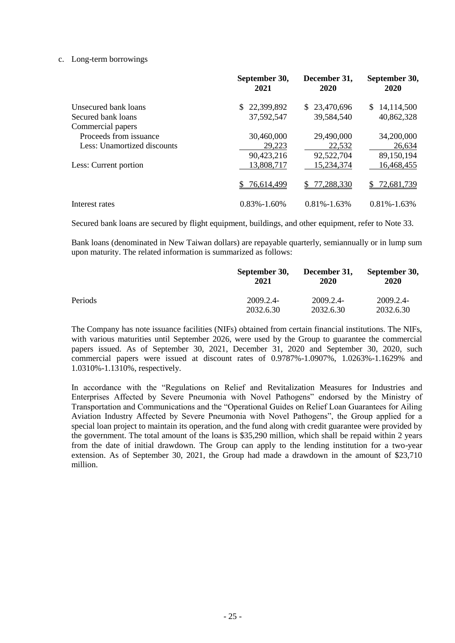## c. Long-term borrowings

|                             | September 30,<br>2021 | December 31,<br>2020 | September 30,<br>2020 |
|-----------------------------|-----------------------|----------------------|-----------------------|
| Unsecured bank loans        | 22,399,892<br>\$.     | \$23,470,696         | 14,114,500<br>\$.     |
| Secured bank loans          | 37,592,547            | 39,584,540           | 40,862,328            |
| Commercial papers           |                       |                      |                       |
| Proceeds from issuance      | 30,460,000            | 29,490,000           | 34,200,000            |
| Less: Unamortized discounts | 29,223                | 22,532               | 26,634                |
|                             | 90,423,216            | 92,522,704           | 89,150,194            |
| Less: Current portion       | 13,808,717            | 15,234,374           | 16,468,455            |
|                             | 76,614,499            | 77,288,330<br>S.     | 72,681,739<br>S.      |
| Interest rates              | $0.83\% - 1.60\%$     | $0.81\% - 1.63\%$    | $0.81\% - 1.63\%$     |

Secured bank loans are secured by flight equipment, buildings, and other equipment, refer to Note 33.

Bank loans (denominated in New Taiwan dollars) are repayable quarterly, semiannually or in lump sum upon maturity. The related information is summarized as follows:

|         | September 30,<br>2021 | December 31,<br>2020 | September 30,<br>2020 |
|---------|-----------------------|----------------------|-----------------------|
| Periods | 2009.2.4-             | 2009.2.4-            | 2009.2.4-             |
|         | 2032.6.30             | 2032.6.30            | 2032.6.30             |

The Company has note issuance facilities (NIFs) obtained from certain financial institutions. The NIFs, with various maturities until September 2026, were used by the Group to guarantee the commercial papers issued. As of September 30, 2021, December 31, 2020 and September 30, 2020, such commercial papers were issued at discount rates of 0.9787%-1.0907%, 1.0263%-1.1629% and 1.0310%-1.1310%, respectively.

In accordance with the "Regulations on Relief and Revitalization Measures for Industries and Enterprises Affected by Severe Pneumonia with Novel Pathogens" endorsed by the Ministry of Transportation and Communications and the "Operational Guides on Relief Loan Guarantees for Ailing Aviation Industry Affected by Severe Pneumonia with Novel Pathogens", the Group applied for a special loan project to maintain its operation, and the fund along with credit guarantee were provided by the government. The total amount of the loans is \$35,290 million, which shall be repaid within 2 years from the date of initial drawdown. The Group can apply to the lending institution for a two-year extension. As of September 30, 2021, the Group had made a drawdown in the amount of \$23,710 million.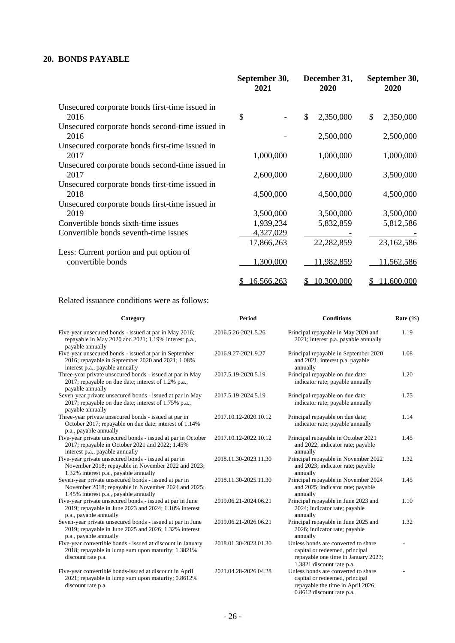# **20. BONDS PAYABLE**

|                                                         | September 30,<br>2021 | December 31,<br>2020 | September 30,<br>2020 |
|---------------------------------------------------------|-----------------------|----------------------|-----------------------|
| Unsecured corporate bonds first-time issued in          |                       |                      |                       |
| 2016                                                    | \$                    | \$<br>2,350,000      | \$<br>2,350,000       |
| Unsecured corporate bonds second-time issued in<br>2016 |                       | 2,500,000            | 2,500,000             |
| Unsecured corporate bonds first-time issued in          |                       |                      |                       |
| 2017                                                    | 1,000,000             | 1,000,000            | 1,000,000             |
| Unsecured corporate bonds second-time issued in<br>2017 | 2,600,000             | 2,600,000            | 3,500,000             |
| Unsecured corporate bonds first-time issued in          |                       |                      |                       |
| 2018                                                    | 4,500,000             | 4,500,000            | 4,500,000             |
| Unsecured corporate bonds first-time issued in          |                       |                      |                       |
| 2019                                                    | 3,500,000             | 3,500,000            | 3,500,000             |
| Convertible bonds sixth-time issues                     | 1,939,234             | 5,832,859            | 5,812,586             |
| Convertible bonds seventh-time issues                   | 4,327,029             |                      |                       |
|                                                         | 17,866,263            | 22,282,859           | 23,162,586            |
| Less: Current portion and put option of                 |                       |                      |                       |
| convertible bonds                                       | 1,300,000             | 11,982,859           | 11,562,586            |
|                                                         | 16,566,263<br>\$      | 10,300,000<br>S      | 11,600,000<br>\$      |

# Related issuance conditions were as follows:

| Category                                                                                                                                              | <b>Period</b>         | <b>Conditions</b>                                                                                                                         | Rate $(\% )$ |
|-------------------------------------------------------------------------------------------------------------------------------------------------------|-----------------------|-------------------------------------------------------------------------------------------------------------------------------------------|--------------|
| Five-year unsecured bonds - issued at par in May 2016;<br>repayable in May 2020 and 2021; 1.19% interest p.a.,<br>payable annually                    | 2016.5.26-2021.5.26   | Principal repayable in May 2020 and<br>2021; interest p.a. payable annually                                                               | 1.19         |
| Five-year unsecured bonds - issued at par in September<br>2016; repayable in September 2020 and 2021; 1.08%<br>interest p.a., payable annually        | 2016.9.27-2021.9.27   | Principal repayable in September 2020<br>and 2021; interest p.a. payable<br>annually                                                      | 1.08         |
| Three-year private unsecured bonds - issued at par in May<br>2017; repayable on due date; interest of 1.2% p.a.,<br>payable annually                  | 2017.5.19-2020.5.19   | Principal repayable on due date;<br>indicator rate; payable annually                                                                      | 1.20         |
| Seven-year private unsecured bonds - issued at par in May<br>2017; repayable on due date; interest of 1.75% p.a.,<br>payable annually                 | 2017.5.19-2024.5.19   | Principal repayable on due date;<br>indicator rate; payable annually                                                                      | 1.75         |
| Three-year private unsecured bonds - issued at par in<br>October 2017; repayable on due date; interest of 1.14%<br>p.a., payable annually             | 2017.10.12-2020.10.12 | Principal repayable on due date;<br>indicator rate; payable annually                                                                      | 1.14         |
| Five-year private unsecured bonds - issued at par in October<br>2017; repayable in October 2021 and 2022; 1.45%<br>interest p.a., payable annually    | 2017.10.12-2022.10.12 | Principal repayable in October 2021<br>and 2022; indicator rate; payable<br>annually                                                      | 1.45         |
| Five-year private unsecured bonds - issued at par in<br>November 2018; repayable in November 2022 and 2023;<br>1.32% interest p.a., payable annually  | 2018.11.30-2023.11.30 | Principal repayable in November 2022<br>and 2023; indicator rate; payable<br>annually                                                     | 1.32         |
| Seven-year private unsecured bonds - issued at par in<br>November 2018; repayable in November 2024 and 2025;<br>1.45% interest p.a., payable annually | 2018.11.30-2025.11.30 | Principal repayable in November 2024<br>and 2025; indicator rate; payable<br>annually                                                     | 1.45         |
| Five-year private unsecured bonds - issued at par in June<br>2019; repayable in June 2023 and 2024; 1.10% interest<br>p.a., payable annually          | 2019.06.21-2024.06.21 | Principal repayable in June 2023 and<br>2024; indicator rate; payable<br>annually                                                         | 1.10         |
| Seven-year private unsecured bonds - issued at par in June<br>2019; repayable in June 2025 and 2026; 1.32% interest<br>p.a., payable annually         | 2019.06.21-2026.06.21 | Principal repayable in June 2025 and<br>2026; indicator rate; payable<br>annually                                                         | 1.32         |
| Five-year convertible bonds - issued at discount in January<br>2018; repayable in lump sum upon maturity; 1.3821%<br>discount rate p.a.               | 2018.01.30-2023.01.30 | Unless bonds are converted to share<br>capital or redeemed, principal<br>repayable one time in January 2023;<br>1.3821 discount rate p.a. |              |
| Five-year convertible bonds-issued at discount in April<br>2021; repayable in lump sum upon maturity; 0.8612%<br>discount rate p.a.                   | 2021.04.28-2026.04.28 | Unless bonds are converted to share<br>capital or redeemed, principal<br>repayable the time in April 2026;<br>0.8612 discount rate p.a.   |              |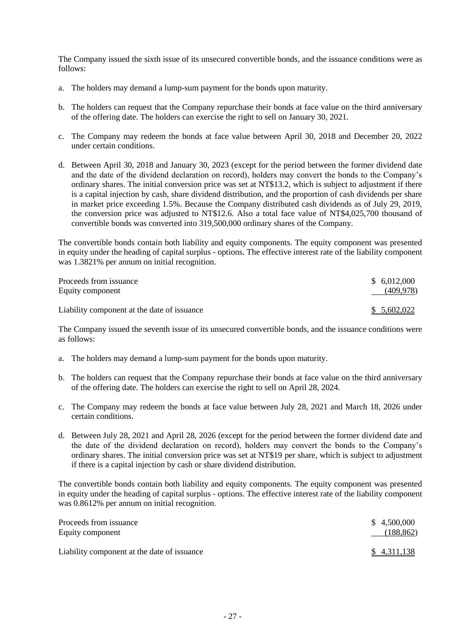The Company issued the sixth issue of its unsecured convertible bonds, and the issuance conditions were as follows:

- a. The holders may demand a lump-sum payment for the bonds upon maturity.
- b. The holders can request that the Company repurchase their bonds at face value on the third anniversary of the offering date. The holders can exercise the right to sell on January 30, 2021.
- c. The Company may redeem the bonds at face value between April 30, 2018 and December 20, 2022 under certain conditions.
- d. Between April 30, 2018 and January 30, 2023 (except for the period between the former dividend date and the date of the dividend declaration on record), holders may convert the bonds to the Company's ordinary shares. The initial conversion price was set at NT\$13.2, which is subject to adjustment if there is a capital injection by cash, share dividend distribution, and the proportion of cash dividends per share in market price exceeding 1.5%. Because the Company distributed cash dividends as of July 29, 2019, the conversion price was adjusted to NT\$12.6. Also a total face value of NT\$4,025,700 thousand of convertible bonds was converted into 319,500,000 ordinary shares of the Company.

The convertible bonds contain both liability and equity components. The equity component was presented in equity under the heading of capital surplus - options. The effective interest rate of the liability component was 1.3821% per annum on initial recognition.

| Proceeds from issuance                      | \$6,012,000 |
|---------------------------------------------|-------------|
| Equity component                            | (409, 978)  |
| Liability component at the date of issuance | \$5,602,022 |

The Company issued the seventh issue of its unsecured convertible bonds, and the issuance conditions were as follows:

- a. The holders may demand a lump-sum payment for the bonds upon maturity.
- b. The holders can request that the Company repurchase their bonds at face value on the third anniversary of the offering date. The holders can exercise the right to sell on April 28, 2024.
- c. The Company may redeem the bonds at face value between July 28, 2021 and March 18, 2026 under certain conditions.
- d. Between July 28, 2021 and April 28, 2026 (except for the period between the former dividend date and the date of the dividend declaration on record), holders may convert the bonds to the Company's ordinary shares. The initial conversion price was set at NT\$19 per share, which is subject to adjustment if there is a capital injection by cash or share dividend distribution.

The convertible bonds contain both liability and equity components. The equity component was presented in equity under the heading of capital surplus - options. The effective interest rate of the liability component was 0.8612% per annum on initial recognition.

| Proceeds from issuance                      | \$4,500,000 |
|---------------------------------------------|-------------|
| Equity component                            | (188, 862)  |
| Liability component at the date of issuance | \$4,311,138 |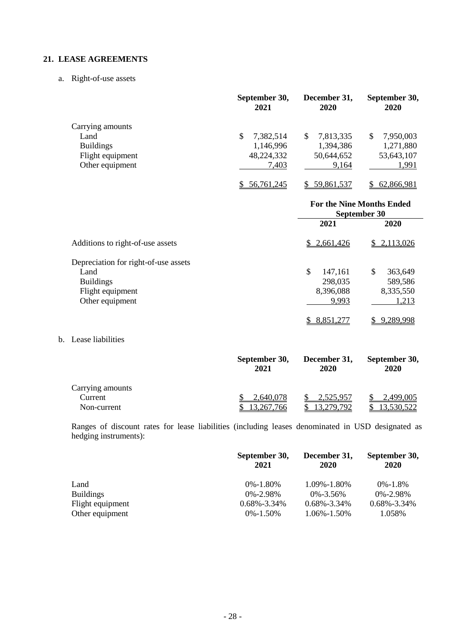# **21. LEASE AGREEMENTS**

a. Right-of-use assets

|                  | September 30,<br>2021 | December 31,<br>2020 | September 30,<br>2020 |
|------------------|-----------------------|----------------------|-----------------------|
| Carrying amounts |                       |                      |                       |
| Land             | \$<br>7,382,514       | 7,813,335<br>S       | 7,950,003<br>S        |
| <b>Buildings</b> | 1,146,996             | 1,394,386            | 1,271,880             |
| Flight equipment | 48,224,332            | 50,644,652           | 53,643,107            |
| Other equipment  | 7,403                 | 9,164                | 1,991                 |
|                  | 56,761,245            | 59,861,537           | 62,866,981            |

|                                      | <b>For the Nine Months Ended</b><br>September 30 |                |
|--------------------------------------|--------------------------------------------------|----------------|
|                                      | 2021                                             | 2020           |
| Additions to right-of-use assets     | \$2,661,426                                      | 2,113,026<br>S |
| Depreciation for right-of-use assets |                                                  |                |
| Land                                 | \$<br>147,161                                    | \$<br>363,649  |
| <b>Buildings</b>                     | 298,035                                          | 589,586        |
| Flight equipment                     | 8,396,088                                        | 8,335,550      |
| Other equipment                      | 9,993                                            | 1,213          |
|                                      | 8,851,277                                        | 9,289,998      |

# b. Lease liabilities

|                  | September 30,<br>2021 | December 31,<br>2020 | September 30,<br>2020 |
|------------------|-----------------------|----------------------|-----------------------|
| Carrying amounts |                       |                      |                       |
| Current          | 2,640,078             | 2,525,957            | <u>2,499,005</u>      |
| Non-current      | 3.267.766             | 3.279.792            | 3.530.522             |

Ranges of discount rates for lease liabilities (including leases denominated in USD designated as hedging instruments):

|                  | September 30,<br>2021 | December 31,<br>2020 | September 30,<br>2020 |
|------------------|-----------------------|----------------------|-----------------------|
| Land             | $0\% - 1.80\%$        | 1.09%-1.80%          | 0%-1.8%               |
| <b>Buildings</b> | $0\% - 2.98\%$        | $0\% - 3.56\%$       | $0\% - 2.98\%$        |
| Flight equipment | $0.68\% - 3.34\%$     | $0.68\% - 3.34\%$    | $0.68\% - 3.34\%$     |
| Other equipment  | $0\% - 1.50\%$        | 1.06%-1.50%          | 1.058%                |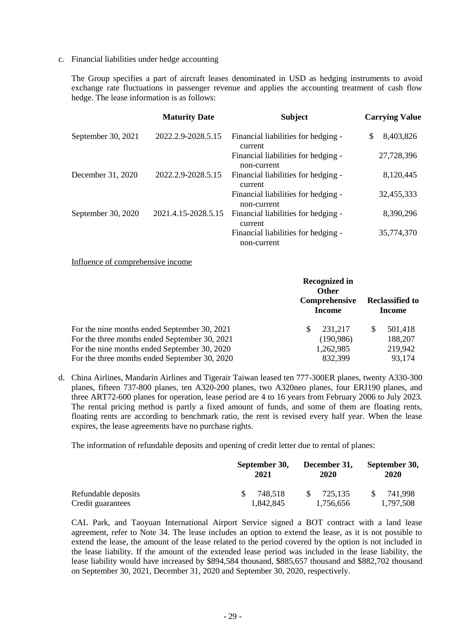c. Financial liabilities under hedge accounting

The Group specifies a part of aircraft leases denominated in USD as hedging instruments to avoid exchange rate fluctuations in passenger revenue and applies the accounting treatment of cash flow hedge. The lease information is as follows:

|                    | <b>Maturity Date</b> | <b>Subject</b>                                     | <b>Carrying Value</b> |
|--------------------|----------------------|----------------------------------------------------|-----------------------|
| September 30, 2021 | 2022.2.9-2028.5.15   | Financial liabilities for hedging -<br>current     | \$<br>8,403,826       |
|                    |                      | Financial liabilities for hedging -<br>non-current | 27,728,396            |
| December 31, 2020  | 2022.2.9-2028.5.15   | Financial liabilities for hedging -<br>current     | 8,120,445             |
|                    |                      | Financial liabilities for hedging -<br>non-current | 32,455,333            |
| September 30, 2020 | 2021.4.15-2028.5.15  | Financial liabilities for hedging -<br>current     | 8,390,296             |
|                    |                      | Financial liabilities for hedging -<br>non-current | 35,774,370            |

Influence of comprehensive income

|                                               | Recognized in<br><b>Other</b><br>Comprehensive<br><b>Income</b> | <b>Reclassified to</b><br><b>Income</b> |
|-----------------------------------------------|-----------------------------------------------------------------|-----------------------------------------|
| For the nine months ended September 30, 2021  | 231,217<br>S                                                    | 501,418<br>S                            |
| For the three months ended September 30, 2021 | (190, 986)                                                      | 188,207                                 |
| For the nine months ended September 30, 2020  | 1,262,985                                                       | 219,942                                 |
| For the three months ended September 30, 2020 | 832,399                                                         | 93,174                                  |

d. China Airlines, Mandarin Airlines and Tigerair Taiwan leased ten 777-300ER planes, twenty A330-300 planes, fifteen 737-800 planes, ten A320-200 planes, two A320neo planes, four ERJ190 planes, and three ART72-600 planes for operation, lease period are 4 to 16 years from February 2006 to July 2023. The rental pricing method is partly a fixed amount of funds, and some of them are floating rents, floating rents are according to benchmark ratio, the rent is revised every half year. When the lease expires, the lease agreements have no purchase rights.

The information of refundable deposits and opening of credit letter due to rental of planes:

|                                          | September 30,        | December 31,                         | September 30,        |
|------------------------------------------|----------------------|--------------------------------------|----------------------|
|                                          | 2021                 | 2020                                 | 2020                 |
| Refundable deposits<br>Credit guarantees | 748.518<br>1,842,845 | <sup>S</sup><br>725.135<br>1.756.656 | 741.998<br>1.797.508 |

CAL Park, and Taoyuan International Airport Service signed a BOT contract with a land lease agreement, refer to Note 34. The lease includes an option to extend the lease, as it is not possible to extend the lease, the amount of the lease related to the period covered by the option is not included in the lease liability. If the amount of the extended lease period was included in the lease liability, the lease liability would have increased by \$894,584 thousand, \$885,657 thousand and \$882,702 thousand on September 30, 2021, December 31, 2020 and September 30, 2020, respectively.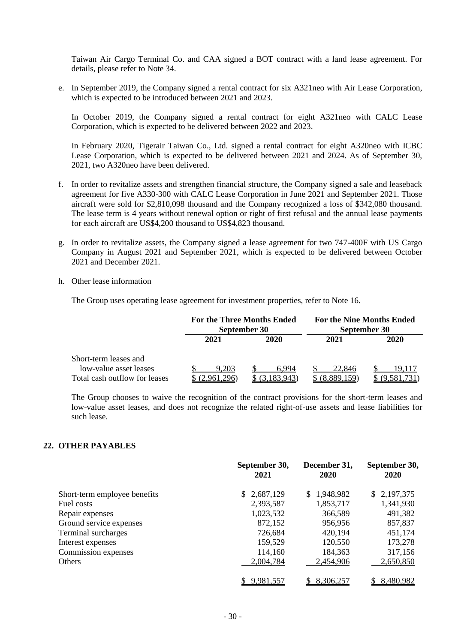Taiwan Air Cargo Terminal Co. and CAA signed a BOT contract with a land lease agreement. For details, please refer to Note 34.

e. In September 2019, the Company signed a rental contract for six A321neo with Air Lease Corporation, which is expected to be introduced between 2021 and 2023.

In October 2019, the Company signed a rental contract for eight A321neo with CALC Lease Corporation, which is expected to be delivered between 2022 and 2023.

In February 2020, Tigerair Taiwan Co., Ltd. signed a rental contract for eight A320neo with ICBC Lease Corporation, which is expected to be delivered between 2021 and 2024. As of September 30, 2021, two A320neo have been delivered.

- f. In order to revitalize assets and strengthen financial structure, the Company signed a sale and leaseback agreement for five A330-300 with CALC Lease Corporation in June 2021 and September 2021. Those aircraft were sold for \$2,810,098 thousand and the Company recognized a loss of \$342,080 thousand. The lease term is 4 years without renewal option or right of first refusal and the annual lease payments for each aircraft are US\$4,200 thousand to US\$4,823 thousand.
- g. In order to revitalize assets, the Company signed a lease agreement for two 747-400F with US Cargo Company in August 2021 and September 2021, which is expected to be delivered between October 2021 and December 2021.
- h. Other lease information

The Group uses operating lease agreement for investment properties, refer to Note 16.

|                               | For the Three Months Ended<br>September 30 |       | <b>For the Nine Months Ended</b><br>September 30 |        |
|-------------------------------|--------------------------------------------|-------|--------------------------------------------------|--------|
|                               | 2021                                       | 2020  | 2021                                             | 2020   |
| Short-term leases and         |                                            |       |                                                  |        |
| low-value asset leases        | .203                                       | 6 994 | 22.846                                           | 19 T F |
| Total cash outflow for leases | 961,296)                                   |       |                                                  |        |

The Group chooses to waive the recognition of the contract provisions for the short-term leases and low-value asset leases, and does not recognize the related right-of-use assets and lease liabilities for such lease.

#### **22. OTHER PAYABLES**

|                              | September 30,<br>2021 | December 31,<br>2020 | September 30,<br>2020 |
|------------------------------|-----------------------|----------------------|-----------------------|
| Short-term employee benefits | 2,687,129<br>S.       | \$1,948,982          | \$2,197,375           |
| Fuel costs                   | 2,393,587             | 1,853,717            | 1,341,930             |
| Repair expenses              | 1,023,532             | 366,589              | 491,382               |
| Ground service expenses      | 872,152               | 956,956              | 857,837               |
| Terminal surcharges          | 726,684               | 420,194              | 451,174               |
| Interest expenses            | 159,529               | 120,550              | 173,278               |
| Commission expenses          | 114,160               | 184,363              | 317,156               |
| <b>Others</b>                | 2,004,784             | 2,454,906            | 2,650,850             |
|                              | 9,981,557             | 8,306,257            | 8,480,982             |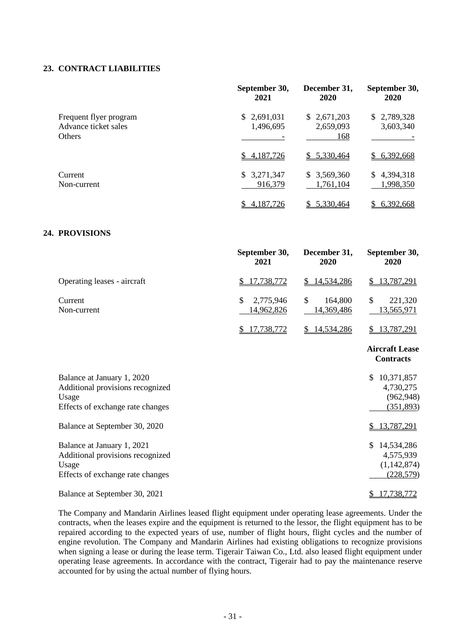## **23. CONTRACT LIABILITIES**

|                                                                 | September 30,<br>2021      | December 31,<br>2020            | September 30,<br><b>2020</b> |
|-----------------------------------------------------------------|----------------------------|---------------------------------|------------------------------|
| Frequent flyer program<br>Advance ticket sales<br><b>Others</b> | \$2,691,031<br>1,496,695   | \$2,671,203<br>2,659,093<br>168 | \$2,789,328<br>3,603,340     |
|                                                                 | \$4,187,726                | \$5,330,464                     | \$6,392,668                  |
| Current<br>Non-current                                          | \$<br>3,271,347<br>916,379 | \$3,569,360<br>1,761,104        | \$4,394,318<br>1,998,350     |
|                                                                 | 4, 187, 726                | 5,330,464                       | 6,392,668<br>S               |

## **24. PROVISIONS**

|                                                                                                             | September 30,<br>2021         | December 31,<br>2020                   | September 30,<br>2020                                        |
|-------------------------------------------------------------------------------------------------------------|-------------------------------|----------------------------------------|--------------------------------------------------------------|
| Operating leases - aircraft                                                                                 | 17,738,772                    | 14,534,286<br>\$                       | 13,787,291<br>S                                              |
| Current<br>Non-current                                                                                      | \$<br>2,775,946<br>14,962,826 | $\mathcal{S}$<br>164,800<br>14,369,486 | \$<br>221,320<br>13,565,971                                  |
|                                                                                                             | 17,738,772<br>\$              | 14,534,286<br>\$                       | 13,787,291<br>\$                                             |
|                                                                                                             |                               |                                        | <b>Aircraft Lease</b><br><b>Contracts</b>                    |
| Balance at January 1, 2020<br>Additional provisions recognized<br>Usage<br>Effects of exchange rate changes |                               |                                        | 10,371,857<br>\$.<br>4,730,275<br>(962, 948)<br>(351,893)    |
| Balance at September 30, 2020                                                                               |                               |                                        | 13,787,291                                                   |
| Balance at January 1, 2021<br>Additional provisions recognized<br>Usage<br>Effects of exchange rate changes |                               |                                        | \$<br>14,534,286<br>4,575,939<br>(1, 142, 874)<br>(228, 579) |
| Balance at September 30, 2021                                                                               |                               |                                        | 17,738,772                                                   |

The Company and Mandarin Airlines leased flight equipment under operating lease agreements. Under the contracts, when the leases expire and the equipment is returned to the lessor, the flight equipment has to be repaired according to the expected years of use, number of flight hours, flight cycles and the number of engine revolution. The Company and Mandarin Airlines had existing obligations to recognize provisions when signing a lease or during the lease term. Tigerair Taiwan Co., Ltd. also leased flight equipment under operating lease agreements. In accordance with the contract, Tigerair had to pay the maintenance reserve accounted for by using the actual number of flying hours.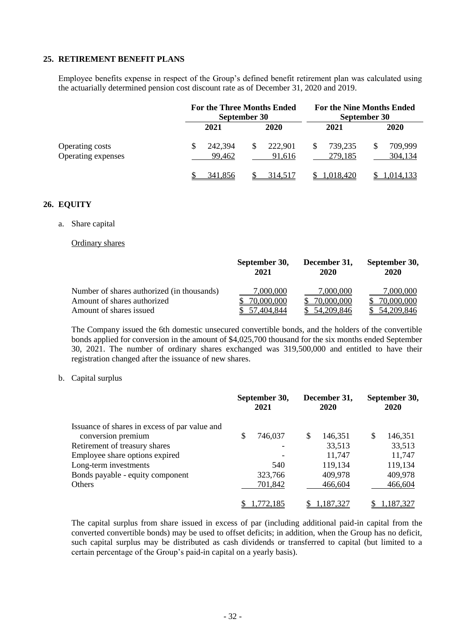### **25. RETIREMENT BENEFIT PLANS**

Employee benefits expense in respect of the Group's defined benefit retirement plan was calculated using the actuarially determined pension cost discount rate as of December 31, 2020 and 2019.

|                                              |                   | <b>For the Three Months Ended</b><br>September 30 |                    | <b>For the Nine Months Ended</b><br>September 30 |
|----------------------------------------------|-------------------|---------------------------------------------------|--------------------|--------------------------------------------------|
|                                              | 2021              | 2020                                              | 2021               | 2020                                             |
| <b>Operating costs</b><br>Operating expenses | 242,394<br>99,462 | \$<br>222,901<br>91,616                           | 739,235<br>279,185 | 709,999<br>304,134                               |
|                                              | 341.856           | 314.517                                           | 1.018.420          | 1,014,133                                        |

### **26. EQUITY**

a. Share capital

Ordinary shares

|                                            | September 30,<br>2021 | December 31,<br>2020 | September 30,<br>2020 |
|--------------------------------------------|-----------------------|----------------------|-----------------------|
| Number of shares authorized (in thousands) | 7,000,000             | 7,000,000            | 7,000,000             |
| Amount of shares authorized                | 70.000.000            | .000.000             | 000,000               |
| Amount of shares issued                    | .404.844              | 54,209,846           | 54,209,846            |

The Company issued the 6th domestic unsecured convertible bonds, and the holders of the convertible bonds applied for conversion in the amount of \$4,025,700 thousand for the six months ended September 30, 2021. The number of ordinary shares exchanged was 319,500,000 and entitled to have their registration changed after the issuance of new shares.

#### b. Capital surplus

|                                               |   | September 30,<br>2021 |   | December 31,<br>2020 |   | September 30,<br>2020 |
|-----------------------------------------------|---|-----------------------|---|----------------------|---|-----------------------|
| Issuance of shares in excess of par value and |   |                       |   |                      |   |                       |
| conversion premium                            | S | 746,037               | S | 146,351              | S | 146,351               |
| Retirement of treasury shares                 |   |                       |   | 33,513               |   | 33,513                |
| Employee share options expired                |   |                       |   | 11,747               |   | 11,747                |
| Long-term investments                         |   | 540                   |   | 119,134              |   | 119,134               |
| Bonds payable - equity component              |   | 323,766               |   | 409,978              |   | 409,978               |
| Others                                        |   | 701,842               |   | 466,604              |   | 466,604               |
|                                               |   | 1,772,185             |   | 1,187,327            |   | 1,187,327             |

The capital surplus from share issued in excess of par (including additional paid-in capital from the converted convertible bonds) may be used to offset deficits; in addition, when the Group has no deficit, such capital surplus may be distributed as cash dividends or transferred to capital (but limited to a certain percentage of the Group's paid-in capital on a yearly basis).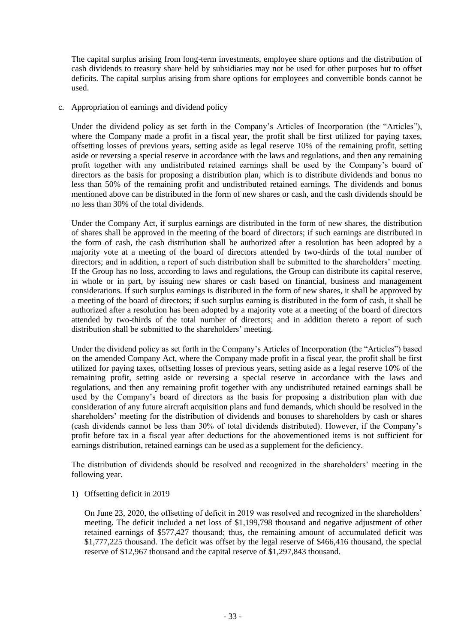The capital surplus arising from long-term investments, employee share options and the distribution of cash dividends to treasury share held by subsidiaries may not be used for other purposes but to offset deficits. The capital surplus arising from share options for employees and convertible bonds cannot be used.

c. Appropriation of earnings and dividend policy

Under the dividend policy as set forth in the Company's Articles of Incorporation (the "Articles"), where the Company made a profit in a fiscal year, the profit shall be first utilized for paying taxes, offsetting losses of previous years, setting aside as legal reserve 10% of the remaining profit, setting aside or reversing a special reserve in accordance with the laws and regulations, and then any remaining profit together with any undistributed retained earnings shall be used by the Company's board of directors as the basis for proposing a distribution plan, which is to distribute dividends and bonus no less than 50% of the remaining profit and undistributed retained earnings. The dividends and bonus mentioned above can be distributed in the form of new shares or cash, and the cash dividends should be no less than 30% of the total dividends.

Under the Company Act, if surplus earnings are distributed in the form of new shares, the distribution of shares shall be approved in the meeting of the board of directors; if such earnings are distributed in the form of cash, the cash distribution shall be authorized after a resolution has been adopted by a majority vote at a meeting of the board of directors attended by two-thirds of the total number of directors; and in addition, a report of such distribution shall be submitted to the shareholders' meeting. If the Group has no loss, according to laws and regulations, the Group can distribute its capital reserve, in whole or in part, by issuing new shares or cash based on financial, business and management considerations. If such surplus earnings is distributed in the form of new shares, it shall be approved by a meeting of the board of directors; if such surplus earning is distributed in the form of cash, it shall be authorized after a resolution has been adopted by a majority vote at a meeting of the board of directors attended by two-thirds of the total number of directors; and in addition thereto a report of such distribution shall be submitted to the shareholders' meeting.

Under the dividend policy as set forth in the Company's Articles of Incorporation (the "Articles") based on the amended Company Act, where the Company made profit in a fiscal year, the profit shall be first utilized for paying taxes, offsetting losses of previous years, setting aside as a legal reserve 10% of the remaining profit, setting aside or reversing a special reserve in accordance with the laws and regulations, and then any remaining profit together with any undistributed retained earnings shall be used by the Company's board of directors as the basis for proposing a distribution plan with due consideration of any future aircraft acquisition plans and fund demands, which should be resolved in the shareholders' meeting for the distribution of dividends and bonuses to shareholders by cash or shares (cash dividends cannot be less than 30% of total dividends distributed). However, if the Company's profit before tax in a fiscal year after deductions for the abovementioned items is not sufficient for earnings distribution, retained earnings can be used as a supplement for the deficiency.

The distribution of dividends should be resolved and recognized in the shareholders' meeting in the following year.

1) Offsetting deficit in 2019

On June 23, 2020, the offsetting of deficit in 2019 was resolved and recognized in the shareholders' meeting. The deficit included a net loss of \$1,199,798 thousand and negative adjustment of other retained earnings of \$577,427 thousand; thus, the remaining amount of accumulated deficit was \$1,777,225 thousand. The deficit was offset by the legal reserve of \$466,416 thousand, the special reserve of \$12,967 thousand and the capital reserve of \$1,297,843 thousand.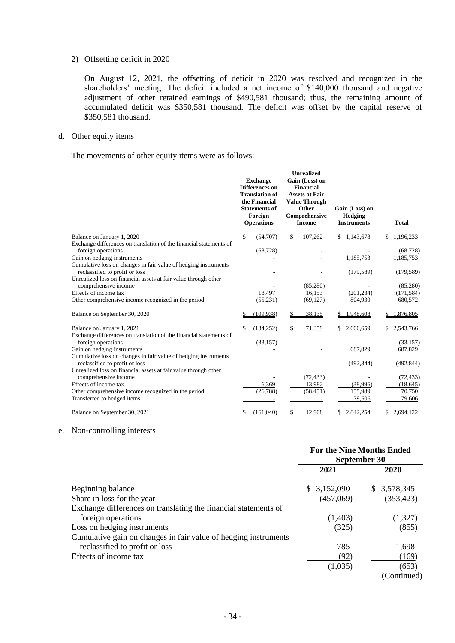#### 2) Offsetting deficit in 2020

On August 12, 2021, the offsetting of deficit in 2020 was resolved and recognized in the shareholders' meeting. The deficit included a net income of \$140,000 thousand and negative adjustment of other retained earnings of \$490,581 thousand; thus, the remaining amount of accumulated deficit was \$350,581 thousand. The deficit was offset by the capital reserve of \$350,581 thousand.

#### d. Other equity items

The movements of other equity items were as follows:

|                                                                                                   | <b>Exchange</b><br><b>Differences on</b><br><b>Translation of</b><br>the Financial<br><b>Statements of</b><br>Foreign<br><b>Operations</b> | <b>Unrealized</b><br>Gain (Loss) on<br><b>Financial</b><br><b>Assets at Fair</b><br><b>Value Through</b><br>Other<br>Comprehensive<br><b>Income</b> | Gain (Loss) on<br>Hedging<br><b>Instruments</b> | <b>Total</b>    |
|---------------------------------------------------------------------------------------------------|--------------------------------------------------------------------------------------------------------------------------------------------|-----------------------------------------------------------------------------------------------------------------------------------------------------|-------------------------------------------------|-----------------|
| Balance on January 1, 2020                                                                        | \$<br>(54,707)                                                                                                                             | \$<br>107,262                                                                                                                                       | 1,143,678<br>\$                                 | \$<br>1,196,233 |
| Exchange differences on translation of the financial statements of                                |                                                                                                                                            |                                                                                                                                                     |                                                 |                 |
| foreign operations                                                                                | (68, 728)                                                                                                                                  |                                                                                                                                                     |                                                 | (68, 728)       |
| Gain on hedging instruments                                                                       |                                                                                                                                            |                                                                                                                                                     | 1,185,753                                       | 1,185,753       |
| Cumulative loss on changes in fair value of hedging instruments                                   |                                                                                                                                            |                                                                                                                                                     |                                                 |                 |
| reclassified to profit or loss<br>Unrealized loss on financial assets at fair value through other |                                                                                                                                            |                                                                                                                                                     | (179, 589)                                      | (179, 589)      |
| comprehensive income                                                                              |                                                                                                                                            | (85,280)                                                                                                                                            |                                                 | (85, 280)       |
| Effects of income tax                                                                             | 13,497                                                                                                                                     | 16,153                                                                                                                                              | (201, 234)                                      | (171, 584)      |
| Other comprehensive income recognized in the period                                               | (55, 231)                                                                                                                                  | (69, 127)                                                                                                                                           | 804,930                                         | 680,572         |
|                                                                                                   |                                                                                                                                            |                                                                                                                                                     |                                                 |                 |
| Balance on September 30, 2020                                                                     | (109, 938)                                                                                                                                 | 38,135                                                                                                                                              | 1,948,608                                       | 1,876,805       |
| Balance on January 1, 2021                                                                        | \$<br>(134, 252)                                                                                                                           | \$<br>71,359                                                                                                                                        | \$<br>2,606,659                                 | \$<br>2,543,766 |
| Exchange differences on translation of the financial statements of                                |                                                                                                                                            |                                                                                                                                                     |                                                 |                 |
| foreign operations                                                                                | (33, 157)                                                                                                                                  |                                                                                                                                                     |                                                 | (33, 157)       |
| Gain on hedging instruments                                                                       |                                                                                                                                            |                                                                                                                                                     | 687,829                                         | 687,829         |
| Cumulative loss on changes in fair value of hedging instruments                                   |                                                                                                                                            |                                                                                                                                                     |                                                 |                 |
| reclassified to profit or loss<br>Unrealized loss on financial assets at fair value through other |                                                                                                                                            |                                                                                                                                                     | (492, 844)                                      | (492, 844)      |
| comprehensive income                                                                              |                                                                                                                                            | (72, 433)                                                                                                                                           |                                                 | (72, 433)       |
| Effects of income tax                                                                             | 6,369                                                                                                                                      | 13,982                                                                                                                                              | (38,996)                                        | (18, 645)       |
| Other comprehensive income recognized in the period                                               | (26, 788)                                                                                                                                  | (58, 451)                                                                                                                                           | 155,989                                         | 70,750          |
| Transferred to hedged items                                                                       |                                                                                                                                            |                                                                                                                                                     | 79,606                                          | 79,606          |
| Balance on September 30, 2021                                                                     | \$<br>(161,040)                                                                                                                            | \$<br>12,908                                                                                                                                        | 2,842,254<br>S                                  | \$<br>2,694,122 |

#### e. Non-controlling interests

|                                                                 | <b>For the Nine Months Ended</b><br>September 30 |                        |  |
|-----------------------------------------------------------------|--------------------------------------------------|------------------------|--|
|                                                                 | 2021                                             | 2020                   |  |
| Beginning balance                                               | \$3,152,090                                      | \$3,578,345            |  |
| Share in loss for the year                                      | (457,069)                                        | (353, 423)             |  |
| Exchange differences on translating the financial statements of |                                                  |                        |  |
| foreign operations                                              | (1,403)                                          | (1,327)                |  |
| Loss on hedging instruments                                     | (325)                                            | (855)                  |  |
| Cumulative gain on changes in fair value of hedging instruments |                                                  |                        |  |
| reclassified to profit or loss                                  | 785                                              | 1,698                  |  |
| Effects of income tax                                           | (92)                                             | (169)                  |  |
|                                                                 | (1,035)                                          | (653)                  |  |
|                                                                 |                                                  | $(C_{\text{optimal}})$ |  |

(Continued)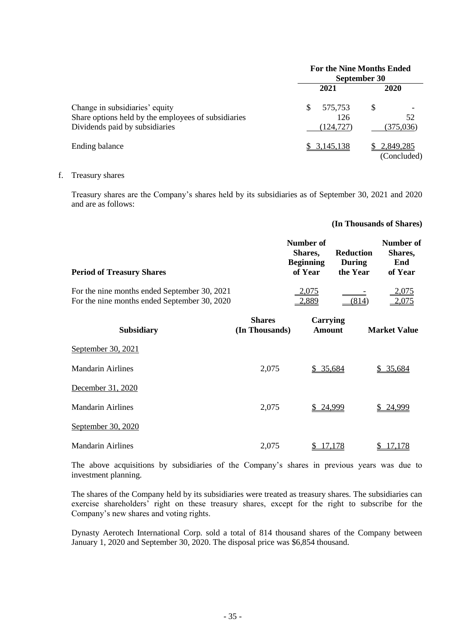|                                                     |     | <b>For the Nine Months Ended</b><br>September 30 |   |                          |
|-----------------------------------------------------|-----|--------------------------------------------------|---|--------------------------|
|                                                     |     | 2021                                             |   | <b>2020</b>              |
| Change in subsidiaries' equity                      | \$. | 575,753                                          | S |                          |
| Share options held by the employees of subsidiaries |     | 126                                              |   | 52                       |
| Dividends paid by subsidiaries                      |     | (124, 727)                                       |   | (375,036)                |
| Ending balance                                      |     | 3,145,138                                        |   | 2,849,285<br>(Concluded) |

# f. Treasury shares

Treasury shares are the Company's shares held by its subsidiaries as of September 30, 2021 and 2020 and are as follows:

#### **(In Thousands of Shares)**

| <b>Period of Treasury Shares</b>             | Number of<br><b>Shares.</b><br><b>Beginning</b><br>of Year | Reduction<br>During<br>the Year | Number of<br>Shares,<br>End<br>of Year |
|----------------------------------------------|------------------------------------------------------------|---------------------------------|----------------------------------------|
| For the nine months ended September 30, 2021 | 2,075                                                      | $\sim$ $-$                      | 2,075                                  |
| For the nine months ended September 30, 2020 | 2,889                                                      | (814)                           | <u>2.075</u>                           |

| <b>Subsidiary</b>        | <b>Shares</b><br>(In Thousands) | <b>Carrying</b><br>Amount | <b>Market Value</b> |
|--------------------------|---------------------------------|---------------------------|---------------------|
| September 30, 2021       |                                 |                           |                     |
| <b>Mandarin Airlines</b> | 2,075                           | \$35,684                  | \$ 35,684           |
| December 31, 2020        |                                 |                           |                     |
| Mandarin Airlines        | 2,075                           | \$24,999                  | 24,999<br>S.        |
| September 30, 2020       |                                 |                           |                     |
| Mandarin Airlines        | 2,075                           | '.178                     | 178                 |

The above acquisitions by subsidiaries of the Company's shares in previous years was due to investment planning.

The shares of the Company held by its subsidiaries were treated as treasury shares. The subsidiaries can exercise shareholders' right on these treasury shares, except for the right to subscribe for the Company's new shares and voting rights.

Dynasty Aerotech International Corp. sold a total of 814 thousand shares of the Company between January 1, 2020 and September 30, 2020. The disposal price was \$6,854 thousand.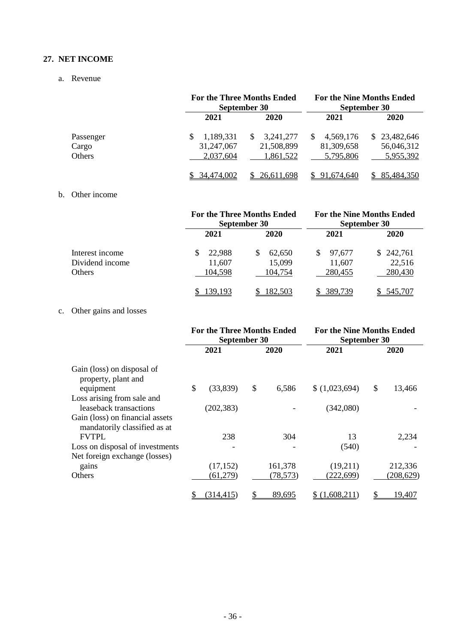### **27. NET INCOME**

### a. Revenue

|           |            | <b>For the Three Months Ended</b><br>September 30 |            | <b>For the Nine Months Ended</b><br>September 30 |  |  |
|-----------|------------|---------------------------------------------------|------------|--------------------------------------------------|--|--|
|           | 2021       | 2020                                              | 2021       | 2020                                             |  |  |
| Passenger | 1,189,331  | 3,241,277<br>\$.                                  | 4,569,176  | \$23,482,646                                     |  |  |
| Cargo     | 31,247,067 | 21,508,899                                        | 81,309,658 | 56,046,312                                       |  |  |
| Others    | 2,037,604  | 1,861,522                                         | 5,795,806  | 5,955,392                                        |  |  |
|           | 34,474,002 | 26,611,698                                        | 91.674.640 | 85,484,350                                       |  |  |

# b. Other income

|                 |         | <b>For the Three Months Ended</b><br>September 30 | <b>For the Nine Months Ended</b><br>September 30 |           |  |
|-----------------|---------|---------------------------------------------------|--------------------------------------------------|-----------|--|
|                 | 2021    | 2020                                              | 2021                                             | 2020      |  |
| Interest income | 22,988  | 62,650                                            | \$.<br>97,677                                    | \$242,761 |  |
| Dividend income | 11,607  | 15,099                                            | 11,607                                           | 22,516    |  |
| Others          | 104,598 | 104,754                                           | 280,455                                          | 280,430   |  |
|                 | .39.193 | 182.503                                           | 389.739                                          | 545.707   |  |

# c. Other gains and losses

|                                                                 | <b>For the Three Months Ended</b><br>September 30 |            |    | <b>For the Nine Months Ended</b><br>September 30 |               |    |            |
|-----------------------------------------------------------------|---------------------------------------------------|------------|----|--------------------------------------------------|---------------|----|------------|
|                                                                 |                                                   | 2021       |    | 2020                                             | 2021          |    | 2020       |
| Gain (loss) on disposal of<br>property, plant and               |                                                   |            |    |                                                  |               |    |            |
| equipment                                                       | \$                                                | (33, 839)  | \$ | 6,586                                            | (1,023,694)   | \$ | 13,466     |
| Loss arising from sale and                                      |                                                   |            |    |                                                  |               |    |            |
| leaseback transactions                                          |                                                   | (202, 383) |    |                                                  | (342,080)     |    |            |
| Gain (loss) on financial assets<br>mandatorily classified as at |                                                   |            |    |                                                  |               |    |            |
| <b>FVTPL</b>                                                    |                                                   | 238        |    | 304                                              | 13            |    | 2,234      |
| Loss on disposal of investments                                 |                                                   |            |    |                                                  | (540)         |    |            |
| Net foreign exchange (losses)                                   |                                                   |            |    |                                                  |               |    |            |
| gains                                                           |                                                   | (17, 152)  |    | 161,378                                          | (19,211)      |    | 212,336    |
| Others                                                          |                                                   | (61, 279)  |    | (78, 573)                                        | (222, 699)    |    | (208, 629) |
|                                                                 | \$                                                | (314, 415) |    | 89,695                                           | \$(1,608,211) |    | 19,407     |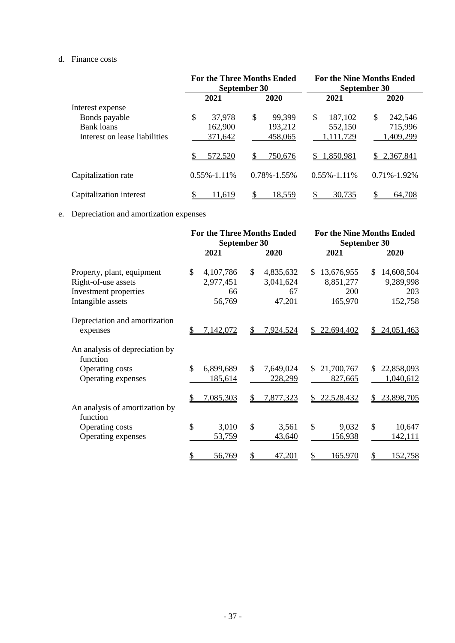## d. Finance costs

|                               |                   | <b>For the Three Months Ended</b><br>September 30 | <b>For the Nine Months Ended</b><br>September 30 |                   |  |
|-------------------------------|-------------------|---------------------------------------------------|--------------------------------------------------|-------------------|--|
|                               | 2021              | 2020                                              | 2021                                             | 2020              |  |
| Interest expense              |                   |                                                   |                                                  |                   |  |
| Bonds payable                 | \$<br>37,978      | \$<br>99,399                                      | \$<br>187,102                                    | \$<br>242,546     |  |
| <b>Bank</b> loans             | 162,900           | 193,212                                           | 552,150                                          | 715,996           |  |
| Interest on lease liabilities | 371,642           | 458,065                                           | 1,111,729                                        | 1,409,299         |  |
|                               | 572,520           | 750,676                                           | 1,850,981<br>S.                                  | 2,367,841<br>S.   |  |
| Capitalization rate           | $0.55\% - 1.11\%$ | $0.78\% - 1.55\%$                                 | $0.55\% - 1.11\%$                                | $0.71\% - 1.92\%$ |  |
| Capitalization interest       | 11.619            | 18.559                                            | 30,735                                           | 64.708            |  |

# e. Depreciation and amortization expenses

|                                                                                                 |                                              | <b>For the Three Months Ended</b><br>September 30       | <b>For the Nine Months Ended</b><br>September 30 |                                                  |  |
|-------------------------------------------------------------------------------------------------|----------------------------------------------|---------------------------------------------------------|--------------------------------------------------|--------------------------------------------------|--|
|                                                                                                 | 2021                                         | 2020                                                    | 2021                                             | 2020                                             |  |
| Property, plant, equipment<br>Right-of-use assets<br>Investment properties<br>Intangible assets | \$<br>4,107,786<br>2,977,451<br>66<br>56,769 | $\mathcal{S}$<br>4,835,632<br>3,041,624<br>67<br>47,201 | 13,676,955<br>\$.<br>8,851,277<br>200<br>165,970 | 14,608,504<br>\$.<br>9,289,998<br>203<br>152,758 |  |
| Depreciation and amortization<br>expenses                                                       | 7,142,072<br>S                               | \$.<br>7,924,524                                        | 22,694,402<br>S.                                 | 24,051,463<br>S.                                 |  |
| An analysis of depreciation by<br>function<br>Operating costs<br>Operating expenses             | \$<br>6,899,689<br>185,614                   | $\mathcal{S}$<br>7,649,024<br>228,299                   | 21,700,767<br>\$.<br>827,665                     | 22,858,093<br>S.<br>1,040,612                    |  |
| An analysis of amortization by<br>function                                                      | 7,085,303<br>S                               | \$<br>7,877,323                                         | 22,528,432<br>S.                                 | 23,898,705<br>\$                                 |  |
| Operating costs<br>Operating expenses                                                           | \$<br>3,010<br>53,759                        | \$<br>3,561<br>43,640                                   | $\mathcal{S}$<br>9,032<br>156,938                | \$<br>10,647<br>142,111                          |  |
|                                                                                                 | \$<br>56,769                                 | \$<br>47,201                                            | 165,970                                          | \$<br>152,758                                    |  |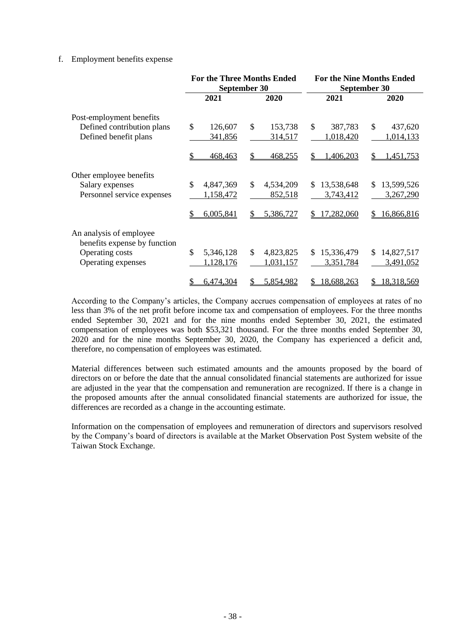#### f. Employment benefits expense

|                                                         |                 | <b>For the Three Months Ended</b><br>September 30 | <b>For the Nine Months Ended</b><br>September 30 |                            |  |
|---------------------------------------------------------|-----------------|---------------------------------------------------|--------------------------------------------------|----------------------------|--|
|                                                         | 2021            | 2020                                              | 2021                                             | 2020                       |  |
| Post-employment benefits                                |                 |                                                   |                                                  |                            |  |
| Defined contribution plans                              | \$<br>126,607   | $\mathcal{S}$<br>153,738                          | \$<br>387,783                                    | \$<br>437,620              |  |
| Defined benefit plans                                   | 341,856         | 314,517                                           | 1,018,420                                        | 1,014,133                  |  |
|                                                         | 468,463         | \$<br>468,255                                     | 1,406,203<br>\$                                  | \$<br>1,451,753            |  |
| Other employee benefits                                 |                 |                                                   |                                                  |                            |  |
| Salary expenses                                         | \$<br>4,847,369 | \$<br>4,534,209                                   | 13,538,648<br>\$.                                | 13,599,526<br>$\mathbb{S}$ |  |
| Personnel service expenses                              | 1,158,472       | 852,518                                           | 3,743,412                                        | 3,267,290                  |  |
|                                                         | 6,005,841<br>\$ | 5,386,727<br>\$                                   | 17,282,060<br>\$                                 | 16,866,816<br>\$           |  |
| An analysis of employee<br>benefits expense by function |                 |                                                   |                                                  |                            |  |
| Operating costs                                         | \$<br>5,346,128 | \$<br>4,823,825                                   | 15,336,479<br>\$                                 | 14,827,517<br>\$.          |  |
| Operating expenses                                      | 1,128,176       | 1,031,157                                         | 3,351,784                                        | 3,491,052                  |  |
|                                                         |                 |                                                   |                                                  |                            |  |
|                                                         | 6,474,304<br>\$ | 5,854,982<br>S                                    | 18,688,263<br>S                                  | 18,318,569<br>\$           |  |

According to the Company's articles, the Company accrues compensation of employees at rates of no less than 3% of the net profit before income tax and compensation of employees. For the three months ended September 30, 2021 and for the nine months ended September 30, 2021, the estimated compensation of employees was both \$53,321 thousand. For the three months ended September 30, 2020 and for the nine months September 30, 2020, the Company has experienced a deficit and, therefore, no compensation of employees was estimated.

Material differences between such estimated amounts and the amounts proposed by the board of directors on or before the date that the annual consolidated financial statements are authorized for issue are adjusted in the year that the compensation and remuneration are recognized. If there is a change in the proposed amounts after the annual consolidated financial statements are authorized for issue, the differences are recorded as a change in the accounting estimate.

Information on the compensation of employees and remuneration of directors and supervisors resolved by the Company's board of directors is available at the Market Observation Post System website of the Taiwan Stock Exchange.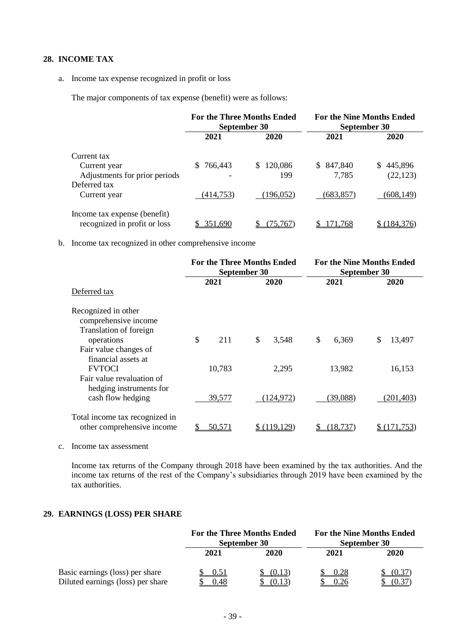## **28. INCOME TAX**

#### a. Income tax expense recognized in profit or loss

The major components of tax expense (benefit) were as follows:

|                                                              | <b>For the Three Months Ended</b><br>September 30 |            | <b>For the Nine Months Ended</b><br>September 30 |               |  |
|--------------------------------------------------------------|---------------------------------------------------|------------|--------------------------------------------------|---------------|--|
|                                                              | 2021                                              | 2020       | 2021                                             | 2020          |  |
| Current tax                                                  |                                                   |            |                                                  |               |  |
| Current year                                                 | 766,443                                           | \$120,086  | 847,840<br>S.                                    | S.<br>445,896 |  |
| Adjustments for prior periods                                |                                                   | 199        | 7,785                                            | (22, 123)     |  |
| Deferred tax                                                 |                                                   |            |                                                  |               |  |
| Current year                                                 | (414, 753)                                        | (196, 052) | (683,857)                                        | (608,149)     |  |
| Income tax expense (benefit)<br>recognized in profit or loss | 351.690                                           | 75.767     | 71.768                                           | (184.376)     |  |

b. Income tax recognized in other comprehensive income

|                                                                       |               | <b>For the Three Months Ended</b><br>September 30 | <b>For the Nine Months Ended</b><br>September 30 |              |  |
|-----------------------------------------------------------------------|---------------|---------------------------------------------------|--------------------------------------------------|--------------|--|
| Deferred tax                                                          | 2021          | 2020                                              | 2021                                             | 2020         |  |
| Recognized in other<br>comprehensive income<br>Translation of foreign |               |                                                   |                                                  |              |  |
| operations<br>Fair value changes of<br>financial assets at            | \$<br>211     | \$<br>3,548                                       | \$<br>6,369                                      | \$<br>13,497 |  |
| <b>FVTOCI</b><br>Fair value revaluation of<br>hedging instruments for | 10,783        | 2,295                                             | 13,982                                           | 16,153       |  |
| cash flow hedging                                                     | 39,577        | (124, 972)                                        | (39,088)                                         | (201,403)    |  |
| Total income tax recognized in<br>other comprehensive income          | <u>50,571</u> | \$ (119.129)                                      | 18.737                                           |              |  |

c. Income tax assessment

Income tax returns of the Company through 2018 have been examined by the tax authorities. And the income tax returns of the rest of the Company's subsidiaries through 2019 have been examined by the tax authorities.

### **29. EARNINGS (LOSS) PER SHARE**

|                                                                      | <b>For the Three Months Ended</b><br>September 30 |                  | <b>For the Nine Months Ended</b><br>September 30 |                 |
|----------------------------------------------------------------------|---------------------------------------------------|------------------|--------------------------------------------------|-----------------|
|                                                                      | 2021                                              | 2020             | 2021                                             | 2020            |
| Basic earnings (loss) per share<br>Diluted earnings (loss) per share | 0.51<br>0.48                                      | (0.13)<br>(0.13) | 0.28<br>0.26                                     | (0.37)<br>(0.3) |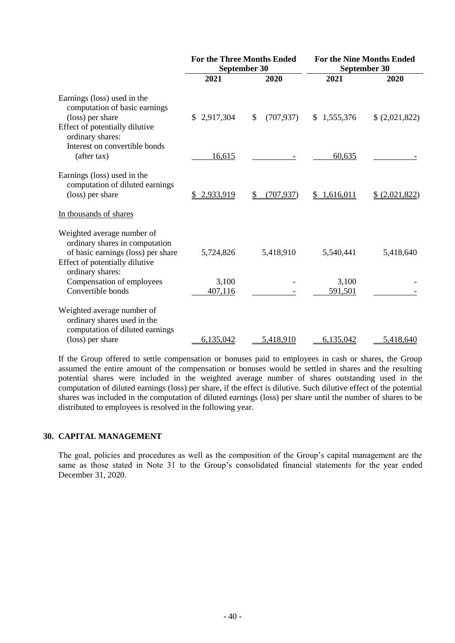| <b>For the Nine Months Ended</b><br>September 30 |  |  |
|--------------------------------------------------|--|--|
| 2020                                             |  |  |
| (2,021,822)                                      |  |  |
|                                                  |  |  |
| \$ (2,021,822)                                   |  |  |
|                                                  |  |  |
| 5,418,640                                        |  |  |
|                                                  |  |  |
| 5,418,640                                        |  |  |
|                                                  |  |  |

If the Group offered to settle compensation or bonuses paid to employees in cash or shares, the Group assumed the entire amount of the compensation or bonuses would be settled in shares and the resulting potential shares were included in the weighted average number of shares outstanding used in the computation of diluted earnings (loss) per share, if the effect is dilutive. Such dilutive effect of the potential shares was included in the computation of diluted earnings (loss) per share until the number of shares to be distributed to employees is resolved in the following year.

#### **30. CAPITAL MANAGEMENT**

The goal, policies and procedures as well as the composition of the Group's capital management are the same as those stated in Note 31 to the Group's consolidated financial statements for the year ended December 31, 2020.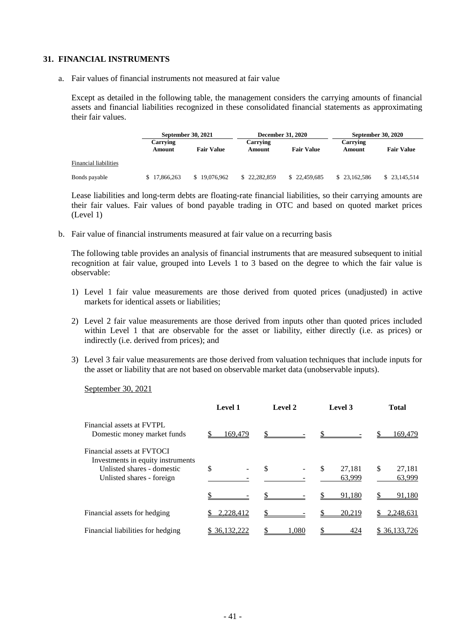#### **31. FINANCIAL INSTRUMENTS**

a. Fair values of financial instruments not measured at fair value

Except as detailed in the following table, the management considers the carrying amounts of financial assets and financial liabilities recognized in these consolidated financial statements as approximating their fair values.

|                       |                    | <b>September 30, 2021</b> |                    | <b>December 31, 2020</b> |                    | <b>September 30, 2020</b> |  |
|-----------------------|--------------------|---------------------------|--------------------|--------------------------|--------------------|---------------------------|--|
|                       | Carrying<br>Amount | <b>Fair Value</b>         | Carrying<br>Amount | <b>Fair Value</b>        | Carrying<br>Amount | <b>Fair Value</b>         |  |
| Financial liabilities |                    |                           |                    |                          |                    |                           |  |
| Bonds payable         | 17.866.263         | \$19,076,962              | \$22,282,859       | \$22,459,685             | \$23,162,586       | \$ 23,145,514             |  |

Lease liabilities and long-term debts are floating-rate financial liabilities, so their carrying amounts are their fair values. Fair values of bond payable trading in OTC and based on quoted market prices (Level 1)

b. Fair value of financial instruments measured at fair value on a recurring basis

The following table provides an analysis of financial instruments that are measured subsequent to initial recognition at fair value, grouped into Levels 1 to 3 based on the degree to which the fair value is observable:

- 1) Level 1 fair value measurements are those derived from quoted prices (unadjusted) in active markets for identical assets or liabilities;
- 2) Level 2 fair value measurements are those derived from inputs other than quoted prices included within Level 1 that are observable for the asset or liability, either directly (i.e. as prices) or indirectly (i.e. derived from prices); and
- 3) Level 3 fair value measurements are those derived from valuation techniques that include inputs for the asset or liability that are not based on observable market data (unobservable inputs).

September 30, 2021

|                                                                 | Level 1      | Level 2 | Level 3      | <b>Total</b> |  |
|-----------------------------------------------------------------|--------------|---------|--------------|--------------|--|
| Financial assets at FVTPL<br>Domestic money market funds        | 169,479      |         |              | 169,479      |  |
| Financial assets at FVTOCI<br>Investments in equity instruments |              |         |              |              |  |
| Unlisted shares - domestic                                      | \$           | \$      | \$<br>27,181 | \$<br>27,181 |  |
| Unlisted shares - foreign                                       |              |         | 63,999       | 63,999       |  |
|                                                                 |              |         | 91,180       | 91,180       |  |
| Financial assets for hedging                                    | ,228,412     |         | 20,219       | 2,248,631    |  |
| Financial liabilities for hedging                               | \$36,132,222 | .080    | 424          | \$36,133,726 |  |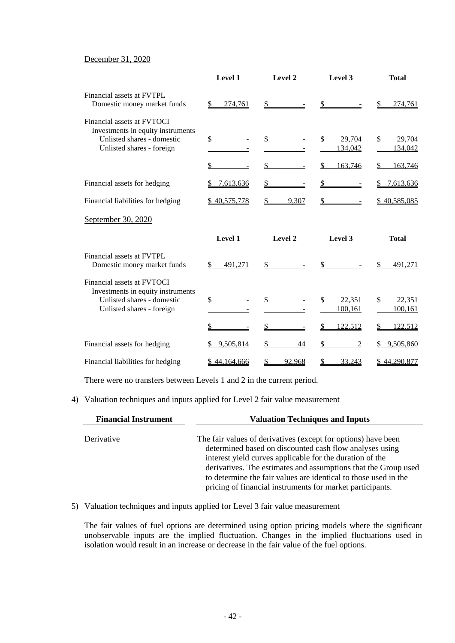### December 31, 2020

|                                                                                                                            | Level 1            | Level 2            | Level 3                            | <b>Total</b>                             |
|----------------------------------------------------------------------------------------------------------------------------|--------------------|--------------------|------------------------------------|------------------------------------------|
| Financial assets at FVTPL<br>Domestic money market funds                                                                   | 274,761<br>\$      |                    | \$                                 | 274,761                                  |
| Financial assets at FVTOCI<br>Investments in equity instruments<br>Unlisted shares - domestic<br>Unlisted shares - foreign | $\mathbb{S}$<br>\$ | $\mathbb{S}$<br>\$ | \$<br>29,704<br>134,042<br>163,746 | \$<br>29,704<br>134,042<br>\$<br>163,746 |
|                                                                                                                            |                    |                    | $\frac{1}{2}$                      |                                          |
| Financial assets for hedging                                                                                               | 7,613,636          |                    | \$                                 | 7,613,636                                |
| Financial liabilities for hedging                                                                                          | \$40,575,778       | 9,307              |                                    | \$40,585,085                             |
| September 30, 2020                                                                                                         |                    |                    |                                    |                                          |
|                                                                                                                            | Level 1            | Level 2            | Level 3                            | <b>Total</b>                             |
| Financial assets at FVTPL<br>Domestic money market funds                                                                   |                    |                    |                                    |                                          |
|                                                                                                                            | \$<br>491.271      |                    | \$                                 | 491.271                                  |
| Financial assets at FVTOCI<br>Investments in equity instruments<br>Unlisted shares - domestic<br>Unlisted shares - foreign | \$                 | \$                 | $\mathcal{S}$<br>22,351<br>100,161 | \$<br>22,351<br>100,161                  |
|                                                                                                                            | \$                 |                    | 122,512<br>\$                      | 122,512                                  |
| Financial assets for hedging                                                                                               | 9,505,814<br>S     | \$<br>44           | \$<br>$\overline{2}$               | 9,505,860                                |

There were no transfers between Levels 1 and 2 in the current period.

## 4) Valuation techniques and inputs applied for Level 2 fair value measurement

| <b>Financial Instrument</b> | <b>Valuation Techniques and Inputs</b>                                                                                                                                                                                                                                                                                                                                                 |
|-----------------------------|----------------------------------------------------------------------------------------------------------------------------------------------------------------------------------------------------------------------------------------------------------------------------------------------------------------------------------------------------------------------------------------|
| Derivative                  | The fair values of derivatives (except for options) have been<br>determined based on discounted cash flow analyses using<br>interest yield curves applicable for the duration of the<br>derivatives. The estimates and assumptions that the Group used<br>to determine the fair values are identical to those used in the<br>pricing of financial instruments for market participants. |

#### 5) Valuation techniques and inputs applied for Level 3 fair value measurement

The fair values of fuel options are determined using option pricing models where the significant unobservable inputs are the implied fluctuation. Changes in the implied fluctuations used in isolation would result in an increase or decrease in the fair value of the fuel options.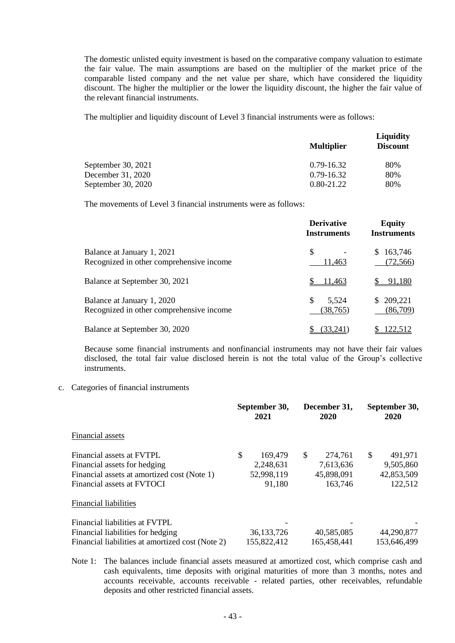The domestic unlisted equity investment is based on the comparative company valuation to estimate the fair value. The main assumptions are based on the multiplier of the market price of the comparable listed company and the net value per share, which have considered the liquidity discount. The higher the multiplier or the lower the liquidity discount, the higher the fair value of the relevant financial instruments.

The multiplier and liquidity discount of Level 3 financial instruments were as follows:

|                    |                   | <b>Liquidity</b> |  |
|--------------------|-------------------|------------------|--|
|                    | <b>Multiplier</b> | <b>Discount</b>  |  |
| September 30, 2021 | 0.79-16.32        | 80%              |  |
| December 31, 2020  | 0.79-16.32        | 80%              |  |
| September 30, 2020 | $0.80 - 21.22$    | 80%              |  |

The movements of Level 3 financial instruments were as follows:

|                                                                        | <b>Derivative</b><br><b>Instruments</b> | <b>Equity</b><br><b>Instruments</b> |
|------------------------------------------------------------------------|-----------------------------------------|-------------------------------------|
| Balance at January 1, 2021<br>Recognized in other comprehensive income | \$.<br>11,463                           | 163,746<br>(72, 566)                |
| Balance at September 30, 2021                                          | 11.463                                  | 91.180                              |
| Balance at January 1, 2020<br>Recognized in other comprehensive income | S<br>5,524<br>(38, 765)                 | \$209,221<br>(86,709)               |
| Balance at September 30, 2020                                          | (33.241                                 | 122.512                             |

Because some financial instruments and nonfinancial instruments may not have their fair values disclosed, the total fair value disclosed herein is not the total value of the Group's collective instruments.

#### c. Categories of financial instruments

|                                                  | September 30,<br>2021 | December 31,<br>2020 | September 30,<br>2020 |
|--------------------------------------------------|-----------------------|----------------------|-----------------------|
| Financial assets                                 |                       |                      |                       |
| Financial assets at FVTPL                        | \$<br>169,479         | \$<br>274,761        | \$<br>491,971         |
| Financial assets for hedging                     | 2,248,631             | 7,613,636            | 9,505,860             |
| Financial assets at amortized cost (Note 1)      | 52,998,119            | 45,898,091           | 42,853,509            |
| Financial assets at FVTOCI                       | 91,180                | 163,746              | 122,512               |
| <b>Financial liabilities</b>                     |                       |                      |                       |
| Financial liabilities at FVTPL                   |                       |                      |                       |
| Financial liabilities for hedging                | 36, 133, 726          | 40,585,085           | 44,290,877            |
| Financial liabilities at amortized cost (Note 2) | 155,822,412           | 165,458,441          | 153,646,499           |

Note 1: The balances include financial assets measured at amortized cost, which comprise cash and cash equivalents, time deposits with original maturities of more than 3 months, notes and accounts receivable, accounts receivable - related parties, other receivables, refundable deposits and other restricted financial assets.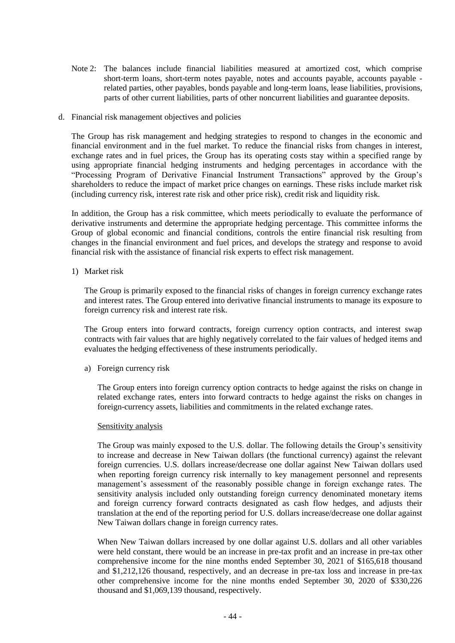- Note 2: The balances include financial liabilities measured at amortized cost, which comprise short-term loans, short-term notes payable, notes and accounts payable, accounts payable related parties, other payables, bonds payable and long-term loans, lease liabilities, provisions, parts of other current liabilities, parts of other noncurrent liabilities and guarantee deposits.
- d. Financial risk management objectives and policies

The Group has risk management and hedging strategies to respond to changes in the economic and financial environment and in the fuel market. To reduce the financial risks from changes in interest, exchange rates and in fuel prices, the Group has its operating costs stay within a specified range by using appropriate financial hedging instruments and hedging percentages in accordance with the "Processing Program of Derivative Financial Instrument Transactions" approved by the Group's shareholders to reduce the impact of market price changes on earnings. These risks include market risk (including currency risk, interest rate risk and other price risk), credit risk and liquidity risk.

In addition, the Group has a risk committee, which meets periodically to evaluate the performance of derivative instruments and determine the appropriate hedging percentage. This committee informs the Group of global economic and financial conditions, controls the entire financial risk resulting from changes in the financial environment and fuel prices, and develops the strategy and response to avoid financial risk with the assistance of financial risk experts to effect risk management.

1) Market risk

The Group is primarily exposed to the financial risks of changes in foreign currency exchange rates and interest rates. The Group entered into derivative financial instruments to manage its exposure to foreign currency risk and interest rate risk.

The Group enters into forward contracts, foreign currency option contracts, and interest swap contracts with fair values that are highly negatively correlated to the fair values of hedged items and evaluates the hedging effectiveness of these instruments periodically.

a) Foreign currency risk

The Group enters into foreign currency option contracts to hedge against the risks on change in related exchange rates, enters into forward contracts to hedge against the risks on changes in foreign-currency assets, liabilities and commitments in the related exchange rates.

#### Sensitivity analysis

The Group was mainly exposed to the U.S. dollar. The following details the Group's sensitivity to increase and decrease in New Taiwan dollars (the functional currency) against the relevant foreign currencies. U.S. dollars increase/decrease one dollar against New Taiwan dollars used when reporting foreign currency risk internally to key management personnel and represents management's assessment of the reasonably possible change in foreign exchange rates. The sensitivity analysis included only outstanding foreign currency denominated monetary items and foreign currency forward contracts designated as cash flow hedges, and adjusts their translation at the end of the reporting period for U.S. dollars increase/decrease one dollar against New Taiwan dollars change in foreign currency rates.

When New Taiwan dollars increased by one dollar against U.S. dollars and all other variables were held constant, there would be an increase in pre-tax profit and an increase in pre-tax other comprehensive income for the nine months ended September 30, 2021 of \$165,618 thousand and \$1,212,126 thousand, respectively, and an decrease in pre-tax loss and increase in pre-tax other comprehensive income for the nine months ended September 30, 2020 of \$330,226 thousand and \$1,069,139 thousand, respectively.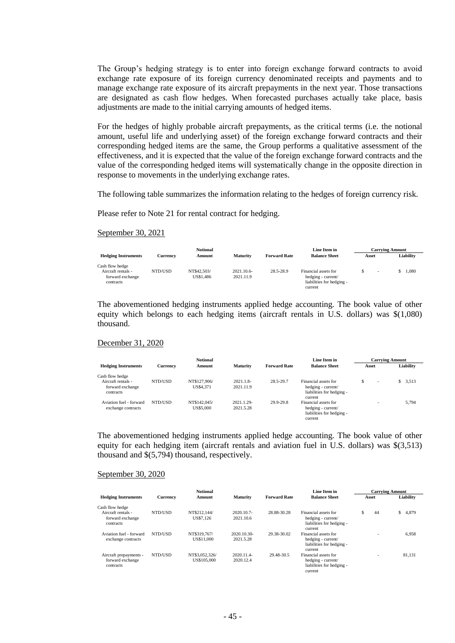The Group's hedging strategy is to enter into foreign exchange forward contracts to avoid exchange rate exposure of its foreign currency denominated receipts and payments and to manage exchange rate exposure of its aircraft prepayments in the next year. Those transactions are designated as cash flow hedges. When forecasted purchases actually take place, basis adjustments are made to the initial carrying amounts of hedged items.

For the hedges of highly probable aircraft prepayments, as the critical terms (i.e. the notional amount, useful life and underlying asset) of the foreign exchange forward contracts and their corresponding hedged items are the same, the Group performs a qualitative assessment of the effectiveness, and it is expected that the value of the foreign exchange forward contracts and the value of the corresponding hedged items will systematically change in the opposite direction in response to movements in the underlying exchange rates.

The following table summarizes the information relating to the hedges of foreign currency risk.

Please refer to Note 21 for rental contract for hedging.

#### September 30, 2021

|                            |          | <b>Notional</b> |                 |                     | Line Item in              |       |                          | <b>Carrving Amount</b> |
|----------------------------|----------|-----------------|-----------------|---------------------|---------------------------|-------|--------------------------|------------------------|
| <b>Hedging Instruments</b> | Currencv | Amount          | <b>Maturity</b> | <b>Forward Rate</b> | <b>Balance Sheet</b>      | Asset |                          | Liabilitv              |
| Cash flow hedge            |          |                 |                 |                     |                           |       |                          |                        |
| Aircraft rentals -         | NTD/USD  | NT\$42,503/     | 2021.10.6-      | 28.5-28.9           | Financial assets for      |       | $\overline{\phantom{a}}$ | 1.080                  |
| forward exchange           |          | US\$1.486       | 2021.11.9       |                     | hedging - current/        |       |                          |                        |
| contracts                  |          |                 |                 |                     | liabilities for hedging - |       |                          |                        |
|                            |          |                 |                 |                     | current                   |       |                          |                        |

The abovementioned hedging instruments applied hedge accounting. The book value of other equity which belongs to each hedging items (aircraft rentals in U.S. dollars) was \$(1,080) thousand.

#### December 31, 2020

|                            |          | <b>Notional</b> |                 |                     | Line Item in              |                               | <b>Carrving Amount</b> |
|----------------------------|----------|-----------------|-----------------|---------------------|---------------------------|-------------------------------|------------------------|
| <b>Hedging Instruments</b> | Currency | Amount          | <b>Maturity</b> | <b>Forward Rate</b> | <b>Balance Sheet</b>      | Asset                         | Liability              |
| Cash flow hedge            |          |                 |                 |                     |                           |                               |                        |
| Aircraft rentals -         | NTD/USD  | NT\$127,906/    | $2021.1.8-$     | 28.5-29.7           | Financial assets for      | S<br>$\overline{\phantom{a}}$ | \$3,513                |
| forward exchange           |          | US\$4.371       | 2021.11.9       |                     | hedging - current/        |                               |                        |
| contracts                  |          |                 |                 |                     | liabilities for hedging - |                               |                        |
|                            |          |                 |                 |                     | current                   |                               |                        |
| Aviation fuel - forward    | NTD/USD  | NT\$142,045/    | 2021.1.29-      | 29.9-29.8           | Financial assets for      |                               | 5.794                  |
| exchange contracts         |          | US\$5,000       | 2021.5.28       |                     | hedging - current/        |                               |                        |
|                            |          |                 |                 |                     | liabilities for hedging - |                               |                        |
|                            |          |                 |                 |                     | current                   |                               |                        |

The abovementioned hedging instruments applied hedge accounting. The book value of other equity for each hedging item (aircraft rentals and aviation fuel in U.S. dollars) was \$(3,513) thousand and \$(5,794) thousand, respectively.

#### September 30, 2020

|                                                         |                 | <b>Notional</b>               |                          |                     | Line Item in                                                                       | <b>Carrying Amount</b> |             |
|---------------------------------------------------------|-----------------|-------------------------------|--------------------------|---------------------|------------------------------------------------------------------------------------|------------------------|-------------|
| <b>Hedging Instruments</b>                              | <b>Currency</b> | Amount                        | <b>Maturity</b>          | <b>Forward Rate</b> | <b>Balance Sheet</b>                                                               | Asset                  | Liability   |
| Cash flow hedge                                         |                 |                               |                          |                     |                                                                                    |                        |             |
| Aircraft rentals -<br>forward exchange<br>contracts     | NTD/USD         | NT\$212.144/<br>US\$7.126     | 2020.10.7-<br>2021.10.6  | 28.88-30.28         | Financial assets for<br>hedging - current/<br>liabilities for hedging -<br>current | 44<br>S                | \$<br>4,879 |
| Aviation fuel - forward<br>exchange contracts           | NTD/USD         | NT\$319.767/<br>US\$11,000    | 2020.10.30-<br>2021.5.28 | 29.38-30.02         | Financial assets for<br>hedging - current/<br>liabilities for hedging -<br>current |                        | 6,958       |
| Aircraft prepayments -<br>forward exchange<br>contracts | NTD/USD         | NT\$3,052,326/<br>US\$105,000 | 2020.11.4-<br>2020.12.4  | 29.48-30.5          | Financial assets for<br>hedging - current/<br>liabilities for hedging -<br>current |                        | 81.131      |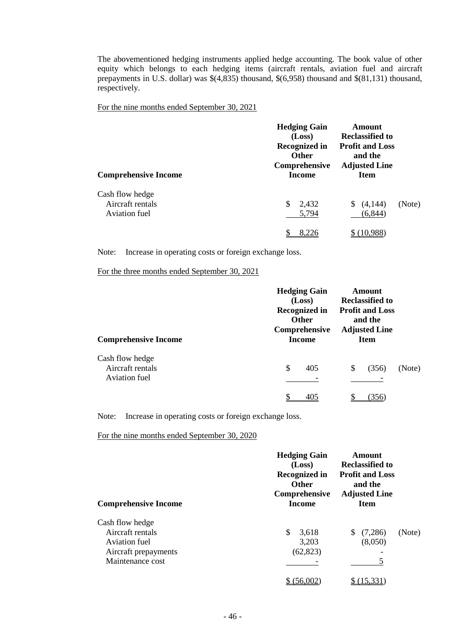The abovementioned hedging instruments applied hedge accounting. The book value of other equity which belongs to each hedging items (aircraft rentals, aviation fuel and aircraft prepayments in U.S. dollar) was \$(4,835) thousand, \$(6,958) thousand and \$(81,131) thousand, respectively.

For the nine months ended September 30, 2021

| <b>Comprehensive Income</b> | <b>Hedging Gain</b><br>(Loss)<br><b>Recognized in</b><br><b>Other</b><br>Comprehensive<br><b>Income</b> | Amount<br><b>Reclassified to</b><br><b>Profit and Loss</b><br>and the<br><b>Adjusted Line</b><br><b>Item</b> |        |
|-----------------------------|---------------------------------------------------------------------------------------------------------|--------------------------------------------------------------------------------------------------------------|--------|
| Cash flow hedge             | \$                                                                                                      | (4,144)                                                                                                      | (Note) |
| Aircraft rentals            | 2,432                                                                                                   | S                                                                                                            |        |
| Aviation fuel               | 5,794                                                                                                   | (6, 844)                                                                                                     |        |

Note: Increase in operating costs or foreign exchange loss.

For the three months ended September 30, 2021

| <b>Comprehensive Income</b> | <b>Hedging Gain</b><br>(Loss)<br>Recognized in<br><b>Other</b><br>Comprehensive<br><b>Income</b> | <b>Amount</b><br><b>Reclassified to</b><br><b>Profit and Loss</b><br>and the<br><b>Adjusted Line</b><br><b>Item</b> |        |
|-----------------------------|--------------------------------------------------------------------------------------------------|---------------------------------------------------------------------------------------------------------------------|--------|
| Cash flow hedge             | \$                                                                                               | (356)                                                                                                               | (Note) |
| Aircraft rentals            | 405                                                                                              | S                                                                                                                   |        |
| Aviation fuel               | 405                                                                                              | 356                                                                                                                 |        |

Note: Increase in operating costs or foreign exchange loss.

For the nine months ended September 30, 2020

| <b>Comprehensive Income</b>                                                                      | <b>Hedging Gain</b><br>(Loss)<br><b>Recognized in</b><br><b>Other</b><br>Comprehensive<br><b>Income</b> | Amount<br>Reclassified to<br><b>Profit and Loss</b><br>and the<br><b>Adjusted Line</b><br><b>Item</b> |
|--------------------------------------------------------------------------------------------------|---------------------------------------------------------------------------------------------------------|-------------------------------------------------------------------------------------------------------|
| Cash flow hedge<br>Aircraft rentals<br>Aviation fuel<br>Aircraft prepayments<br>Maintenance cost | \$<br>3,618<br>3,203<br>(62, 823)                                                                       | (7,286)<br>(Note)<br>(8,050)                                                                          |
|                                                                                                  |                                                                                                         |                                                                                                       |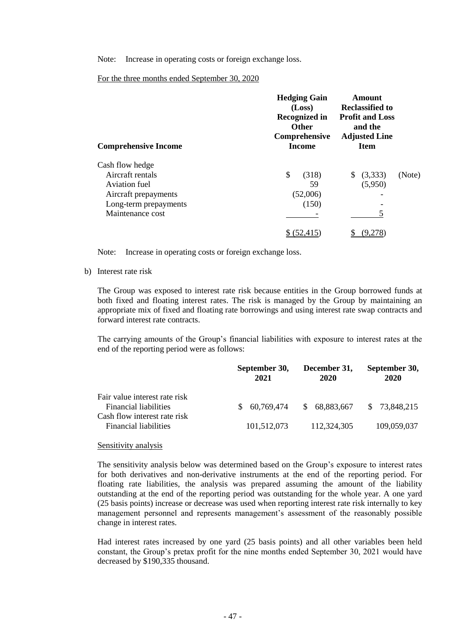Note: Increase in operating costs or foreign exchange loss.

For the three months ended September 30, 2020

| <b>Comprehensive Income</b> | <b>Hedging Gain</b><br>(Loss)<br><b>Recognized in</b><br><b>Other</b><br>Comprehensive<br><b>Income</b> | Amount<br><b>Reclassified to</b><br><b>Profit and Loss</b><br>and the<br><b>Adjusted Line</b><br><b>Item</b> |        |
|-----------------------------|---------------------------------------------------------------------------------------------------------|--------------------------------------------------------------------------------------------------------------|--------|
| Cash flow hedge             |                                                                                                         |                                                                                                              |        |
| Aircraft rentals            | \$<br>(318)                                                                                             | (3,333)<br>S                                                                                                 | (Note) |
| Aviation fuel               | 59                                                                                                      | (5,950)                                                                                                      |        |
| Aircraft prepayments        | (52,006)                                                                                                |                                                                                                              |        |
| Long-term prepayments       | (150)                                                                                                   |                                                                                                              |        |
| Maintenance cost            |                                                                                                         |                                                                                                              |        |
|                             |                                                                                                         |                                                                                                              |        |

Note: Increase in operating costs or foreign exchange loss.

b) Interest rate risk

The Group was exposed to interest rate risk because entities in the Group borrowed funds at both fixed and floating interest rates. The risk is managed by the Group by maintaining an appropriate mix of fixed and floating rate borrowings and using interest rate swap contracts and forward interest rate contracts.

The carrying amounts of the Group's financial liabilities with exposure to interest rates at the end of the reporting period were as follows:

|                                                                                               | September 30,<br>2021 | December 31,<br>2020 | September 30,<br>2020 |
|-----------------------------------------------------------------------------------------------|-----------------------|----------------------|-----------------------|
| Fair value interest rate risk<br><b>Financial liabilities</b><br>Cash flow interest rate risk | 60.769.474<br>SS.     | 68,883,667<br>S.     | \$ 73,848,215         |
| Financial liabilities                                                                         | 101,512,073           | 112,324,305          | 109,059,037           |

#### Sensitivity analysis

The sensitivity analysis below was determined based on the Group's exposure to interest rates for both derivatives and non-derivative instruments at the end of the reporting period. For floating rate liabilities, the analysis was prepared assuming the amount of the liability outstanding at the end of the reporting period was outstanding for the whole year. A one yard (25 basis points) increase or decrease was used when reporting interest rate risk internally to key management personnel and represents management's assessment of the reasonably possible change in interest rates.

Had interest rates increased by one yard (25 basis points) and all other variables been held constant, the Group's pretax profit for the nine months ended September 30, 2021 would have decreased by \$190,335 thousand.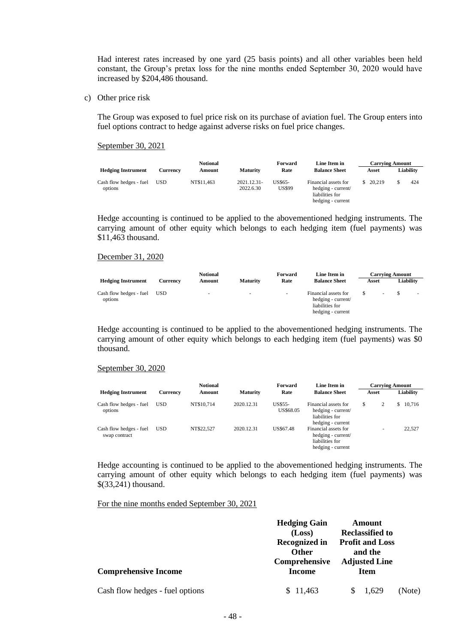Had interest rates increased by one yard (25 basis points) and all other variables been held constant, the Group's pretax loss for the nine months ended September 30, 2020 would have increased by \$204,486 thousand.

c) Other price risk

The Group was exposed to fuel price risk on its purchase of aviation fuel. The Group enters into fuel options contract to hedge against adverse risks on fuel price changes.

September 30, 2021

|                                    |            | <b>Notional</b> |                          | Forward                         | Line Item in                                                                       |          | <b>Carrying Amount</b> |
|------------------------------------|------------|-----------------|--------------------------|---------------------------------|------------------------------------------------------------------------------------|----------|------------------------|
| <b>Hedging Instrument</b>          | Currencv   | Amount          | <b>Maturity</b>          | Rate                            | <b>Balance Sheet</b>                                                               | Asset    | Liabilitv              |
| Cash flow hedges - fuel<br>options | <b>USD</b> | NT\$11,463      | 2021.12.31-<br>2022.6.30 | <b>US\$65-</b><br><b>US\$99</b> | Financial assets for<br>hedging - current/<br>liabilities for<br>hedging - current | \$20.219 | 424                    |

Hedge accounting is continued to be applied to the abovementioned hedging instruments. The carrying amount of other equity which belongs to each hedging item (fuel payments) was \$11,463 thousand.

#### December 31, 2020

|                                    |            | <b>Notional</b>          |                          | Forward | Line Item in                                                                       |       |                | <b>Carrying Amount</b> |                          |
|------------------------------------|------------|--------------------------|--------------------------|---------|------------------------------------------------------------------------------------|-------|----------------|------------------------|--------------------------|
| <b>Hedging Instrument</b>          | Currency   | Amount                   | <b>Maturity</b>          | Rate    | <b>Balance Sheet</b>                                                               | Asset |                | Liability              |                          |
| Cash flow hedges - fuel<br>options | <b>USD</b> | $\overline{\phantom{a}}$ | $\overline{\phantom{a}}$ | $\sim$  | Financial assets for<br>hedging - current/<br>liabilities for<br>hedging - current |       | $\overline{a}$ |                        | $\overline{\phantom{a}}$ |

Hedge accounting is continued to be applied to the abovementioned hedging instruments. The carrying amount of other equity which belongs to each hedging item (fuel payments) was \$0 thousand.

#### September 30, 2020

|                                          |            | <b>Notional</b> |                 | Forward                     | Line Item in                                                                       | <b>Carrying Amount</b>   |   |           |
|------------------------------------------|------------|-----------------|-----------------|-----------------------------|------------------------------------------------------------------------------------|--------------------------|---|-----------|
| <b>Hedging Instrument</b>                | Currency   | Amount          | <b>Maturity</b> | Rate                        | <b>Balance Sheet</b>                                                               | Asset                    |   | Liabilitv |
| Cash flow hedges - fuel<br>options       | <b>USD</b> | NT\$10.714      | 2020.12.31      | <b>US\$55-</b><br>US\$68.05 | Financial assets for<br>hedging - current/<br>liabilities for<br>hedging - current | \$<br>2                  | S | 10,716    |
| Cash flow hedges - fuel<br>swap contract | <b>USD</b> | NT\$22.527      | 2020.12.31      | US\$67.48                   | Financial assets for<br>hedging - current/<br>liabilities for<br>hedging - current | $\overline{\phantom{a}}$ |   | 22,527    |

Hedge accounting is continued to be applied to the abovementioned hedging instruments. The carrying amount of other equity which belongs to each hedging item (fuel payments) was \$(33,241) thousand.

For the nine months ended September 30, 2021

|                                 | <b>Hedging Gain</b>                            | Amount                                                      |        |
|---------------------------------|------------------------------------------------|-------------------------------------------------------------|--------|
|                                 | (Loss)<br><b>Recognized in</b><br><b>Other</b> | <b>Reclassified to</b><br><b>Profit and Loss</b><br>and the |        |
| <b>Comprehensive Income</b>     | Comprehensive<br>Income                        | <b>Adjusted Line</b><br><b>Item</b>                         |        |
| Cash flow hedges - fuel options | \$11.463                                       | 1.629                                                       | (Note) |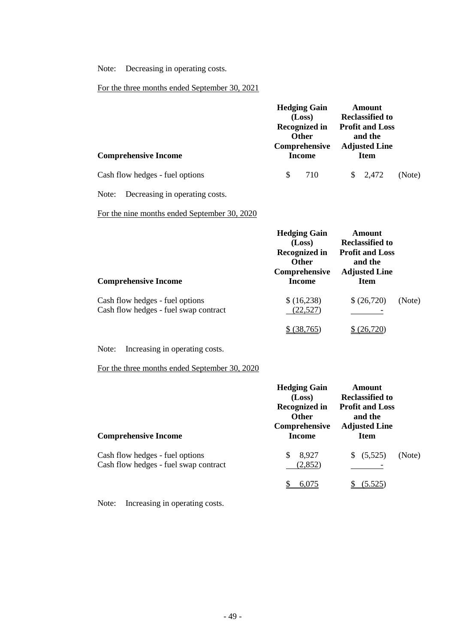Note: Decreasing in operating costs.

# For the three months ended September 30, 2021

|                                 | <b>Hedging Gain</b><br>(Loss)        | Amount<br><b>Reclassified to</b>    |        |
|---------------------------------|--------------------------------------|-------------------------------------|--------|
|                                 | <b>Recognized in</b><br><b>Other</b> | <b>Profit and Loss</b><br>and the   |        |
| <b>Comprehensive Income</b>     | Comprehensive<br>Income              | <b>Adjusted Line</b><br><b>Item</b> |        |
| Cash flow hedges - fuel options | 710                                  | $\frac{1}{2}$ , 2,472               | (Note) |

Note: Decreasing in operating costs.

# For the nine months ended September 30, 2020

| <b>Comprehensive Income</b>                                              | <b>Hedging Gain</b><br>(Loss)<br><b>Recognized in</b><br><b>Other</b><br>Comprehensive<br>Income | Amount<br><b>Reclassified to</b><br><b>Profit and Loss</b><br>and the<br><b>Adjusted Line</b><br><b>Item</b> |        |
|--------------------------------------------------------------------------|--------------------------------------------------------------------------------------------------|--------------------------------------------------------------------------------------------------------------|--------|
| Cash flow hedges - fuel options<br>Cash flow hedges - fuel swap contract | \$ (16,238)<br>(22, 527)                                                                         | \$ (26,720)                                                                                                  | (Note) |
|                                                                          | 38,765)                                                                                          | (26,720)                                                                                                     |        |

Note: Increasing in operating costs.

For the three months ended September 30, 2020

| <b>Comprehensive Income</b>                                              | <b>Hedging Gain</b><br>(Loss)<br><b>Recognized in</b><br><b>Other</b><br>Comprehensive<br>Income | <b>Amount</b><br><b>Reclassified to</b><br><b>Profit and Loss</b><br>and the<br><b>Adjusted Line</b><br><b>Item</b> |        |
|--------------------------------------------------------------------------|--------------------------------------------------------------------------------------------------|---------------------------------------------------------------------------------------------------------------------|--------|
| Cash flow hedges - fuel options<br>Cash flow hedges - fuel swap contract | 8,927<br>\$.<br>(2, 852)                                                                         | (5,525)<br>\$.                                                                                                      | (Note) |
|                                                                          | 6,075                                                                                            | (5.525)                                                                                                             |        |

Note: Increasing in operating costs.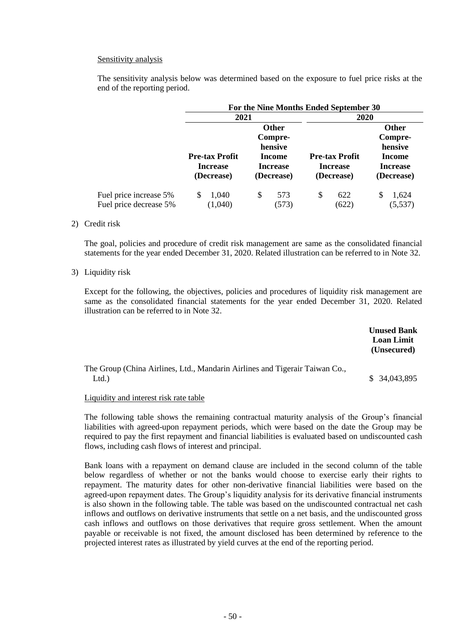#### Sensitivity analysis

The sensitivity analysis below was determined based on the exposure to fuel price risks at the end of the reporting period.

|                        |                       |                 | For the Nine Months Ended September 30 |                   |
|------------------------|-----------------------|-----------------|----------------------------------------|-------------------|
|                        | 2021                  |                 | <b>2020</b>                            |                   |
|                        |                       | <b>Other</b>    |                                        | <b>Other</b>      |
|                        |                       | Compre-         |                                        | Compre-           |
|                        |                       | hensive         |                                        | hensive           |
|                        | <b>Pre-tax Profit</b> | <b>Income</b>   | <b>Pre-tax Profit</b>                  | Income            |
|                        | <b>Increase</b>       | <b>Increase</b> | <b>Increase</b>                        | <b>Increase</b>   |
|                        | (Decrease)            | (Decrease)      | (Decrease)                             | (Decrease)        |
| Fuel price increase 5% | 1,040<br>S            | 573<br>\$       | S<br>622                               | 1,624<br><b>S</b> |
| Fuel price decrease 5% | (1,040)               | (573)           | (622)                                  | (5, 537)          |

#### 2) Credit risk

The goal, policies and procedure of credit risk management are same as the consolidated financial statements for the year ended December 31, 2020. Related illustration can be referred to in Note 32.

3) Liquidity risk

Except for the following, the objectives, policies and procedures of liquidity risk management are same as the consolidated financial statements for the year ended December 31, 2020. Related illustration can be referred to in Note 32.

|                                                                                     | <b>Unused Bank</b><br><b>Loan Limit</b><br>(Unsecured) |
|-------------------------------------------------------------------------------------|--------------------------------------------------------|
| The Group (China Airlines, Ltd., Mandarin Airlines and Tigerair Taiwan Co.,<br>Ltd. | \$34,043,895                                           |

#### Liquidity and interest risk rate table

The following table shows the remaining contractual maturity analysis of the Group's financial liabilities with agreed-upon repayment periods, which were based on the date the Group may be required to pay the first repayment and financial liabilities is evaluated based on undiscounted cash flows, including cash flows of interest and principal.

Bank loans with a repayment on demand clause are included in the second column of the table below regardless of whether or not the banks would choose to exercise early their rights to repayment. The maturity dates for other non-derivative financial liabilities were based on the agreed-upon repayment dates. The Group's liquidity analysis for its derivative financial instruments is also shown in the following table. The table was based on the undiscounted contractual net cash inflows and outflows on derivative instruments that settle on a net basis, and the undiscounted gross cash inflows and outflows on those derivatives that require gross settlement. When the amount payable or receivable is not fixed, the amount disclosed has been determined by reference to the projected interest rates as illustrated by yield curves at the end of the reporting period.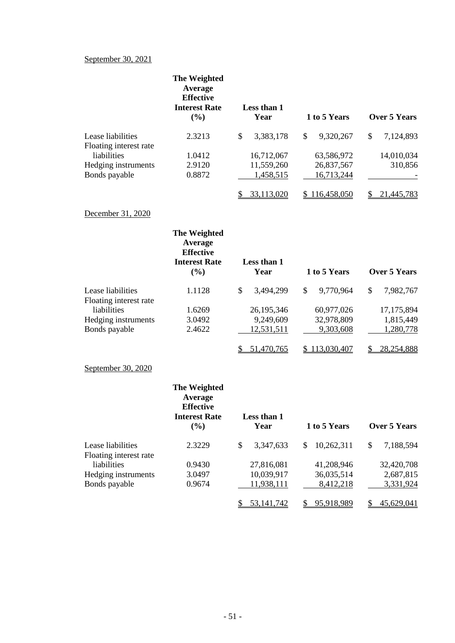### September 30, 2021

Floating interest rate

Bonds payable

|                                             | The Weighted<br>Average<br><b>Effective</b><br><b>Interest Rate</b><br>(%)        | Less than 1<br>Year     | 1 to 5 Years             | <b>Over 5 Years</b> |
|---------------------------------------------|-----------------------------------------------------------------------------------|-------------------------|--------------------------|---------------------|
| Lease liabilities                           | 2.3213                                                                            | \$<br>3,383,178         | \$<br>9,320,267          | \$<br>7,124,893     |
| Floating interest rate                      |                                                                                   |                         |                          |                     |
| liabilities                                 | 1.0412                                                                            | 16,712,067              | 63,586,972               | 14,010,034          |
| Hedging instruments<br>Bonds payable        | 2.9120<br>0.8872                                                                  | 11,559,260<br>1,458,515 | 26,837,567<br>16,713,244 | 310,856             |
|                                             |                                                                                   |                         |                          |                     |
|                                             |                                                                                   | 33,113,020<br>\$.       | \$116,458,050            | 21,445,783<br>\$.   |
| December 31, 2020                           |                                                                                   |                         |                          |                     |
|                                             | The Weighted<br>Average<br><b>Effective</b><br><b>Interest Rate</b>               | Less than 1             |                          |                     |
|                                             | (%)                                                                               | Year                    | 1 to 5 Years             | <b>Over 5 Years</b> |
| Lease liabilities<br>Floating interest rate | 1.1128                                                                            | \$<br>3,494,299         | \$<br>9,770,964          | \$<br>7,982,767     |
| liabilities                                 | 1.6269                                                                            | 26,195,346              | 60,977,026               | 17,175,894          |
| Hedging instruments                         | 3.0492                                                                            | 9,249,609               | 32,978,809               | 1,815,449           |
| Bonds payable                               | 2.4622                                                                            | 12,531,511              | 9,303,608                | 1,280,778           |
|                                             |                                                                                   | 51,470,765              | \$113,030,407            | 28,254,888          |
| September 30, 2020                          |                                                                                   |                         |                          |                     |
|                                             | <b>The Weighted</b><br>Average<br><b>Effective</b><br><b>Interest Rate</b><br>(%) | Less than 1<br>Year     | 1 to 5 Years             | <b>Over 5 Years</b> |
| Lease liabilities                           | 2.3229                                                                            | \$<br>3,347,633         | \$<br>10,262,311         | \$<br>7,188,594     |

Hedging instruments 3.0497 10,039,917 36,035,514 2,687,815<br>Bonds payable 0.9674 11,938,111 8,412,218 3,331,924

0.9430 27,816,081 41,208,946 32,420,708<br>3.0497 10,039,917 36,035,514 2,687,815

\$ 53,141,742 \$ 95,918,989 \$ 45,629,041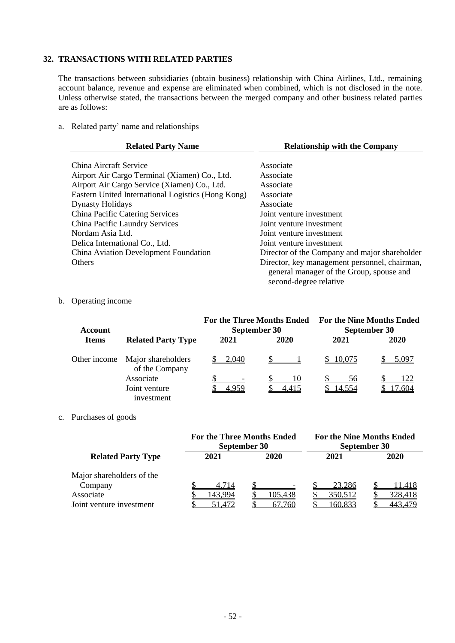## **32. TRANSACTIONS WITH RELATED PARTIES**

The transactions between subsidiaries (obtain business) relationship with China Airlines, Ltd., remaining account balance, revenue and expense are eliminated when combined, which is not disclosed in the note. Unless otherwise stated, the transactions between the merged company and other business related parties are as follows:

a. Related party' name and relationships

| <b>Related Party Name</b>                          | <b>Relationship with the Company</b>                                                                                |  |  |
|----------------------------------------------------|---------------------------------------------------------------------------------------------------------------------|--|--|
| China Aircraft Service                             | Associate                                                                                                           |  |  |
|                                                    |                                                                                                                     |  |  |
| Airport Air Cargo Terminal (Xiamen) Co., Ltd.      | Associate                                                                                                           |  |  |
| Airport Air Cargo Service (Xiamen) Co., Ltd.       | Associate                                                                                                           |  |  |
| Eastern United International Logistics (Hong Kong) | Associate                                                                                                           |  |  |
| <b>Dynasty Holidays</b>                            | Associate                                                                                                           |  |  |
| China Pacific Catering Services                    | Joint venture investment                                                                                            |  |  |
| China Pacific Laundry Services                     | Joint venture investment                                                                                            |  |  |
| Nordam Asia Ltd.                                   | Joint venture investment                                                                                            |  |  |
| Delica International Co., Ltd.                     | Joint venture investment                                                                                            |  |  |
| China Aviation Development Foundation              | Director of the Company and major shareholder                                                                       |  |  |
| <b>Others</b>                                      | Director, key management personnel, chairman,<br>general manager of the Group, spouse and<br>second-degree relative |  |  |

#### b. Operating income

| Account      |                                      |       | <b>For the Three Months Ended</b><br>September 30 |          | <b>For the Nine Months Ended</b><br>September 30 |
|--------------|--------------------------------------|-------|---------------------------------------------------|----------|--------------------------------------------------|
| <b>Items</b> | <b>Related Party Type</b>            | 2021  | 2020                                              | 2021     | 2020                                             |
| Other income | Major shareholders<br>of the Company | 2.040 |                                                   | \$10.075 | 5.097                                            |
|              | Associate                            |       | 10                                                | 56       | 122                                              |
|              | Joint venture<br>investment          |       |                                                   | 14.554   | .604                                             |

#### c. Purchases of goods

|                                                                               | <b>For the Three Months Ended</b><br>September 30 |                   | <b>For the Nine Months Ended</b><br>September 30 |                              |  |  |
|-------------------------------------------------------------------------------|---------------------------------------------------|-------------------|--------------------------------------------------|------------------------------|--|--|
| <b>Related Party Type</b>                                                     | 2021                                              | 2020              | 2021                                             | 2020                         |  |  |
| Major shareholders of the<br>Company<br>Associate<br>Joint venture investment | 4.714<br>143,994<br>51.472                        | 105,438<br>67.760 | 23,286<br>350,512<br>160,833                     | 11,418<br>328,418<br>443.479 |  |  |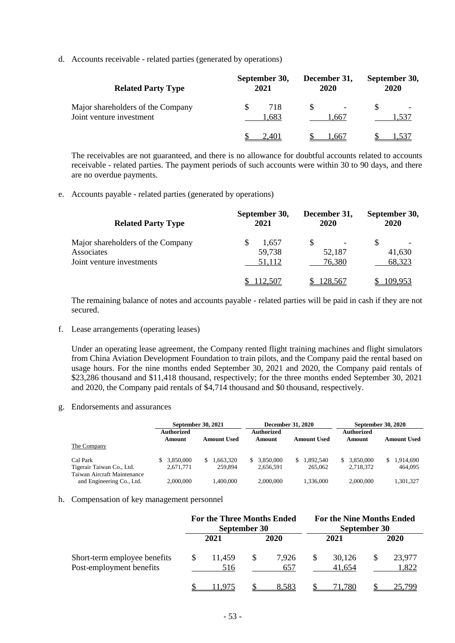d. Accounts receivable - related parties (generated by operations)

| <b>Related Party Type</b>                                     | September 30,<br>2021 |             | December 31,<br>2020 |       | September 30,<br>2020 |      |
|---------------------------------------------------------------|-----------------------|-------------|----------------------|-------|-----------------------|------|
| Major shareholders of the Company<br>Joint venture investment |                       | 718<br>.683 |                      | l.667 |                       | -537 |
|                                                               |                       |             |                      | .667  |                       |      |

The receivables are not guaranteed, and there is no allowance for doubtful accounts related to accounts receivable - related parties. The payment periods of such accounts were within 30 to 90 days, and there are no overdue payments.

e. Accounts payable - related parties (generated by operations)

| <b>Related Party Type</b>         | September 30,<br>2021 | December 31,<br><b>2020</b> | September 30,<br><b>2020</b> |  |
|-----------------------------------|-----------------------|-----------------------------|------------------------------|--|
| Major shareholders of the Company | 1.657                 |                             |                              |  |
| Associates                        | 59,738                | 52,187                      | 41,630                       |  |
| Joint venture investments         | 51,112                | 76,380                      | 68,323                       |  |
|                                   | 112.507               | 128.567                     | 109.953                      |  |

The remaining balance of notes and accounts payable - related parties will be paid in cash if they are not secured.

f. Lease arrangements (operating leases)

Under an operating lease agreement, the Company rented flight training machines and flight simulators from China Aviation Development Foundation to train pilots, and the Company paid the rental based on usage hours. For the nine months ended September 30, 2021 and 2020, the Company paid rentals of \$23,286 thousand and \$11,418 thousand, respectively; for the three months ended September 30, 2021 and 2020, the Company paid rentals of \$4,714 thousand and \$0 thousand, respectively.

g. Endorsements and assurances

|                                                                      | September 30, 2021           |                           |                             | <b>December 31, 2020</b>   | September 30, 2020        |                            |  |
|----------------------------------------------------------------------|------------------------------|---------------------------|-----------------------------|----------------------------|---------------------------|----------------------------|--|
| The Company                                                          | Authorized<br>Amount         | <b>Amount Used</b>        | <b>Authorized</b><br>Amount | <b>Amount Used</b>         | Authorized<br>Amount      | <b>Amount Used</b>         |  |
| Cal Park<br>Tigerair Taiwan Co., Ltd.<br>Taiwan Aircraft Maintenance | 3.850,000<br>S.<br>2.671.771 | .663.320<br>S.<br>259,894 | 3.850.000<br>S<br>2,656,591 | 1.892.540<br>S.<br>265,062 | \$ 3,850,000<br>2,718,372 | 1.914.690<br>S.<br>464.095 |  |
| and Engineering Co., Ltd.                                            | 2,000,000                    | .400.000                  | 2,000,000                   | 1.336,000                  | 2,000,000                 | 1,301,327                  |  |

#### h. Compensation of key management personnel

|                                                          | <b>For the Three Months Ended</b><br>September 30 |  |              | <b>For the Nine Months Ended</b><br>September 30 |                  |  |                 |
|----------------------------------------------------------|---------------------------------------------------|--|--------------|--------------------------------------------------|------------------|--|-----------------|
|                                                          | 2021                                              |  | 2020         |                                                  | 2021             |  | 2020            |
| Short-term employee benefits<br>Post-employment benefits | 11.459<br>516                                     |  | 7.926<br>657 |                                                  | 30,126<br>41,654 |  | 23,977<br>1,822 |
|                                                          |                                                   |  | <u>8.583</u> |                                                  | .780             |  |                 |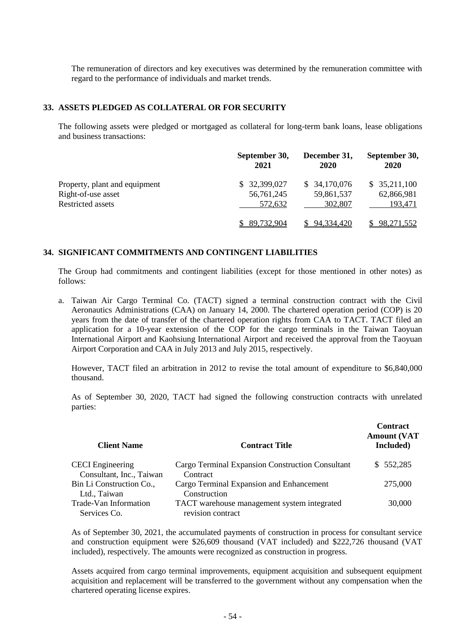The remuneration of directors and key executives was determined by the remuneration committee with regard to the performance of individuals and market trends.

#### **33. ASSETS PLEDGED AS COLLATERAL OR FOR SECURITY**

The following assets were pledged or mortgaged as collateral for long-term bank loans, lease obligations and business transactions:

|                               | September 30,<br>2021 | December 31,<br>2020 | September 30,<br>2020 |
|-------------------------------|-----------------------|----------------------|-----------------------|
| Property, plant and equipment | \$32,399,027          | \$34,170,076         | \$35,211,100          |
| Right-of-use asset            | 56,761,245            | 59,861,537           | 62,866,981            |
| Restricted assets             | 572,632               | 302,807              | 193,471               |
|                               | 89,732,904            | 94,334,420           | <u>98,271,552</u>     |

### **34. SIGNIFICANT COMMITMENTS AND CONTINGENT LIABILITIES**

The Group had commitments and contingent liabilities (except for those mentioned in other notes) as follows:

a. Taiwan Air Cargo Terminal Co. (TACT) signed a terminal construction contract with the Civil Aeronautics Administrations (CAA) on January 14, 2000. The chartered operation period (COP) is 20 years from the date of transfer of the chartered operation rights from CAA to TACT. TACT filed an application for a 10-year extension of the COP for the cargo terminals in the Taiwan Taoyuan International Airport and Kaohsiung International Airport and received the approval from the Taoyuan Airport Corporation and CAA in July 2013 and July 2015, respectively.

However, TACT filed an arbitration in 2012 to revise the total amount of expenditure to \$6,840,000 thousand.

As of September 30, 2020, TACT had signed the following construction contracts with unrelated parties:

| <b>Client Name</b>                                  | <b>Contract Title</b>                                            | <b>Contract</b><br><b>Amount (VAT</b><br>Included) |
|-----------------------------------------------------|------------------------------------------------------------------|----------------------------------------------------|
| <b>CECI</b> Engineering<br>Consultant, Inc., Taiwan | Cargo Terminal Expansion Construction Consultant<br>Contract     | \$552,285                                          |
| Bin Li Construction Co.,<br>Ltd., Taiwan            | Cargo Terminal Expansion and Enhancement<br>Construction         | 275,000                                            |
| Trade-Van Information<br>Services Co.               | TACT warehouse management system integrated<br>revision contract | 30,000                                             |

As of September 30, 2021, the accumulated payments of construction in process for consultant service and construction equipment were \$26,609 thousand (VAT included) and \$222,726 thousand (VAT included), respectively. The amounts were recognized as construction in progress.

Assets acquired from cargo terminal improvements, equipment acquisition and subsequent equipment acquisition and replacement will be transferred to the government without any compensation when the chartered operating license expires.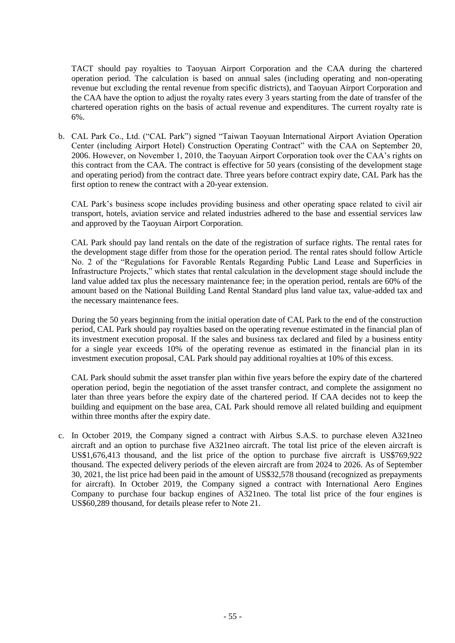TACT should pay royalties to Taoyuan Airport Corporation and the CAA during the chartered operation period. The calculation is based on annual sales (including operating and non-operating revenue but excluding the rental revenue from specific districts), and Taoyuan Airport Corporation and the CAA have the option to adjust the royalty rates every 3 years starting from the date of transfer of the chartered operation rights on the basis of actual revenue and expenditures. The current royalty rate is 6%.

b. CAL Park Co., Ltd. ("CAL Park") signed "Taiwan Taoyuan International Airport Aviation Operation Center (including Airport Hotel) Construction Operating Contract" with the CAA on September 20, 2006. However, on November 1, 2010, the Taoyuan Airport Corporation took over the CAA's rights on this contract from the CAA. The contract is effective for 50 years (consisting of the development stage and operating period) from the contract date. Three years before contract expiry date, CAL Park has the first option to renew the contract with a 20-year extension.

CAL Park's business scope includes providing business and other operating space related to civil air transport, hotels, aviation service and related industries adhered to the base and essential services law and approved by the Taoyuan Airport Corporation.

CAL Park should pay land rentals on the date of the registration of surface rights. The rental rates for the development stage differ from those for the operation period. The rental rates should follow Article No. 2 of the "Regulations for Favorable Rentals Regarding Public Land Lease and Superficies in Infrastructure Projects," which states that rental calculation in the development stage should include the land value added tax plus the necessary maintenance fee; in the operation period, rentals are 60% of the amount based on the National Building Land Rental Standard plus land value tax, value-added tax and the necessary maintenance fees.

During the 50 years beginning from the initial operation date of CAL Park to the end of the construction period, CAL Park should pay royalties based on the operating revenue estimated in the financial plan of its investment execution proposal. If the sales and business tax declared and filed by a business entity for a single year exceeds 10% of the operating revenue as estimated in the financial plan in its investment execution proposal, CAL Park should pay additional royalties at 10% of this excess.

CAL Park should submit the asset transfer plan within five years before the expiry date of the chartered operation period, begin the negotiation of the asset transfer contract, and complete the assignment no later than three years before the expiry date of the chartered period. If CAA decides not to keep the building and equipment on the base area, CAL Park should remove all related building and equipment within three months after the expiry date.

c. In October 2019, the Company signed a contract with Airbus S.A.S. to purchase eleven A321neo aircraft and an option to purchase five A321neo aircraft. The total list price of the eleven aircraft is US\$1,676,413 thousand, and the list price of the option to purchase five aircraft is US\$769,922 thousand. The expected delivery periods of the eleven aircraft are from 2024 to 2026. As of September 30, 2021, the list price had been paid in the amount of US\$32,578 thousand (recognized as prepayments for aircraft). In October 2019, the Company signed a contract with International Aero Engines Company to purchase four backup engines of A321neo. The total list price of the four engines is US\$60,289 thousand, for details please refer to Note 21.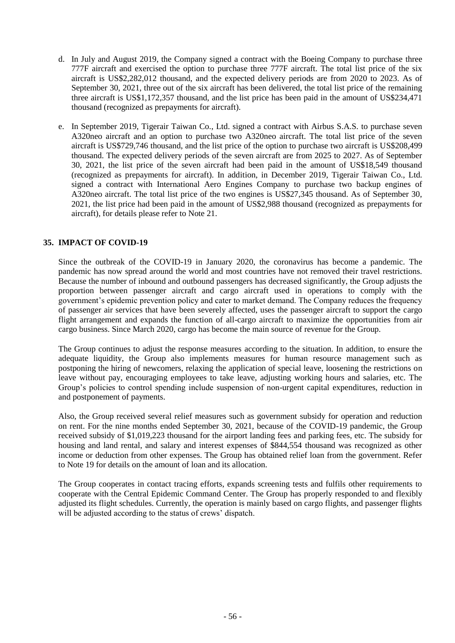- d. In July and August 2019, the Company signed a contract with the Boeing Company to purchase three 777F aircraft and exercised the option to purchase three 777F aircraft. The total list price of the six aircraft is US\$2,282,012 thousand, and the expected delivery periods are from 2020 to 2023. As of September 30, 2021, three out of the six aircraft has been delivered, the total list price of the remaining three aircraft is US\$1,172,357 thousand, and the list price has been paid in the amount of US\$234,471 thousand (recognized as prepayments for aircraft).
- e. In September 2019, Tigerair Taiwan Co., Ltd. signed a contract with Airbus S.A.S. to purchase seven A320neo aircraft and an option to purchase two A320neo aircraft. The total list price of the seven aircraft is US\$729,746 thousand, and the list price of the option to purchase two aircraft is US\$208,499 thousand. The expected delivery periods of the seven aircraft are from 2025 to 2027. As of September 30, 2021, the list price of the seven aircraft had been paid in the amount of US\$18,549 thousand (recognized as prepayments for aircraft). In addition, in December 2019, Tigerair Taiwan Co., Ltd. signed a contract with International Aero Engines Company to purchase two backup engines of A320neo aircraft. The total list price of the two engines is US\$27,345 thousand. As of September 30, 2021, the list price had been paid in the amount of US\$2,988 thousand (recognized as prepayments for aircraft), for details please refer to Note 21.

### **35. IMPACT OF COVID-19**

Since the outbreak of the COVID-19 in January 2020, the coronavirus has become a pandemic. The pandemic has now spread around the world and most countries have not removed their travel restrictions. Because the number of inbound and outbound passengers has decreased significantly, the Group adjusts the proportion between passenger aircraft and cargo aircraft used in operations to comply with the government's epidemic prevention policy and cater to market demand. The Company reduces the frequency of passenger air services that have been severely affected, uses the passenger aircraft to support the cargo flight arrangement and expands the function of all-cargo aircraft to maximize the opportunities from air cargo business. Since March 2020, cargo has become the main source of revenue for the Group.

The Group continues to adjust the response measures according to the situation. In addition, to ensure the adequate liquidity, the Group also implements measures for human resource management such as postponing the hiring of newcomers, relaxing the application of special leave, loosening the restrictions on leave without pay, encouraging employees to take leave, adjusting working hours and salaries, etc. The Group's policies to control spending include suspension of non-urgent capital expenditures, reduction in and postponement of payments.

Also, the Group received several relief measures such as government subsidy for operation and reduction on rent. For the nine months ended September 30, 2021, because of the COVID-19 pandemic, the Group received subsidy of \$1,019,223 thousand for the airport landing fees and parking fees, etc. The subsidy for housing and land rental, and salary and interest expenses of \$844,554 thousand was recognized as other income or deduction from other expenses. The Group has obtained relief loan from the government. Refer to Note 19 for details on the amount of loan and its allocation.

The Group cooperates in contact tracing efforts, expands screening tests and fulfils other requirements to cooperate with the Central Epidemic Command Center. The Group has properly responded to and flexibly adjusted its flight schedules. Currently, the operation is mainly based on cargo flights, and passenger flights will be adjusted according to the status of crews' dispatch.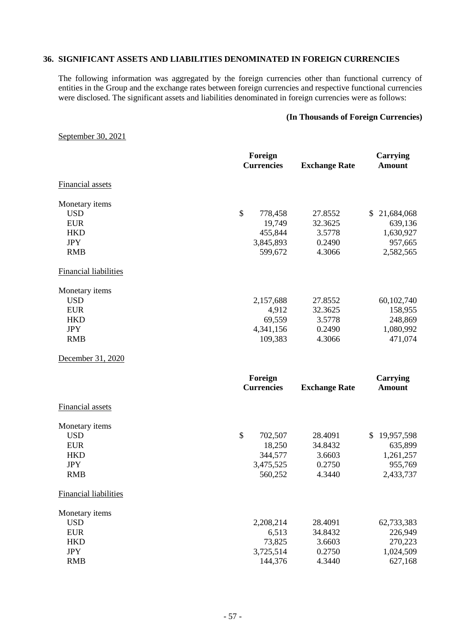### **36. SIGNIFICANT ASSETS AND LIABILITIES DENOMINATED IN FOREIGN CURRENCIES**

The following information was aggregated by the foreign currencies other than functional currency of entities in the Group and the exchange rates between foreign currencies and respective functional currencies were disclosed. The significant assets and liabilities denominated in foreign currencies were as follows:

#### **(In Thousands of Foreign Currencies)**

#### September 30, 2021

|                              | Foreign<br><b>Currencies</b> | <b>Exchange Rate</b> | <b>Carrying</b><br><b>Amount</b> |  |
|------------------------------|------------------------------|----------------------|----------------------------------|--|
| <b>Financial assets</b>      |                              |                      |                                  |  |
| Monetary items               |                              |                      |                                  |  |
| <b>USD</b>                   | \$<br>778,458                | 27.8552              | 21,684,068<br>\$                 |  |
| <b>EUR</b>                   | 19,749                       | 32.3625              | 639,136                          |  |
| <b>HKD</b>                   | 455,844                      | 3.5778               | 1,630,927                        |  |
| <b>JPY</b>                   | 3,845,893                    | 0.2490               | 957,665                          |  |
| <b>RMB</b>                   | 599,672                      | 4.3066               | 2,582,565                        |  |
| <b>Financial liabilities</b> |                              |                      |                                  |  |
| Monetary items               |                              |                      |                                  |  |
| <b>USD</b>                   | 2,157,688                    | 27.8552              | 60,102,740                       |  |
| <b>EUR</b>                   | 4,912                        | 32.3625              | 158,955                          |  |
| <b>HKD</b>                   | 69,559                       | 3.5778               | 248,869                          |  |
| <b>JPY</b>                   | 4,341,156                    | 0.2490               | 1,080,992                        |  |
| <b>RMB</b>                   | 109,383                      | 4.3066               | 471,074                          |  |
| December 31, 2020            |                              |                      |                                  |  |
|                              | Foreign                      |                      | <b>Carrying</b>                  |  |
|                              | <b>Currencies</b>            | <b>Exchange Rate</b> | <b>Amount</b>                    |  |
| <b>Financial assets</b>      |                              |                      |                                  |  |
| Monetary items               |                              |                      |                                  |  |
| <b>USD</b>                   | \$<br>702,507                | 28.4091              | \$19,957,598                     |  |
| <b>EUR</b>                   | 18,250                       | 34.8432              | 635,899                          |  |
| <b>HKD</b>                   | 344,577                      | 3.6603               | 1,261,257                        |  |
| <b>JPY</b>                   | 3,475,525                    | 0.2750               | 955,769                          |  |
| <b>RMB</b>                   | 560,252                      | 4.3440               | 2,433,737                        |  |
| <b>Financial liabilities</b> |                              |                      |                                  |  |
| Monetary items               |                              |                      |                                  |  |
| <b>USD</b>                   | 2,208,214                    | 28.4091              | 62,733,383                       |  |
| <b>EUR</b>                   | 6,513                        | 34.8432              | 226,949                          |  |
| <b>HKD</b>                   | 73,825                       | 3.6603               | 270,223                          |  |
| <b>JPY</b>                   | 3,725,514                    | 0.2750               | 1,024,509                        |  |
| <b>RMB</b>                   | 144,376                      | 4.3440               | 627,168                          |  |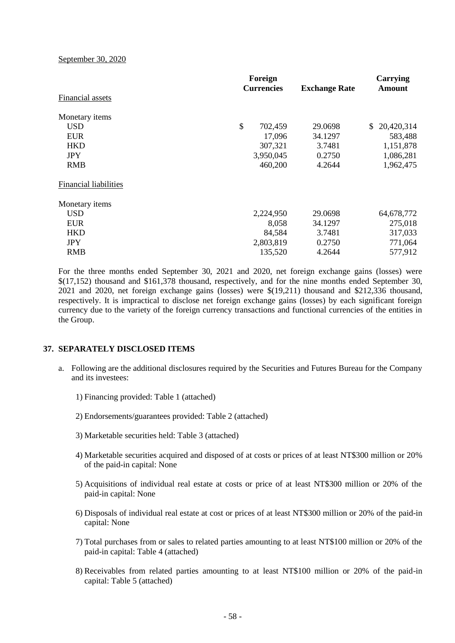September 30, 2020

| Foreign |         |                                                          |                      | Carrying<br>Amount |  |
|---------|---------|----------------------------------------------------------|----------------------|--------------------|--|
|         |         |                                                          |                      |                    |  |
|         |         |                                                          |                      |                    |  |
| \$      | 702,459 | 29.0698                                                  | \$                   | 20,420,314         |  |
|         | 17,096  | 34.1297                                                  |                      | 583,488            |  |
|         | 307,321 | 3.7481                                                   |                      | 1,151,878          |  |
|         |         | 0.2750                                                   |                      | 1,086,281          |  |
|         | 460,200 | 4.2644                                                   |                      | 1,962,475          |  |
|         |         |                                                          |                      |                    |  |
|         |         |                                                          |                      |                    |  |
|         |         | 29.0698                                                  |                      | 64,678,772         |  |
|         | 8,058   | 34.1297                                                  |                      | 275,018            |  |
|         | 84,584  | 3.7481                                                   |                      | 317,033            |  |
|         |         | 0.2750                                                   |                      | 771,064            |  |
|         | 135,520 | 4.2644                                                   |                      | 577,912            |  |
|         |         | <b>Currencies</b><br>3,950,045<br>2,224,950<br>2,803,819 | <b>Exchange Rate</b> |                    |  |

For the three months ended September 30, 2021 and 2020, net foreign exchange gains (losses) were \$(17,152) thousand and \$161,378 thousand, respectively, and for the nine months ended September 30, 2021 and 2020, net foreign exchange gains (losses) were \$(19,211) thousand and \$212,336 thousand, respectively. It is impractical to disclose net foreign exchange gains (losses) by each significant foreign currency due to the variety of the foreign currency transactions and functional currencies of the entities in the Group.

#### **37. SEPARATELY DISCLOSED ITEMS**

- a. Following are the additional disclosures required by the Securities and Futures Bureau for the Company and its investees:
	- 1) Financing provided: Table 1 (attached)
	- 2) Endorsements/guarantees provided: Table 2 (attached)
	- 3) Marketable securities held: Table 3 (attached)
	- 4) Marketable securities acquired and disposed of at costs or prices of at least NT\$300 million or 20% of the paid-in capital: None
	- 5) Acquisitions of individual real estate at costs or price of at least NT\$300 million or 20% of the paid-in capital: None
	- 6) Disposals of individual real estate at cost or prices of at least NT\$300 million or 20% of the paid-in capital: None
	- 7) Total purchases from or sales to related parties amounting to at least NT\$100 million or 20% of the paid-in capital: Table 4 (attached)
	- 8) Receivables from related parties amounting to at least NT\$100 million or 20% of the paid-in capital: Table 5 (attached)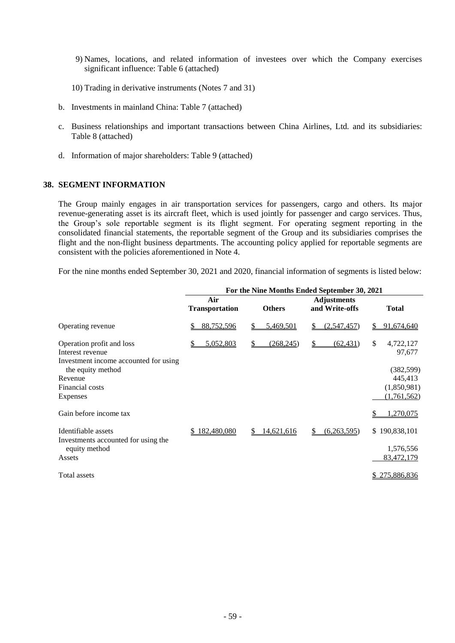- 9) Names, locations, and related information of investees over which the Company exercises significant influence: Table 6 (attached)
- 10) Trading in derivative instruments (Notes 7 and 31)
- b. Investments in mainland China: Table 7 (attached)
- c. Business relationships and important transactions between China Airlines, Ltd. and its subsidiaries: Table 8 (attached)
- d. Information of major shareholders: Table 9 (attached)

#### **38. SEGMENT INFORMATION**

The Group mainly engages in air transportation services for passengers, cargo and others. Its major revenue-generating asset is its aircraft fleet, which is used jointly for passenger and cargo services. Thus, the Group's sole reportable segment is its flight segment. For operating segment reporting in the consolidated financial statements, the reportable segment of the Group and its subsidiaries comprises the flight and the non-flight business departments. The accounting policy applied for reportable segments are consistent with the policies aforementioned in Note 4.

For the nine months ended September 30, 2021 and 2020, financial information of segments is listed below:

|                                                                                        | For the Nine Months Ended September 30, 2021 |                          |                                      |                           |  |  |
|----------------------------------------------------------------------------------------|----------------------------------------------|--------------------------|--------------------------------------|---------------------------|--|--|
|                                                                                        | Air<br><b>Transportation</b>                 | <b>Others</b>            | <b>Adjustments</b><br>and Write-offs | <b>Total</b>              |  |  |
| Operating revenue                                                                      | 88,752,596                                   | 5,469,501<br>S           | (2,547,457)<br>S                     | 91,674,640                |  |  |
| Operation profit and loss<br>Interest revenue<br>Investment income accounted for using | 5,052,803                                    | (268, 245)<br>\$         | (62, 431)<br>\$                      | \$<br>4,722,127<br>97,677 |  |  |
| the equity method                                                                      |                                              |                          |                                      | (382, 599)                |  |  |
| Revenue                                                                                |                                              |                          |                                      | 445,413                   |  |  |
| Financial costs                                                                        |                                              |                          |                                      | (1,850,981)               |  |  |
| Expenses                                                                               |                                              |                          |                                      | (1,761,562)               |  |  |
| Gain before income tax                                                                 |                                              |                          |                                      | .270,075                  |  |  |
| Identifiable assets                                                                    | 182,480,080<br>S.                            | <u>14,621,616</u><br>\$. | (6,263,595)<br>S                     | 190,838,101<br>\$.        |  |  |
| Investments accounted for using the<br>equity method                                   |                                              |                          |                                      | 1,576,556                 |  |  |
| Assets                                                                                 |                                              |                          |                                      | 83,472,179                |  |  |
| Total assets                                                                           |                                              |                          |                                      | 275,886,836               |  |  |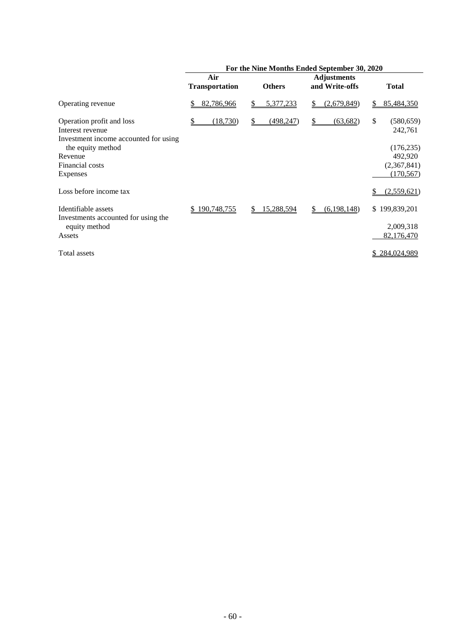|                                                                                        | For the Nine Months Ended September 30, 2020 |                         |                                      |                             |  |  |
|----------------------------------------------------------------------------------------|----------------------------------------------|-------------------------|--------------------------------------|-----------------------------|--|--|
|                                                                                        | Air<br><b>Transportation</b>                 | <b>Others</b>           | <b>Adjustments</b><br>and Write-offs | <b>Total</b>                |  |  |
| Operating revenue                                                                      | 82,786,966<br>S                              | 5,377,233<br>S.         | (2,679,849)<br>S.                    | 85,484,350<br>S.            |  |  |
| Operation profit and loss<br>Interest revenue<br>Investment income accounted for using | (18,730)<br>S                                | (498, 247)<br>S.        | (63, 682)<br>\$                      | \$<br>(580, 659)<br>242,761 |  |  |
| the equity method                                                                      |                                              |                         |                                      | (176, 235)                  |  |  |
| Revenue                                                                                |                                              |                         |                                      | 492,920                     |  |  |
| Financial costs                                                                        |                                              |                         |                                      | (2,367,841)                 |  |  |
| Expenses                                                                               |                                              |                         |                                      | (170, 567)                  |  |  |
| Loss before income tax                                                                 |                                              |                         |                                      | (2,559,621)                 |  |  |
| Identifiable assets                                                                    | 190,748,755<br>S.                            | <u>15,288,594</u><br>\$ | (6,198,148)<br>S.                    | \$199,839,201               |  |  |
| Investments accounted for using the<br>equity method                                   |                                              |                         |                                      | 2,009,318                   |  |  |
| Assets                                                                                 |                                              |                         |                                      | 82,176,470                  |  |  |
| Total assets                                                                           |                                              |                         |                                      | \$284,024,989               |  |  |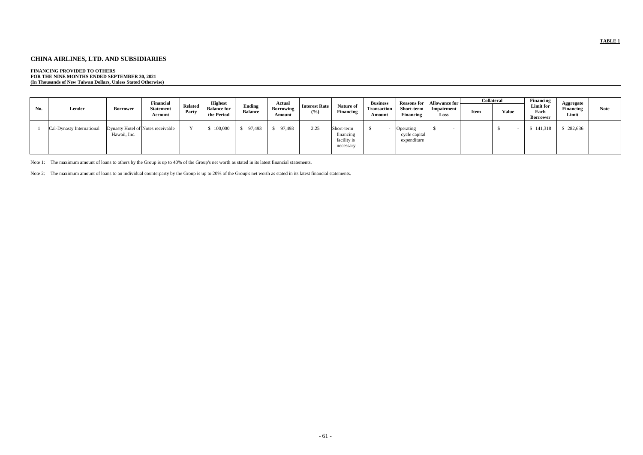# **CHINA AIRLINES, LTD. AND SUBSIDIARIES**

## **FINANCING PROVIDED TO OTHERS**

**FOR THE NINE MONTHS ENDED SEPTEMBER 30, 2021 (In Thousands of New Taiwan Dollars, Unless Stated Otherwise)**

|     |                           |                                                   | <b>Financial</b>            |                         | <b>Highest</b>                   |                          | <b>Actual</b>              |                             |                                                     | <b>Business</b>              | <b>Reasons for</b>                        | <b>Allowance for</b> |             | <b>Collateral</b> | <b>Financing</b>              |                                 |             |
|-----|---------------------------|---------------------------------------------------|-----------------------------|-------------------------|----------------------------------|--------------------------|----------------------------|-----------------------------|-----------------------------------------------------|------------------------------|-------------------------------------------|----------------------|-------------|-------------------|-------------------------------|---------------------------------|-------------|
| No. | Lender                    | <b>Borrower</b>                                   | <b>Statement</b><br>Account | <b>Related</b><br>Party | <b>Balance for</b><br>the Period | Ending<br><b>Balance</b> | <b>Borrowing</b><br>Amount | <b>Interest Rate</b><br>(%) | Nature of<br><b>Financing</b>                       | <b>Transaction</b><br>Amount | Short-term<br><b>Financing</b>            | Impairment<br>Loss   | <b>Item</b> | <b>Value</b>      | Limit for<br>Each<br>Borrower | Aggregate<br>Financing<br>Limit | <b>Note</b> |
|     | Cal-Dynasty International | Dynasty Hotel of Notes receivable<br>Hawaii, Inc. |                             |                         | 100,000                          | 97,493                   | 97,493                     | 2.25                        | Short-term<br>financing<br>facility is<br>necessary |                              | Operating<br>cycle capital<br>expenditure |                      |             |                   | 141,318                       | \$282,636                       |             |

Note 1: The maximum amount of loans to others by the Group is up to 40% of the Group's net worth as stated in its latest financial statements.

Note 2: The maximum amount of loans to an individual counterparty by the Group is up to 20% of the Group's net worth as stated in its latest financial statements.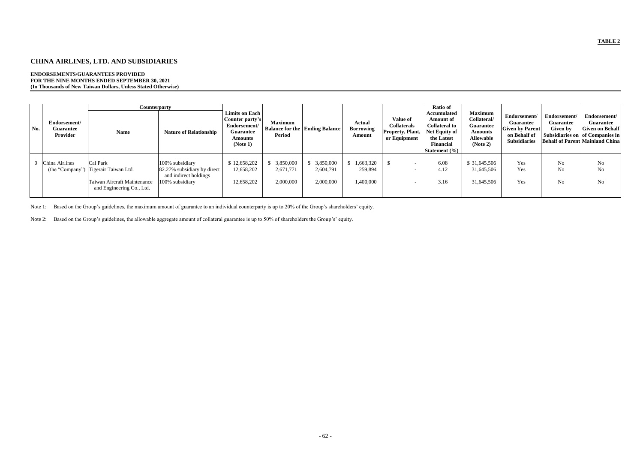# **CHINA AIRLINES, LTD. AND SUBSIDIARIES**

#### **ENDORSEMENTS/GUARANTEES PROVIDED FOR THE NINE MONTHS ENDED SEPTEMBER 30, 2021 (In Thousands of New Taiwan Dollars, Unless Stated Otherwise)**

|     |                                              | <b>Counterparty</b>                                                                                          |                                                                                            |                                                                                                     |                                     |                                           |                                             |                                                                                  | Ratio of                                                                                                                           |                                                                                                     |                                                                                                   |                                              |                                                                                                                                         |
|-----|----------------------------------------------|--------------------------------------------------------------------------------------------------------------|--------------------------------------------------------------------------------------------|-----------------------------------------------------------------------------------------------------|-------------------------------------|-------------------------------------------|---------------------------------------------|----------------------------------------------------------------------------------|------------------------------------------------------------------------------------------------------------------------------------|-----------------------------------------------------------------------------------------------------|---------------------------------------------------------------------------------------------------|----------------------------------------------|-----------------------------------------------------------------------------------------------------------------------------------------|
| No. | Endorsement/<br><b>Guarantee</b><br>Provider | <b>Name</b>                                                                                                  | <b>Nature of Relationship</b>                                                              | Limits on Each<br>Counter party's<br>Endorsement/<br><b>Guarantee</b><br><b>Amounts</b><br>(Note 1) | <b>Maximum</b><br>Period            | <b>Balance for the   Ending Balance  </b> | <b>Actual</b><br><b>Borrowing</b><br>Amount | <b>Value of</b><br><b>Collaterals</b><br><b>Property, Plant,</b><br>or Equipment | <b>Accumulated</b><br><b>Amount of</b><br><b>Collateral to</b><br>Net Equity of<br>the Latest<br><b>Financial</b><br>Statement (%) | <b>Maximum</b><br>Collateral/<br><b>Guarantee</b><br><b>Amounts</b><br><b>Allowable</b><br>(Note 2) | Endorsement/<br><b>Guarantee</b><br><b>Given by Parent</b><br>on Behalf of<br><b>Subsidiaries</b> | Endorsement/<br>Guarantee<br><b>Given by</b> | Endorsement/<br><b>Guarantee</b><br><b>Given on Behalf</b><br>Subsidiaries on of Companies in<br><b>Behalf of Parent Mainland China</b> |
|     | China Airlines                               | Cal Park<br>(the "Company") Tigerair Taiwan Ltd.<br>Taiwan Aircraft Maintenance<br>and Engineering Co., Ltd. | 100% subsidiary<br>82.27% subsidiary by direct<br>and indirect holdings<br>100% subsidiary | \$12,658,202<br>12,658,202<br>12,658,202                                                            | 3,850,000<br>2,671,771<br>2,000,000 | 3,850,000<br>2,604,791<br>2,000,000       | 1,663,320<br>259,894<br>1,400,000           |                                                                                  | 6.08<br>4.12<br>3.16                                                                                                               | \$ 31,645,506<br>31,645,506<br>31,645,506                                                           | Yes<br>Yes<br>Yes                                                                                 | N <sub>o</sub><br>No<br>N <sub>o</sub>       | No<br>No<br>No                                                                                                                          |

Note 1: Based on the Group's guidelines, the maximum amount of guarantee to an individual counterparty is up to 20% of the Group's shareholders' equity.

Note 2: Based on the Group's guidelines, the allowable aggregate amount of collateral guarantee is up to 50% of shareholders the Group's' equity.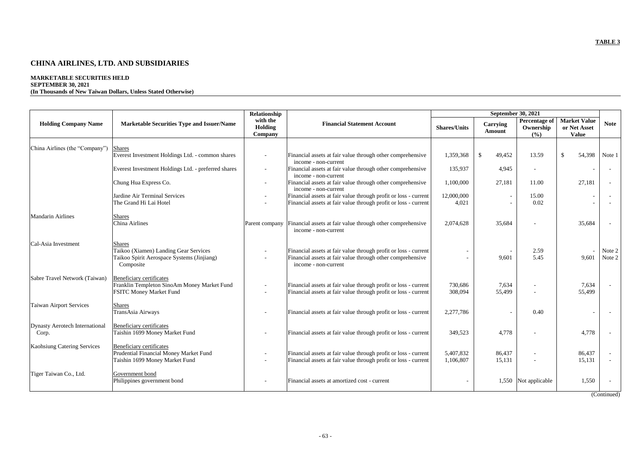# **CHINA AIRLINES, LTD. AND SUBSIDIARIES**

# **MARKETABLE SECURITIES HELD SEPTEMBER 30, 2021**

**(In Thousands of New Taiwan Dollars, Unless Stated Otherwise)**

|                                                |                                                                                                                   | Relationship                          |                                                                                                                                                       |                        |                                  | <b>September 30, 2021</b>         |                                                     |                  |
|------------------------------------------------|-------------------------------------------------------------------------------------------------------------------|---------------------------------------|-------------------------------------------------------------------------------------------------------------------------------------------------------|------------------------|----------------------------------|-----------------------------------|-----------------------------------------------------|------------------|
| <b>Holding Company Name</b>                    | <b>Marketable Securities Type and Issuer/Name</b>                                                                 | with the<br>Holding<br><b>Company</b> | <b>Financial Statement Account</b>                                                                                                                    | <b>Shares/Units</b>    | <b>Carrying</b><br><b>Amount</b> | Percentage of<br>Ownership<br>(%) | <b>Market Value</b><br>or Net Asset<br><b>Value</b> | <b>Note</b>      |
|                                                |                                                                                                                   |                                       |                                                                                                                                                       |                        |                                  |                                   |                                                     |                  |
| China Airlines (the "Company")                 | <b>Shares</b><br>Everest Investment Holdings Ltd. - common shares                                                 |                                       | Financial assets at fair value through other comprehensive<br>income - non-current                                                                    | 1,359,368              | $\mathcal{S}$<br>49,452          | 13.59                             | $\mathcal{S}$<br>54,398                             | Note 1           |
|                                                | Everest Investment Holdings Ltd. - preferred shares                                                               |                                       | Financial assets at fair value through other comprehensive<br>income - non-current                                                                    | 135,937                | 4,945                            |                                   |                                                     |                  |
|                                                | Chung Hua Express Co.                                                                                             |                                       | Financial assets at fair value through other comprehensive<br>income - non-current                                                                    | 1,100,000              | 27,181                           | 11.00                             | 27,181                                              | $\sim$           |
|                                                | Jardine Air Terminal Services                                                                                     |                                       | Financial assets at fair value through profit or loss - current                                                                                       | 12,000,000             | $\overline{\phantom{a}}$         | 15.00                             |                                                     |                  |
|                                                | The Grand Hi Lai Hotel                                                                                            |                                       | Financial assets at fair value through profit or loss - current                                                                                       | 4,021                  |                                  | 0.02                              |                                                     |                  |
| <b>Mandarin Airlines</b>                       | <b>Shares</b><br><b>China Airlines</b>                                                                            | Parent company                        | Financial assets at fair value through other comprehensive<br>income - non-current                                                                    | 2,074,628              | 35,684                           |                                   | 35,684                                              |                  |
| Cal-Asia Investment                            | <b>Shares</b><br>Taikoo (Xiamen) Landing Gear Services<br>Taikoo Spirit Aerospace Systems (Jinjiang)<br>Composite |                                       | Financial assets at fair value through profit or loss - current<br>Financial assets at fair value through other comprehensive<br>income - non-current |                        | 9,601                            | 2.59<br>5.45                      | 9,601                                               | Note 2<br>Note 2 |
| Sabre Travel Network (Taiwan)                  | <b>Beneficiary certificates</b><br>Franklin Templeton SinoAm Money Market Fund<br><b>FSITC Money Market Fund</b>  | $\overline{\phantom{a}}$              | Financial assets at fair value through profit or loss - current<br>Financial assets at fair value through profit or loss - current                    | 730,686<br>308,094     | 7,634<br>55,499                  |                                   | 7,634<br>55,499                                     | $\sim$           |
| <b>Taiwan Airport Services</b>                 | <b>Shares</b><br>TransAsia Airways                                                                                |                                       | Financial assets at fair value through profit or loss - current                                                                                       | 2,277,786              |                                  | 0.40                              |                                                     |                  |
| <b>Dynasty Aerotech International</b><br>Corp. | Beneficiary certificates<br>Taishin 1699 Money Market Fund                                                        |                                       | Financial assets at fair value through profit or loss - current                                                                                       | 349,523                | 4,778                            |                                   | 4,778                                               |                  |
| <b>Kaohsiung Catering Services</b>             | <b>Beneficiary certificates</b><br>Prudential Financial Money Market Fund<br>Taishin 1699 Money Market Fund       |                                       | Financial assets at fair value through profit or loss - current<br>Financial assets at fair value through profit or loss - current                    | 5,407,832<br>1,106,807 | 86,437<br>15,131                 |                                   | 86,437<br>15,131                                    |                  |
| Tiger Taiwan Co., Ltd.                         | Government bond<br>Philippines government bond                                                                    | $\overline{\phantom{0}}$              | Financial assets at amortized cost - current                                                                                                          |                        |                                  | 1,550 Not applicable              | 1,550                                               |                  |

(Continued)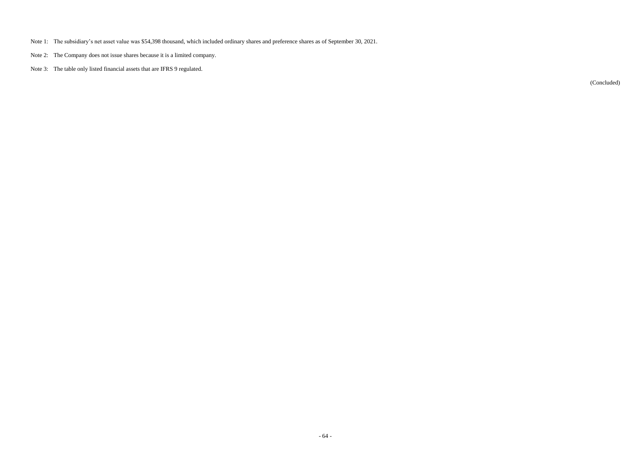- Note 1: The subsidiary's net asset value was \$54,398 thousand, which included ordinary shares and preference shares as of September 30, 2021.
- Note 2: The Company does not issue shares because it is a limited company.
- Note 3: The table only listed financial assets that are IFRS 9 regulated.

(Concluded)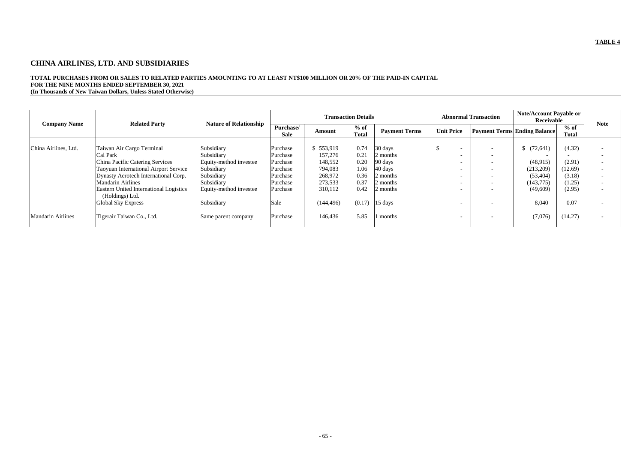# **CHINA AIRLINES, LTD. AND SUBSIDIARIES**

# **TOTAL PURCHASES FROM OR SALES TO RELATED PARTIES AMOUNTING TO AT LEAST NT\$100 MILLION OR 20% OF THE PAID-IN CAPITAL FOR THE NINE MONTHS ENDED SEPTEMBER 30, 2021**

**(In Thousands of New Taiwan Dollars, Unless Stated Otherwise)**

|                          | <b>Related Party</b>                                                                                                                                                                                                                                                    | <b>Nature of Relationship</b>                                                                                          |                                                                                  |                                                                           | <b>Transaction Details</b>                           |                                                                               |                                                                                                                                          | <b>Abnormal Transaction</b>                                                                                                                                                                      | <b>Note/Account Payable or</b><br>Receivable                                   |                                                           | <b>Note</b>                                                                                                                                                                                      |
|--------------------------|-------------------------------------------------------------------------------------------------------------------------------------------------------------------------------------------------------------------------------------------------------------------------|------------------------------------------------------------------------------------------------------------------------|----------------------------------------------------------------------------------|---------------------------------------------------------------------------|------------------------------------------------------|-------------------------------------------------------------------------------|------------------------------------------------------------------------------------------------------------------------------------------|--------------------------------------------------------------------------------------------------------------------------------------------------------------------------------------------------|--------------------------------------------------------------------------------|-----------------------------------------------------------|--------------------------------------------------------------------------------------------------------------------------------------------------------------------------------------------------|
| <b>Company Name</b>      |                                                                                                                                                                                                                                                                         |                                                                                                                        | Purchase/<br><b>Sale</b>                                                         | Amount                                                                    | $%$ of<br><b>Total</b>                               | <b>Payment Terms</b>                                                          | <b>Unit Price</b>                                                                                                                        |                                                                                                                                                                                                  | <b>Payment Terms Ending Balance</b>                                            | $%$ of<br>Total                                           |                                                                                                                                                                                                  |
| China Airlines, Ltd.     | Taiwan Air Cargo Terminal<br>Cal Park<br><b>China Pacific Catering Services</b><br><b>Taoyuan International Airport Service</b><br>Dynasty Aerotech International Corp.<br><b>Mandarin Airlines</b><br><b>Eastern United International Logistics</b><br>(Holdings) Ltd. | Subsidiary<br>Subsidiary<br>Equity-method investee<br>Subsidiary<br>Subsidiary<br>Subsidiary<br>Equity-method investee | Purchase<br>Purchase<br>Purchase<br>Purchase<br>Purchase<br>Purchase<br>Purchase | 553,919<br>157,276<br>148,552<br>794,083<br>268,972<br>273,533<br>310,112 | 0.74<br>0.21<br>0.20<br>1.06<br>0.36<br>0.37<br>0.42 | 30 days<br>2 months<br>90 days<br>40 days<br>2 months<br>2 months<br>2 months | $\overline{\phantom{0}}$<br>$\overline{\phantom{a}}$<br>$\overline{\phantom{0}}$<br>$\overline{\phantom{0}}$<br>$\overline{\phantom{0}}$ | $\overline{\phantom{a}}$<br>$\overline{\phantom{a}}$<br>$\overline{\phantom{a}}$<br>$\overline{\phantom{a}}$<br>$\overline{\phantom{a}}$<br>$\overline{\phantom{a}}$<br>$\overline{\phantom{a}}$ | (72, 641)<br>-S<br>(48,915)<br>(213,209)<br>(53, 404)<br>(143,775)<br>(49,609) | (4.32)<br>(2.91)<br>(12.69)<br>(3.18)<br>(1.25)<br>(2.95) | $\overline{\phantom{0}}$<br>$\overline{\phantom{a}}$<br>$\overline{\phantom{0}}$<br>$\overline{\phantom{0}}$<br>$\overline{\phantom{0}}$<br>$\overline{\phantom{0}}$<br>$\overline{\phantom{0}}$ |
| <b>Mandarin Airlines</b> | <b>Global Sky Express</b><br>Tigerair Taiwan Co., Ltd.                                                                                                                                                                                                                  | Subsidiary<br>Same parent company                                                                                      | Sale<br>Purchase                                                                 | (144, 496)<br>146,436                                                     | (0.17)<br>5.85                                       | $15 \text{ days}$<br>months                                                   | $\overline{\phantom{a}}$<br>$\overline{\phantom{a}}$                                                                                     | $\overline{\phantom{0}}$                                                                                                                                                                         | 8,040<br>(7,076)                                                               | 0.07<br>(14.27)                                           | $\overline{\phantom{0}}$<br>$\overline{\phantom{0}}$                                                                                                                                             |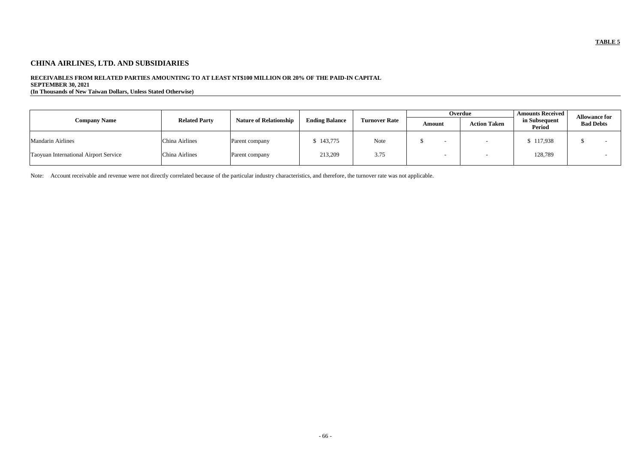# **CHINA AIRLINES, LTD. AND SUBSIDIARIES**

# **RECEIVABLES FROM RELATED PARTIES AMOUNTING TO AT LEAST NT\$100 MILLION OR 20% OF THE PAID-IN CAPITAL SEPTEMBER 30, 2021**

**(In Thousands of New Taiwan Dollars, Unless Stated Otherwise)**

|                                       |                      |                               |                       |                      |        | Overdue             | <b>Amounts Received</b>        | <b>Allowance for</b> |  |
|---------------------------------------|----------------------|-------------------------------|-----------------------|----------------------|--------|---------------------|--------------------------------|----------------------|--|
| <b>Company Name</b>                   | <b>Related Party</b> | <b>Nature of Relationship</b> | <b>Ending Balance</b> | <b>Turnover Rate</b> | Amount | <b>Action Taken</b> | in Subsequent<br><b>Period</b> | <b>Bad Debts</b>     |  |
| <b>Mandarin Airlines</b>              | China Airlines       | Parent company                | 3,143,775             | Note                 |        |                     | \$117,938                      |                      |  |
| Taoyuan International Airport Service | China Airlines       | Parent company                | 213,209               | 3.75                 |        |                     | 128,789                        |                      |  |

Note: Account receivable and revenue were not directly correlated because of the particular industry characteristics, and therefore, the turnover rate was not applicable.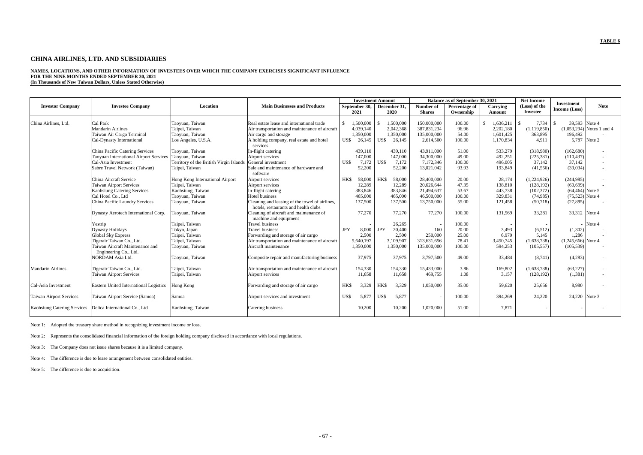# **CHINA AIRLINES, LTD. AND SUBSIDIARIES**

# **NAMES, LOCATIONS, AND OTHER INFORMATION OF INVESTEES OVER WHICH THE COMPANY EXERCISES SIGNIFICANT INFLUENCE FOR THE NINE MONTHS ENDED SEPTEMBER 30, 2021**

**(In Thousands of New Taiwan Dollars, Unless Stated Otherwise)**

|                                                             |                                                        |                                         |                                                                        |            | <b>Investment Amount</b> |            |                      |                            | Balance as of September 30, 2021 |                    | <b>Net Income</b>                |                                           |                             |
|-------------------------------------------------------------|--------------------------------------------------------|-----------------------------------------|------------------------------------------------------------------------|------------|--------------------------|------------|----------------------|----------------------------|----------------------------------|--------------------|----------------------------------|-------------------------------------------|-----------------------------|
| <b>Investor Company</b>                                     | <b>Investee Company</b>                                | Location                                | <b>Main Businesses and Products</b>                                    |            | September 30,<br>2021    |            | December 31,<br>2020 | Number of<br><b>Shares</b> | Percentage of<br>Ownership       | Carrying<br>Amount | (Loss) of the<br><b>Investee</b> | <b>Investment</b><br><b>Income</b> (Loss) | <b>Note</b>                 |
|                                                             |                                                        |                                         |                                                                        |            |                          |            |                      |                            |                                  |                    |                                  |                                           |                             |
| China Airlines, Ltd.                                        | Cal Park                                               | Taoyuan, Taiwan                         | Real estate lease and international trade                              |            | 1,500,000                |            | 1,500,000            | 150,000,000                | 100.00                           | 1,636,211<br>\$    | 7,734                            | 39.593 Note 4                             |                             |
|                                                             | <b>Mandarin Airlines</b>                               | Taipei, Taiwan                          | Air transportation and maintenance of aircraft                         |            | 4,039,140                |            | 2,042,368            | 387, 831, 234              | 96.96                            | 2,202,180          | (1,119,850)                      |                                           | $(1,053,294)$ Notes 1 and 4 |
|                                                             | Taiwan Air Cargo Terminal                              | Taoyuan, Taiwan                         | Air cargo and storage                                                  |            | 1,350,000                |            | 1,350,000            | 135,000,000                | 54.00                            | 1,601,425          | 363,895                          | 196,492                                   |                             |
|                                                             | Cal-Dynasty International                              | Los Angeles, U.S.A.                     | A holding company, real estate and hotel                               | US\$       | 26,145                   | US\$       | 26,145               | 2,614,500                  | 100.00                           | 1,170,834          | 4.911                            | 5,787 Note 2                              |                             |
|                                                             |                                                        |                                         | services                                                               |            |                          |            |                      |                            |                                  |                    |                                  |                                           |                             |
|                                                             | China Pacific Catering Services                        | Taoyuan, Taiwan                         | In-flight catering                                                     |            | 439,110                  |            | 439.110              | 43,911,000                 | 51.00                            | 533,279            | (318,980)                        | (162,680)                                 | $\sim$                      |
|                                                             | Taoyuan International Airport Services                 | Taoyuan, Taiwan                         | Airport services                                                       |            | 147,000                  |            | 147,000              | 34,300,000                 | 49.00                            | 492,251            | (225, 381)                       | (110, 437)                                | $\overline{\phantom{a}}$    |
|                                                             | Cal-Asia Investment                                    | Territory of the British Virgin Islands | General investment                                                     | US\$       | 7,172                    | US\$       | 7,172                | 7,172,346                  | 100.00                           | 496,005            | 37,142                           | 37,142                                    | $\overline{\phantom{a}}$    |
|                                                             | Sabre Travel Network (Taiwan)                          | Taipei, Taiwan                          | Sale and maintenance of hardware and                                   |            | 52,200                   |            | 52,200               | 13,021,042                 | 93.93                            | 193,849            | (41, 556)                        | (39,034)                                  | $\overline{\phantom{a}}$    |
|                                                             |                                                        |                                         | software                                                               |            |                          |            |                      |                            |                                  |                    |                                  |                                           |                             |
|                                                             | China Aircraft Service                                 | Hong Kong International Airport         | Airport services                                                       | HK\$       | 58,000                   | HK\$       | 58,000               | 28,400,000                 | 20.00                            | 28,174             | (1,224,926)                      | (244, 985)                                |                             |
|                                                             | <b>Taiwan Airport Services</b>                         | Taipei, Taiwan                          | Airport services                                                       |            | 12,289                   |            | 12,289               | 20,626,644                 | 47.35                            | 138,810            | (128, 192)                       | (60, 699)                                 |                             |
|                                                             | <b>Kaohsiung Catering Services</b>                     | Kaohsiung, Taiwan                       | In-flight catering                                                     |            | 383,846                  |            | 383,846              | 21,494,637                 | 53.67                            | 443,738            | (102, 372)                       | $(64, 464)$ Note 5                        |                             |
|                                                             | Cal Hotel Co., Ltd                                     | Taoyuan, Taiwan                         | Hotel business                                                         |            | 465,000                  |            | 465,000              | 46,500,000                 | 100.00                           | 329.831            | (74, 985)                        | $(75,523)$ Note 4                         |                             |
|                                                             | China Pacific Laundry Services                         | Taoyuan, Taiwan                         | Cleaning and leasing of the towel of airlines,                         |            | 137,500                  |            | 137,500              | 13,750,000                 | 55.00                            | 121,458            | (50,718)                         | (27, 895)                                 |                             |
|                                                             |                                                        |                                         | hotels, restaurants and health clubs                                   |            |                          |            |                      |                            |                                  |                    |                                  |                                           |                             |
|                                                             | Dynasty Aerotech International Corp.                   | Taoyuan, Taiwan                         | Cleaning of aircraft and maintenance of                                |            | 77,270                   |            | 77,270               | 77,270                     | 100.00                           | 131,569            | 33,281                           | 33,312 Note 4                             |                             |
|                                                             |                                                        |                                         | machine and equipment                                                  |            |                          |            |                      |                            |                                  |                    |                                  |                                           |                             |
|                                                             | Yestrip                                                | Taipei, Taiwan                          | <b>Travel business</b>                                                 |            |                          | <b>JPY</b> | 26,265               |                            | 100.00                           |                    |                                  |                                           | Note 4                      |
|                                                             | <b>Dynasty Holidays</b>                                | Tokyo, Japan                            | <b>Travel business</b>                                                 | <b>JPY</b> | 8,000<br>2,500           |            | 20,400<br>2,500      | 160<br>250,000             | 20.00<br>25.00                   | 3,493<br>6,979     | (6,512)                          | (1,302)<br>1,286                          |                             |
|                                                             | <b>Global Sky Express</b><br>Tigerair Taiwan Co., Ltd. | Taipei, Taiwan                          | Forwarding and storage of air cargo                                    |            | 5,640,197                |            | 3,109,907            | 313,631,656                | 78.41                            | 3,450,745          | 5,145<br>(1,638,738)             | $(1,245,666)$ Note 4                      |                             |
|                                                             | Taiwan Aircraft Maintenance and                        | Taipei, Taiwan<br>Taoyuan, Taiwan       | Air transportation and maintenance of aircraft<br>Aircraft maintenance |            | 1,350,000                |            | 1,350,000            | 135,000,000                | 100.00                           | 594,253            | (105, 557)                       | (105, 539)                                |                             |
|                                                             | Engineering Co., Ltd.                                  |                                         |                                                                        |            |                          |            |                      |                            |                                  |                    |                                  |                                           |                             |
|                                                             | <b>NORDAM</b> Asia Ltd.                                | Taoyuan, Taiwan                         | Composite repair and manufacturing business                            |            | 37,975                   |            | 37,975               | 3,797,500                  | 49.00                            | 33,484             | (8,741)                          | (4,283)                                   | $\overline{\phantom{a}}$    |
|                                                             |                                                        |                                         |                                                                        |            |                          |            |                      |                            |                                  |                    |                                  |                                           |                             |
| <b>Mandarin Airlines</b>                                    | Tigerair Taiwan Co., Ltd.                              | Taipei, Taiwan                          | Air transportation and maintenance of aircraft                         |            | 154,330                  |            | 154,330              | 15,433,000                 | 3.86                             | 169,802            | (1,638,738)                      | (63, 227)                                 | $\overline{\phantom{a}}$    |
|                                                             | <b>Taiwan Airport Services</b>                         | Taipei, Taiwan                          | Airport services                                                       |            | 11,658                   |            | 11,658               | 469,755                    | 1.08                             | 3,157              | (128, 192)                       | (1,381)                                   | $\overline{\phantom{a}}$    |
|                                                             |                                                        |                                         |                                                                        |            |                          |            |                      |                            |                                  |                    |                                  |                                           |                             |
| Cal-Asia Investment                                         | Eastern United International Logistics                 | Hong Kong                               | Forwarding and storage of air cargo                                    | HK\$       | 3,329                    | <b>HKS</b> | 3,329                | 1,050,000                  | 35.00                            | 59,620             | 25,656                           | 8,980                                     |                             |
|                                                             |                                                        |                                         |                                                                        |            |                          |            |                      |                            |                                  |                    |                                  |                                           |                             |
| <b>Taiwan Airport Services</b>                              | Taiwan Airport Service (Samoa)                         | Samoa                                   | Airport services and investment                                        | US\$       | 5,877                    | US\$       | 5,877                |                            | 100.00                           | 394,269            | 24,220                           | 24,220 Note 3                             |                             |
|                                                             |                                                        |                                         |                                                                        |            |                          |            |                      |                            |                                  |                    |                                  |                                           |                             |
| Kaohsiung Catering Services   Delica International Co., Ltd |                                                        | Kaohsiung, Taiwan                       | Catering business                                                      |            | 10,200                   |            | 10,200               | 1,020,000                  | 51.00                            | 7,871              |                                  |                                           |                             |
|                                                             |                                                        |                                         |                                                                        |            |                          |            |                      |                            |                                  |                    |                                  |                                           |                             |

Note 1: Adopted the treasury share method in recognizing investment income or loss.

Note 2: Represents the consolidated financial information of the foreign holding company disclosed in accordance with local regulations.

Note 3: The Company does not issue shares because it is a limited company.

Note 4: The difference is due to lease arrangement between consolidated entities.

Note 5: The difference is due to acquisition.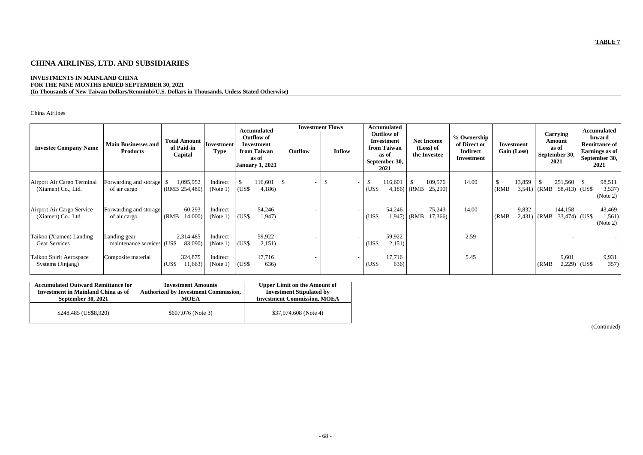# **CHINA AIRLINES, LTD. AND SUBSIDIARIES**

# **INVESTMENTS IN MAINLAND CHINA FOR THE NINE MONTHS ENDED SEPTEMBER 30, 2021 (In Thousands of New Taiwan Dollars/Renminbi/U.S. Dollars in Thousands, Unless Stated Otherwise)**

# China Airlines

|                                                  |                                               |                                              |                           | <b>Accumulated</b>                                                                |                                 | <b>Investment Flows</b>        | <b>Accumulated</b>                                                               |                                                |                                                              |                           |                                                             |                            | <b>Accumulated</b>                                                               |
|--------------------------------------------------|-----------------------------------------------|----------------------------------------------|---------------------------|-----------------------------------------------------------------------------------|---------------------------------|--------------------------------|----------------------------------------------------------------------------------|------------------------------------------------|--------------------------------------------------------------|---------------------------|-------------------------------------------------------------|----------------------------|----------------------------------------------------------------------------------|
| <b>Investee Company Name</b>                     | <b>Main Businesses and</b><br><b>Products</b> | <b>Total Amount</b><br>of Paid-in<br>Capital | Investment<br><b>Type</b> | <b>Outflow of</b><br>Investment<br>from Taiwan<br>as of<br><b>January 1, 2021</b> | Outflow                         | <b>Inflow</b>                  | <b>Outflow of</b><br>Investment<br>from Taiwan<br>as of<br>September 30,<br>2021 | <b>Net Income</b><br>(Loss) of<br>the Investee | % Ownership<br>of Direct or<br><b>Indirect</b><br>Investment | Investment<br>Gain (Loss) | <b>Carrying</b><br>Amount<br>as of<br>September 30,<br>2021 |                            | <b>Inward</b><br><b>Remittance of</b><br>Earnings as of<br>September 30,<br>2021 |
| Airport Air Cargo Terminal<br>(Xiamen) Co., Ltd. | Forwarding and storage<br>of air cargo        | 1,095,952<br>(RMB 254,480)                   | Indirect<br>(Note 1)      | 116,601<br>(US\$<br>4,186                                                         | -\$<br>$\overline{\phantom{a}}$ | \$<br>$\overline{\phantom{a}}$ | \$<br>116,601<br>(US\$                                                           | 109,576<br>$4,186$ (RMB<br>25,290              | 14.00                                                        | 13,859<br>(RMB)<br>3,541) | (RMB)                                                       | 251,560<br>$58,413$ (US\$) | $\mathbb{S}$<br>98,511<br>3,537)<br>(Note 2)                                     |
| Airport Air Cargo Service<br>(Xiamen) Co., Ltd.  | Forwarding and storage<br>of air cargo        | 60,293<br>(RMB)<br>14,000)                   | Indirect<br>(Note 1)      | 54,246<br>(US\$<br>1,947                                                          |                                 |                                | 54,246<br>(USS)                                                                  | 75,243<br>17,366)<br>$1,947$ (RMB              | 14.00                                                        | 9,832<br>(RMB)<br>2,431   | (RMB)                                                       | 144,158<br>$33,474$ (US\$) | 43,469<br>1,561)<br>(Note 2)                                                     |
| Taikoo (Xiamen) Landing<br><b>Gear Services</b>  | Landing gear<br>maintenance services (US\$    | 2,314,485<br>83,090)                         | Indirect<br>(Note $1$ )   | 59,922<br>(US\$<br>2,151)                                                         |                                 |                                | 59,922<br>(US\$<br>2,151)                                                        |                                                | 2.59                                                         |                           |                                                             |                            |                                                                                  |
| Taikoo Spirit Aerospace<br>Systems (Jinjang)     | Composite material                            | 324,875<br>(US\$<br>11,663)                  | Indirect<br>(Note 1)      | 17,716<br>636)<br>(US\$                                                           |                                 |                                | 17,716<br>(US\$<br>636)                                                          |                                                | 5.45                                                         |                           | (RMB)                                                       | 9,601<br>2,229             | 9,931<br>357)<br>$\vert$ (US\$                                                   |

| <b>Accumulated Outward Remittance for</b> | <b>Investment Amounts</b>                   | <b>Upper Limit on the Amount of</b> |
|-------------------------------------------|---------------------------------------------|-------------------------------------|
| <b>Investment in Mainland China as of</b> | <b>Authorized by Investment Commission,</b> | <b>Investment Stipulated by</b>     |
| <b>September 30, 2021</b>                 | <b>MOEA</b>                                 | <b>Investment Commission, MOEA</b>  |
| \$248,485 (US\$8,920)                     | $$607,076$ (Note 3)                         | $$37,974,608$ (Note 4)              |

(Continued)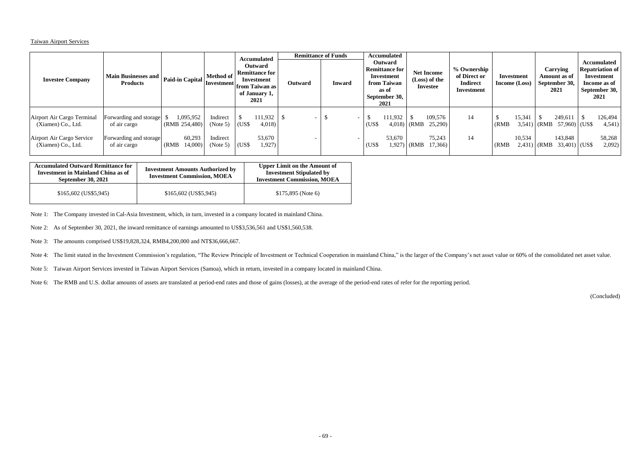## Taiwan Airport Services

| <b>Investee Company</b>                                                                             | <b>Main Businesses and</b><br><b>Products</b>                                    | Paid-in Capital                                         | Method of<br><b>Investment</b> from Taiwan as |                | <b>Accumulated</b><br><b>Outward</b><br><b>Remittance for</b><br>Investment<br>of January 1,<br>2021 | <b>Outward</b> | <b>Remittance of Funds</b><br><b>Inward</b> | <b>Accumulated</b><br><b>Outward</b><br><b>Remittance for</b><br>Investment<br>from Taiwan<br>as of<br>September 30,<br>2021 |                   | <b>Net Income</b><br>(Loss) of the<br>Investee                           |          | % Ownership<br>of Direct or<br>Investment<br><b>Indirect</b><br>Income (Loss)<br>Investment |                  | Carrying<br>Amount as of<br>September 30,<br>2021 |                                                                                   | <b>Accumulated</b><br><b>Repatriation of</b><br>Investment<br>Income as of<br>September 30,<br>2021 |                                       |
|-----------------------------------------------------------------------------------------------------|----------------------------------------------------------------------------------|---------------------------------------------------------|-----------------------------------------------|----------------|------------------------------------------------------------------------------------------------------|----------------|---------------------------------------------|------------------------------------------------------------------------------------------------------------------------------|-------------------|--------------------------------------------------------------------------|----------|---------------------------------------------------------------------------------------------|------------------|---------------------------------------------------|-----------------------------------------------------------------------------------|-----------------------------------------------------------------------------------------------------|---------------------------------------|
| Airport Air Cargo Terminal<br>(Xiamen) Co., Ltd.<br>Airport Air Cargo Service<br>(Xiamen) Co., Ltd. | Forwarding and storage<br>of air cargo<br>Forwarding and storage<br>of air cargo | 1,095,952<br>(RMB 254,480)<br>60,293<br>14,000<br>(RMB) | Indirect<br>(Note 5)<br>Indirect<br>(Note 5)  | (US\$<br>(US\$ | 111,932<br>4,018<br>53,670<br>1,927)                                                                 |                |                                             | <b>JD</b><br>(US\$<br>(US\$                                                                                                  | 111,932<br>53,670 | 109,576<br>25,290<br>$(4,018)$ (RMB<br>75,243<br>17,366)<br>$1,927$ (RMB | 14<br>14 | (RMB)<br>(RMB)                                                                              | 15,341<br>10,534 |                                                   | 249,611<br>$3,541$ (RMB $57,960$ ) (US\$<br>143,848<br>$2,431$ (RMB 33,401) (US\$ |                                                                                                     | 126,494<br>4,541)<br>58,268<br>2,092) |

| <b>Accumulated Outward Remittance for</b><br><b>Investment in Mainland China as of</b><br><b>September 30, 2021</b> | <b>Investment Amounts Authorized by</b><br><b>Investment Commission, MOEA</b> | <b>Upper Limit on the Amount of</b><br><b>Investment Stipulated by</b><br><b>Investment Commission, MOEA</b> |
|---------------------------------------------------------------------------------------------------------------------|-------------------------------------------------------------------------------|--------------------------------------------------------------------------------------------------------------|
| \$165,602 (US\$5,945)                                                                                               | $$165,602$ (US\$5,945)                                                        | $$175,895$ (Note 6)                                                                                          |

Note 1: The Company invested in Cal-Asia Investment, which, in turn, invested in a company located in mainland China.

Note 2: As of September 30, 2021, the inward remittance of earnings amounted to US\$3,536,561 and US\$1,560,538.

Note 3: The amounts comprised US\$19,828,324, RMB4,200,000 and NT\$36,666,667.

Note 4: The limit stated in the Investment Commission's regulation, "The Review Principle of Investment or Technical Cooperation in mainland China," is the larger of the Company's net asset value or 60% of the consolidated

Note 5: Taiwan Airport Services invested in Taiwan Airport Services (Samoa), which in return, invested in a company located in mainland China.

Note 6: The RMB and U.S. dollar amounts of assets are translated at period-end rates and those of gains (losses), at the average of the period-end rates of refer for the reporting period.

(Concluded)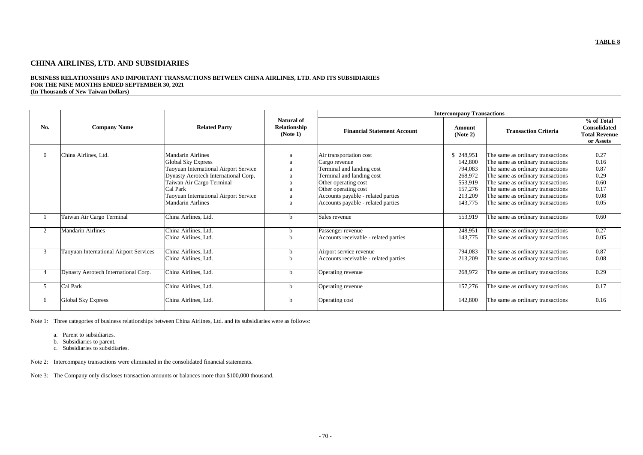# **CHINA AIRLINES, LTD. AND SUBSIDIARIES**

#### **BUSINESS RELATIONSHIPS AND IMPORTANT TRANSACTIONS BETWEEN CHINA AIRLINES, LTD. AND ITS SUBSIDIARIES FOR THE NINE MONTHS ENDED SEPTEMBER 30, 2021 (In Thousands of New Taiwan Dollars)**

|                |                                               |                                       |                                               |                                       | <b>Intercompany Transactions</b> |                                   |                                                                 |
|----------------|-----------------------------------------------|---------------------------------------|-----------------------------------------------|---------------------------------------|----------------------------------|-----------------------------------|-----------------------------------------------------------------|
| No.            | <b>Company Name</b>                           | <b>Related Party</b>                  | <b>Natural of</b><br>Relationship<br>(Note 1) | <b>Financial Statement Account</b>    | Amount<br>(Note 2)               | <b>Transaction Criteria</b>       | % of Total<br>Consolidated<br><b>Total Revenue</b><br>or Assets |
| $\Omega$       | China Airlines, Ltd.                          | <b>Mandarin Airlines</b>              |                                               | Air transportation cost               | \$248,951                        | The same as ordinary transactions | 0.27                                                            |
|                |                                               | <b>Global Sky Express</b>             |                                               | Cargo revenue                         | 142,800                          | The same as ordinary transactions | 0.16                                                            |
|                |                                               | Taoyuan International Airport Service |                                               | Terminal and landing cost             | 794,083                          | The same as ordinary transactions | 0.87                                                            |
|                |                                               | Dynasty Aerotech International Corp.  |                                               | Terminal and landing cost             | 268,972                          | The same as ordinary transactions | 0.29                                                            |
|                |                                               | Taiwan Air Cargo Terminal             |                                               | Other operating cost                  | 553,919                          | The same as ordinary transactions | 0.60                                                            |
|                |                                               | Cal Park                              |                                               | Other operating cost                  | 157,276                          | The same as ordinary transactions | 0.17                                                            |
|                |                                               | Taoyuan International Airport Service |                                               | Accounts payable - related parties    | 213,209                          | The same as ordinary transactions | 0.08                                                            |
|                |                                               | <b>Mandarin Airlines</b>              |                                               | Accounts payable - related parties    | 143,775                          | The same as ordinary transactions | 0.05                                                            |
|                | Taiwan Air Cargo Terminal                     | China Airlines, Ltd.                  |                                               | Sales revenue                         | 553,919                          | The same as ordinary transactions | 0.60                                                            |
| 2              | <b>Mandarin Airlines</b>                      | China Airlines, Ltd.                  |                                               | Passenger revenue                     | 248,951                          | The same as ordinary transactions | 0.27                                                            |
|                |                                               | China Airlines, Ltd.                  |                                               | Accounts receivable - related parties | 143,775                          | The same as ordinary transactions | 0.05                                                            |
| 3              | <b>Taoyuan International Airport Services</b> | China Airlines, Ltd.                  |                                               | Airport service revenue               | 794,083                          | The same as ordinary transactions | 0.87                                                            |
|                |                                               | China Airlines, Ltd.                  |                                               | Accounts receivable - related parties | 213,209                          | The same as ordinary transactions | 0.08                                                            |
| $\overline{4}$ | Dynasty Aerotech International Corp.          | China Airlines, Ltd.                  |                                               | Operating revenue                     | 268,972                          | The same as ordinary transactions | 0.29                                                            |
| 5              | Cal Park                                      | China Airlines, Ltd.                  | h                                             | Operating revenue                     | 157,276                          | The same as ordinary transactions | 0.17                                                            |
| 6              | Global Sky Express                            | China Airlines, Ltd.                  | h                                             | Operating cost                        | 142,800                          | The same as ordinary transactions | 0.16                                                            |

Note 1: Three categories of business relationships between China Airlines, Ltd. and its subsidiaries were as follows:

- a. Parent to subsidiaries.
- b. Subsidiaries to parent.
- c. Subsidiaries to subsidiaries.

Note 2: Intercompany transactions were eliminated in the consolidated financial statements.

Note 3: The Company only discloses transaction amounts or balances more than \$100,000 thousand.